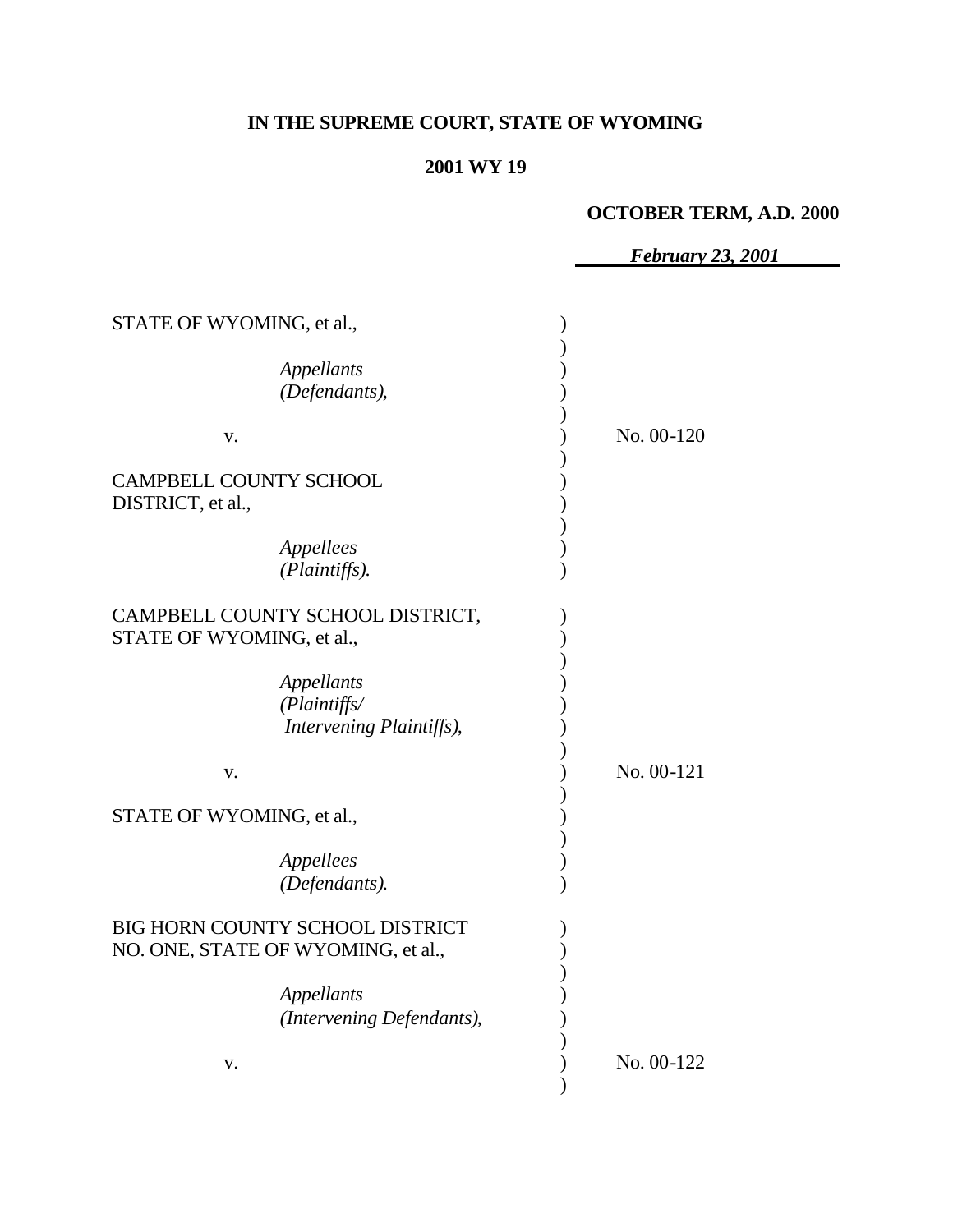## **IN THE SUPREME COURT, STATE OF WYOMING**

#### **2001 WY 19**

#### **OCTOBER TERM, A.D. 2000**

 *February 23, 2001* STATE OF WYOMING, et al., ) *Appellants* ) *(Defendants)*, ) ) v. ) No. 00-120 ) CAMPBELL COUNTY SCHOOL (2002) DISTRICT, et al., ) *Appellees* ) *(Plaintiffs)*. ) CAMPBELL COUNTY SCHOOL DISTRICT, STATE OF WYOMING, et al., ) *Appellants* ) *(Plaintiffs/* ) *Intervening Plaintiffs)*, ) ) v. ) No. 00-121 ) STATE OF WYOMING, et al., ) *Appellees* ) *(Defendants)*. ) BIG HORN COUNTY SCHOOL DISTRICT  $(3, 1)$ NO. ONE, STATE OF WYOMING, et al., ) *Appellants* ) *(Intervening Defendants),*  $\qquad$ ) ) v. ) No. 00-122 )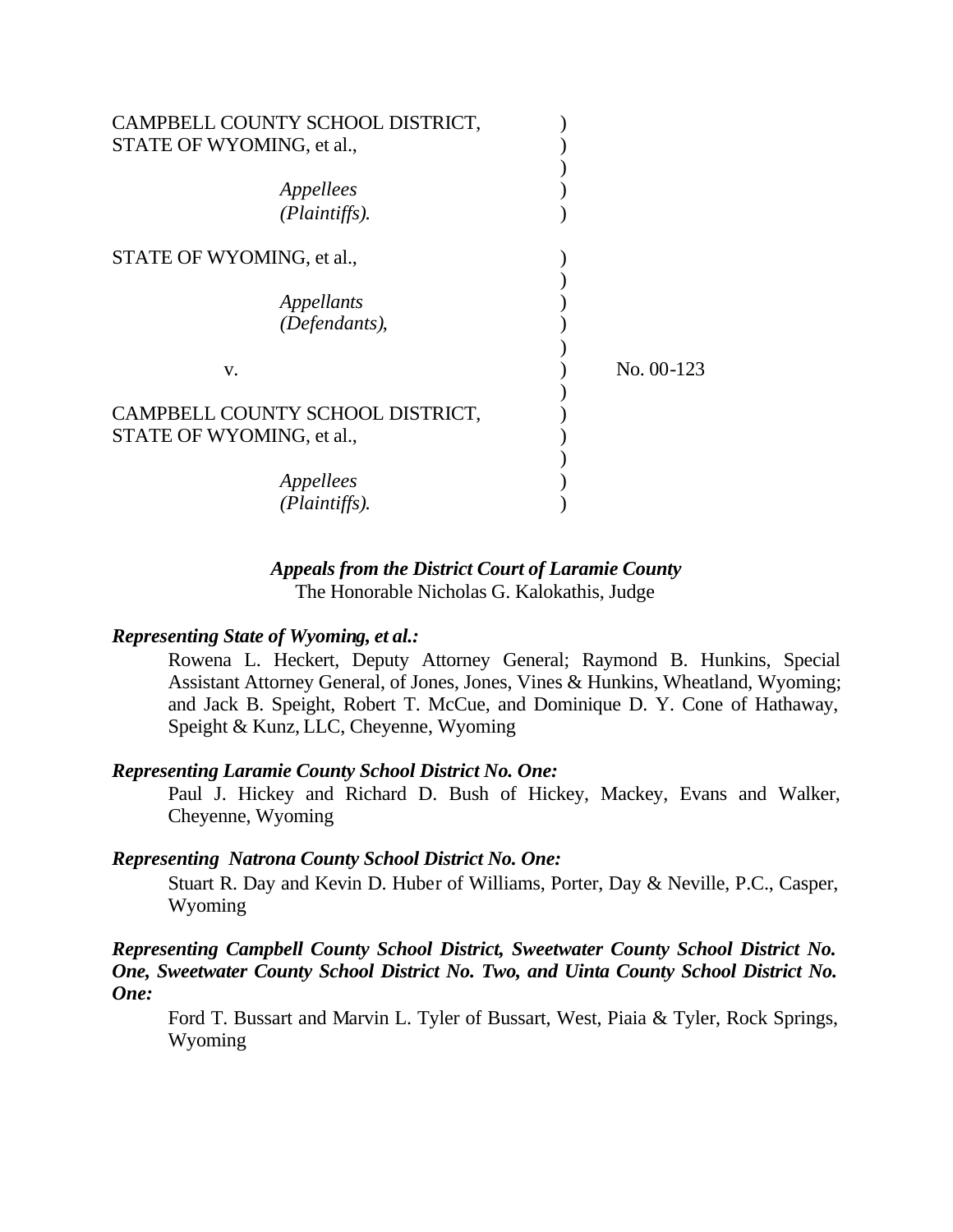| CAMPBELL COUNTY SCHOOL DISTRICT, |               |              |
|----------------------------------|---------------|--------------|
| STATE OF WYOMING, et al.,        |               |              |
|                                  |               |              |
| Appellees                        |               |              |
|                                  | (Plaintiffs). |              |
| STATE OF WYOMING, et al.,        |               |              |
|                                  |               |              |
| Appellants                       |               |              |
|                                  | (Defendants), |              |
| V.                               |               | $No. 00-123$ |
|                                  |               |              |
| CAMPBELL COUNTY SCHOOL DISTRICT, |               |              |
| STATE OF WYOMING, et al.,        |               |              |
|                                  |               |              |
| Appellees                        |               |              |
|                                  | (Plaintiffs). |              |

#### *Appeals from the District Court of Laramie County* The Honorable Nicholas G. Kalokathis, Judge

#### *Representing State of Wyoming, et al.:*

Rowena L. Heckert, Deputy Attorney General; Raymond B. Hunkins, Special Assistant Attorney General, of Jones, Jones, Vines & Hunkins, Wheatland, Wyoming; and Jack B. Speight, Robert T. McCue, and Dominique D. Y. Cone of Hathaway, Speight & Kunz, LLC, Cheyenne, Wyoming

#### *Representing Laramie County School District No. One:*

Paul J. Hickey and Richard D. Bush of Hickey, Mackey, Evans and Walker, Cheyenne, Wyoming

#### *Representing Natrona County School District No. One:*

Stuart R. Day and Kevin D. Huber of Williams, Porter, Day & Neville, P.C., Casper, Wyoming

#### *Representing Campbell County School District, Sweetwater County School District No. One, Sweetwater County School District No. Two, and Uinta County School District No. One:*

Ford T. Bussart and Marvin L. Tyler of Bussart, West, Piaia & Tyler, Rock Springs, Wyoming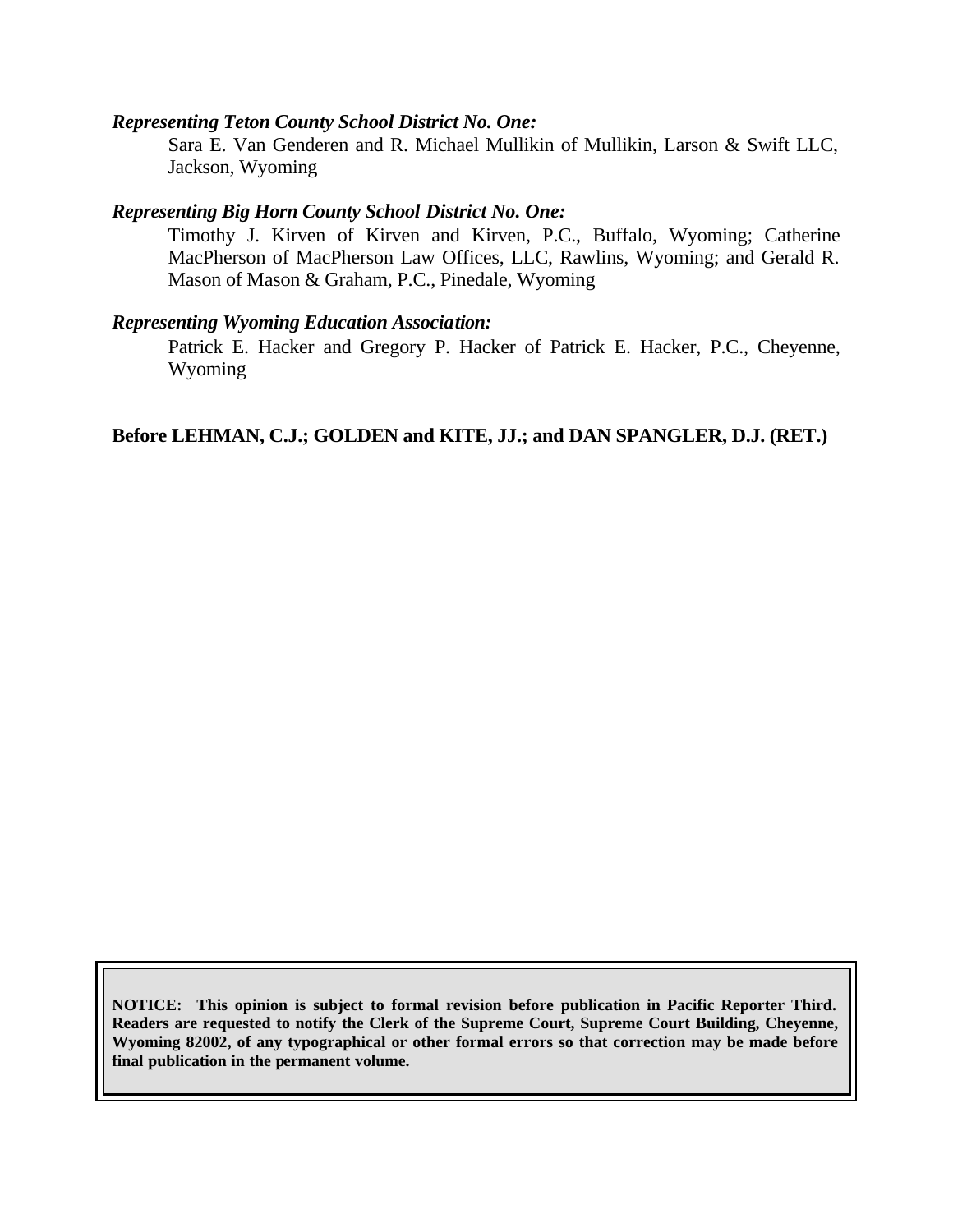#### *Representing Teton County School District No. One:*

Sara E. Van Genderen and R. Michael Mullikin of Mullikin, Larson & Swift LLC, Jackson, Wyoming

#### *Representing Big Horn County School District No. One:*

Timothy J. Kirven of Kirven and Kirven, P.C., Buffalo, Wyoming; Catherine MacPherson of MacPherson Law Offices, LLC, Rawlins, Wyoming; and Gerald R. Mason of Mason & Graham, P.C., Pinedale, Wyoming

#### *Representing Wyoming Education Association:*

Patrick E. Hacker and Gregory P. Hacker of Patrick E. Hacker, P.C., Cheyenne, Wyoming

### **Before LEHMAN, C.J.; GOLDEN and KITE, JJ.; and DAN SPANGLER, D.J. (RET.)**

**NOTICE: This opinion is subject to formal revision before publication in Pacific Reporter Third. Readers are requested to notify the Clerk of the Supreme Court, Supreme Court Building, Cheyenne, Wyoming 82002, of any typographical or other formal errors so that correction may be made before final publication in the permanent volume.**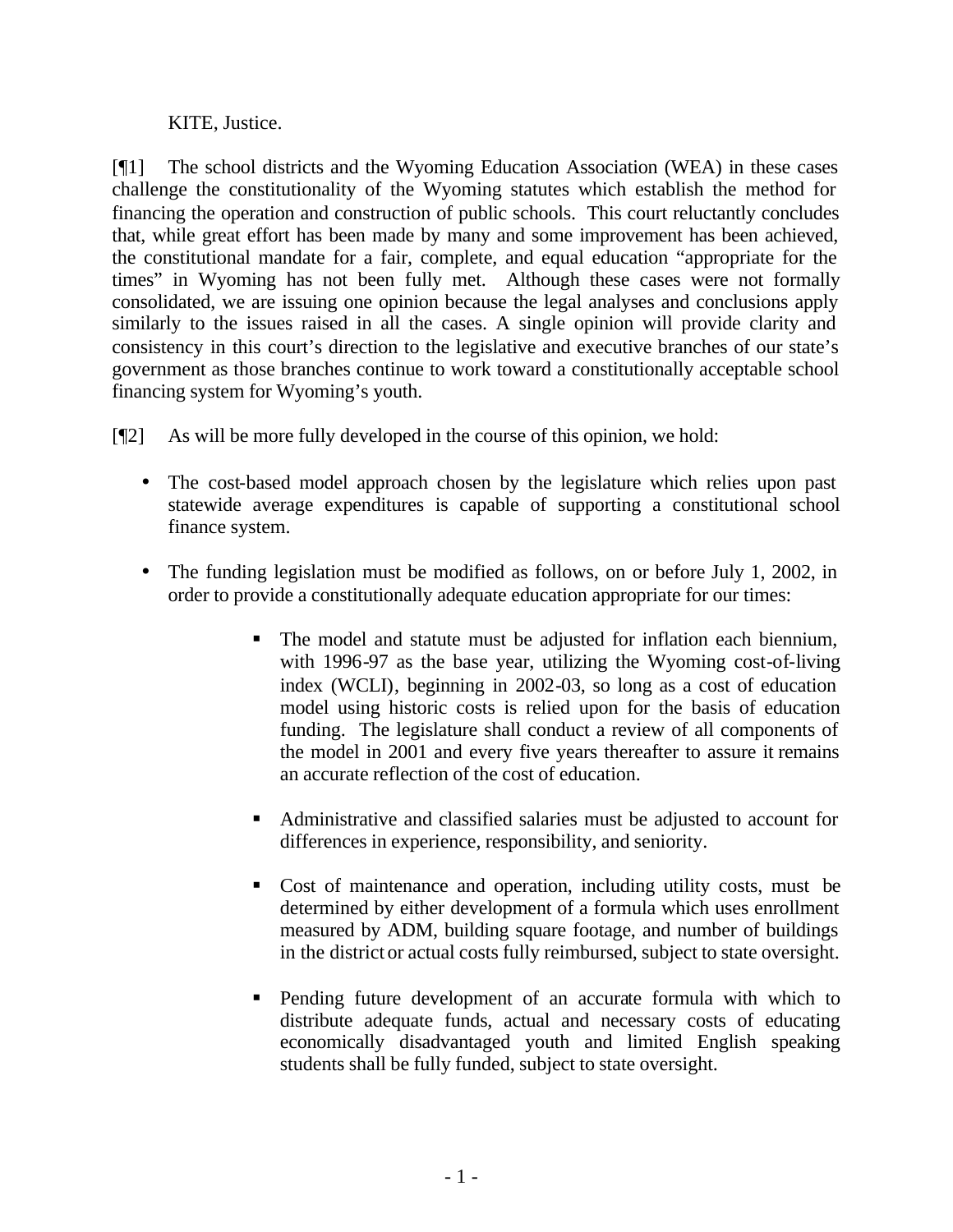## KITE, Justice.

[¶1] The school districts and the Wyoming Education Association (WEA) in these cases challenge the constitutionality of the Wyoming statutes which establish the method for financing the operation and construction of public schools. This court reluctantly concludes that, while great effort has been made by many and some improvement has been achieved, the constitutional mandate for a fair, complete, and equal education "appropriate for the times" in Wyoming has not been fully met. Although these cases were not formally consolidated, we are issuing one opinion because the legal analyses and conclusions apply similarly to the issues raised in all the cases. A single opinion will provide clarity and consistency in this court's direction to the legislative and executive branches of our state's government as those branches continue to work toward a constitutionally acceptable school financing system for Wyoming's youth.

[¶2] As will be more fully developed in the course of this opinion, we hold:

- The cost-based model approach chosen by the legislature which relies upon past statewide average expenditures is capable of supporting a constitutional school finance system.
- The funding legislation must be modified as follows, on or before July 1, 2002, in order to provide a constitutionally adequate education appropriate for our times:
	- The model and statute must be adjusted for inflation each biennium, with 1996-97 as the base year, utilizing the Wyoming cost-of-living index (WCLI), beginning in 2002-03, so long as a cost of education model using historic costs is relied upon for the basis of education funding. The legislature shall conduct a review of all components of the model in 2001 and every five years thereafter to assure it remains an accurate reflection of the cost of education.
	- ß Administrative and classified salaries must be adjusted to account for differences in experience, responsibility, and seniority.
	- ß Cost of maintenance and operation, including utility costs, must be determined by either development of a formula which uses enrollment measured by ADM, building square footage, and number of buildings in the district or actual costs fully reimbursed, subject to state oversight.
	- ß Pending future development of an accurate formula with which to distribute adequate funds, actual and necessary costs of educating economically disadvantaged youth and limited English speaking students shall be fully funded, subject to state oversight.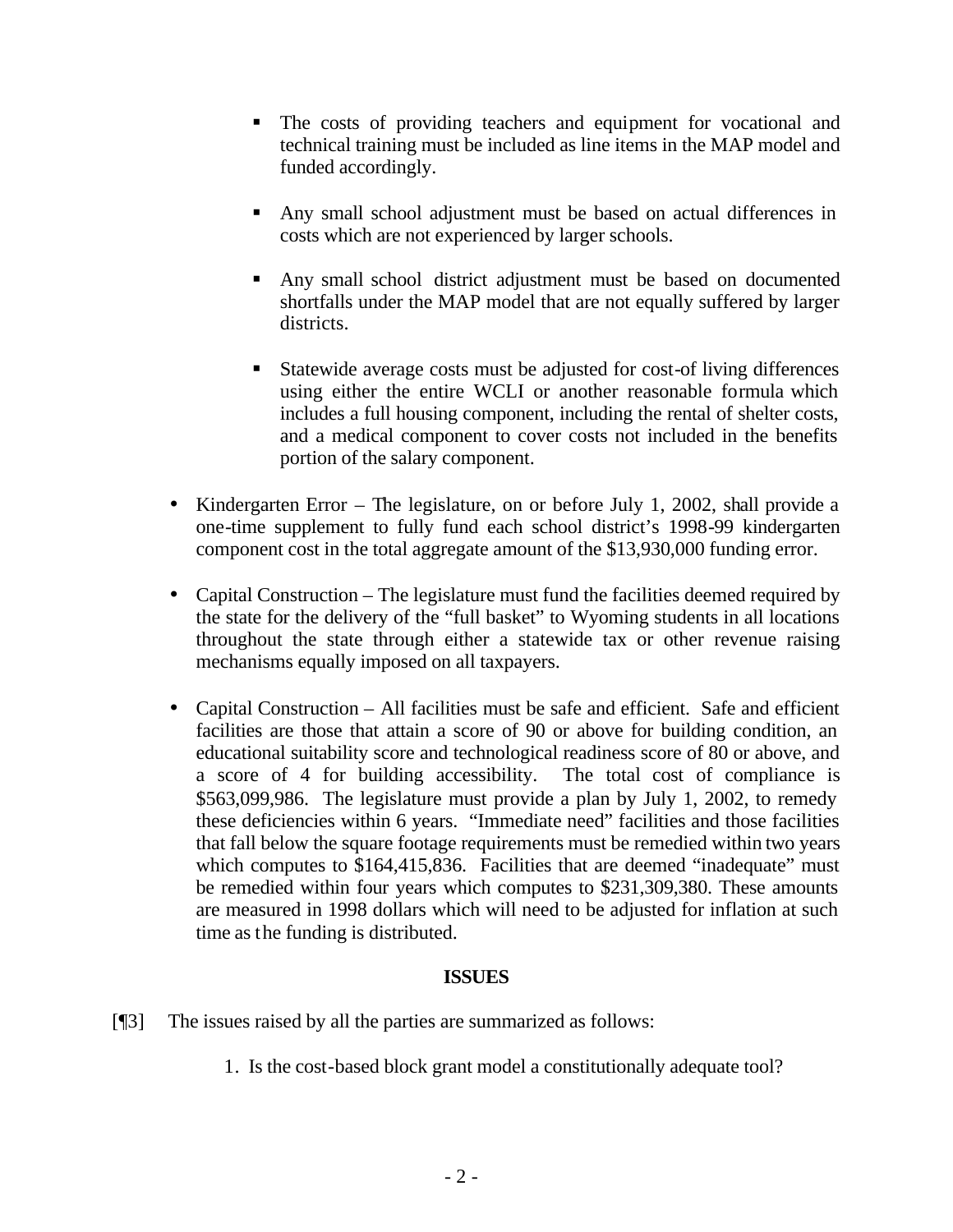- The costs of providing teachers and equipment for vocational and technical training must be included as line items in the MAP model and funded accordingly.
- Any small school adjustment must be based on actual differences in costs which are not experienced by larger schools.
- Any small school district adjustment must be based on documented shortfalls under the MAP model that are not equally suffered by larger districts.
- Statewide average costs must be adjusted for cost-of living differences using either the entire WCLI or another reasonable formula which includes a full housing component, including the rental of shelter costs, and a medical component to cover costs not included in the benefits portion of the salary component.
- Kindergarten Error The legislature, on or before July 1, 2002, shall provide a one-time supplement to fully fund each school district's 1998-99 kindergarten component cost in the total aggregate amount of the \$13,930,000 funding error.
- Capital Construction The legislature must fund the facilities deemed required by the state for the delivery of the "full basket" to Wyoming students in all locations throughout the state through either a statewide tax or other revenue raising mechanisms equally imposed on all taxpayers.
- Capital Construction All facilities must be safe and efficient. Safe and efficient facilities are those that attain a score of 90 or above for building condition, an educational suitability score and technological readiness score of 80 or above, and a score of 4 for building accessibility. The total cost of compliance is \$563,099,986. The legislature must provide a plan by July 1, 2002, to remedy these deficiencies within 6 years. "Immediate need" facilities and those facilities that fall below the square footage requirements must be remedied within two years which computes to \$164,415,836. Facilities that are deemed "inadequate" must be remedied within four years which computes to \$231,309,380. These amounts are measured in 1998 dollars which will need to be adjusted for inflation at such time as the funding is distributed.

## **ISSUES**

- [¶3] The issues raised by all the parties are summarized as follows:
	- 1. Is the cost-based block grant model a constitutionally adequate tool?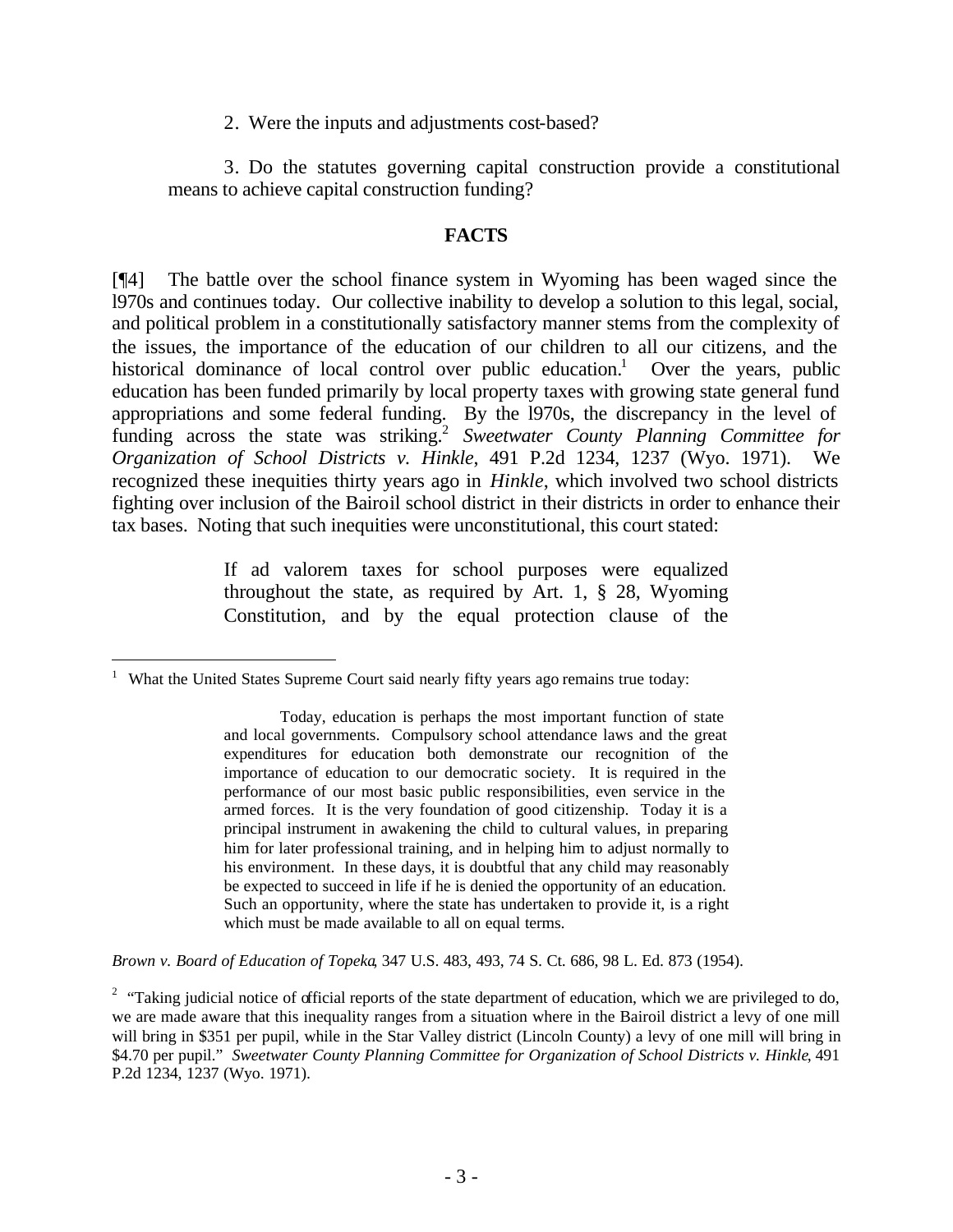2. Were the inputs and adjustments cost-based?

3. Do the statutes governing capital construction provide a constitutional means to achieve capital construction funding?

#### **FACTS**

[¶4] The battle over the school finance system in Wyoming has been waged since the l970s and continues today. Our collective inability to develop a solution to this legal, social, and political problem in a constitutionally satisfactory manner stems from the complexity of the issues, the importance of the education of our children to all our citizens, and the historical dominance of local control over public education.<sup>1</sup> Over the years, public education has been funded primarily by local property taxes with growing state general fund appropriations and some federal funding. By the l970s, the discrepancy in the level of funding across the state was striking.<sup>2</sup> Sweetwater County Planning Committee for *Organization of School Districts v. Hinkle*, 491 P.2d 1234, 1237 (Wyo. 1971). We recognized these inequities thirty years ago in *Hinkle*, which involved two school districts fighting over inclusion of the Bairoil school district in their districts in order to enhance their tax bases. Noting that such inequities were unconstitutional, this court stated:

> If ad valorem taxes for school purposes were equalized throughout the state, as required by Art. 1, § 28, Wyoming Constitution, and by the equal protection clause of the

l

*Brown v. Board of Education of Topeka*, 347 U.S. 483, 493, 74 S. Ct. 686, 98 L. Ed. 873 (1954).

<sup>&</sup>lt;sup>1</sup> What the United States Supreme Court said nearly fifty years ago remains true today:

Today, education is perhaps the most important function of state and local governments. Compulsory school attendance laws and the great expenditures for education both demonstrate our recognition of the importance of education to our democratic society. It is required in the performance of our most basic public responsibilities, even service in the armed forces. It is the very foundation of good citizenship. Today it is a principal instrument in awakening the child to cultural values, in preparing him for later professional training, and in helping him to adjust normally to his environment. In these days, it is doubtful that any child may reasonably be expected to succeed in life if he is denied the opportunity of an education. Such an opportunity, where the state has undertaken to provide it, is a right which must be made available to all on equal terms.

<sup>&</sup>lt;sup>2</sup> "Taking judicial notice of official reports of the state department of education, which we are privileged to do, we are made aware that this inequality ranges from a situation where in the Bairoil district a levy of one mill will bring in \$351 per pupil, while in the Star Valley district (Lincoln County) a levy of one mill will bring in \$4.70 per pupil." *Sweetwater County Planning Committee for Organization of School Districts v. Hinkle*, 491 P.2d 1234, 1237 (Wyo. 1971).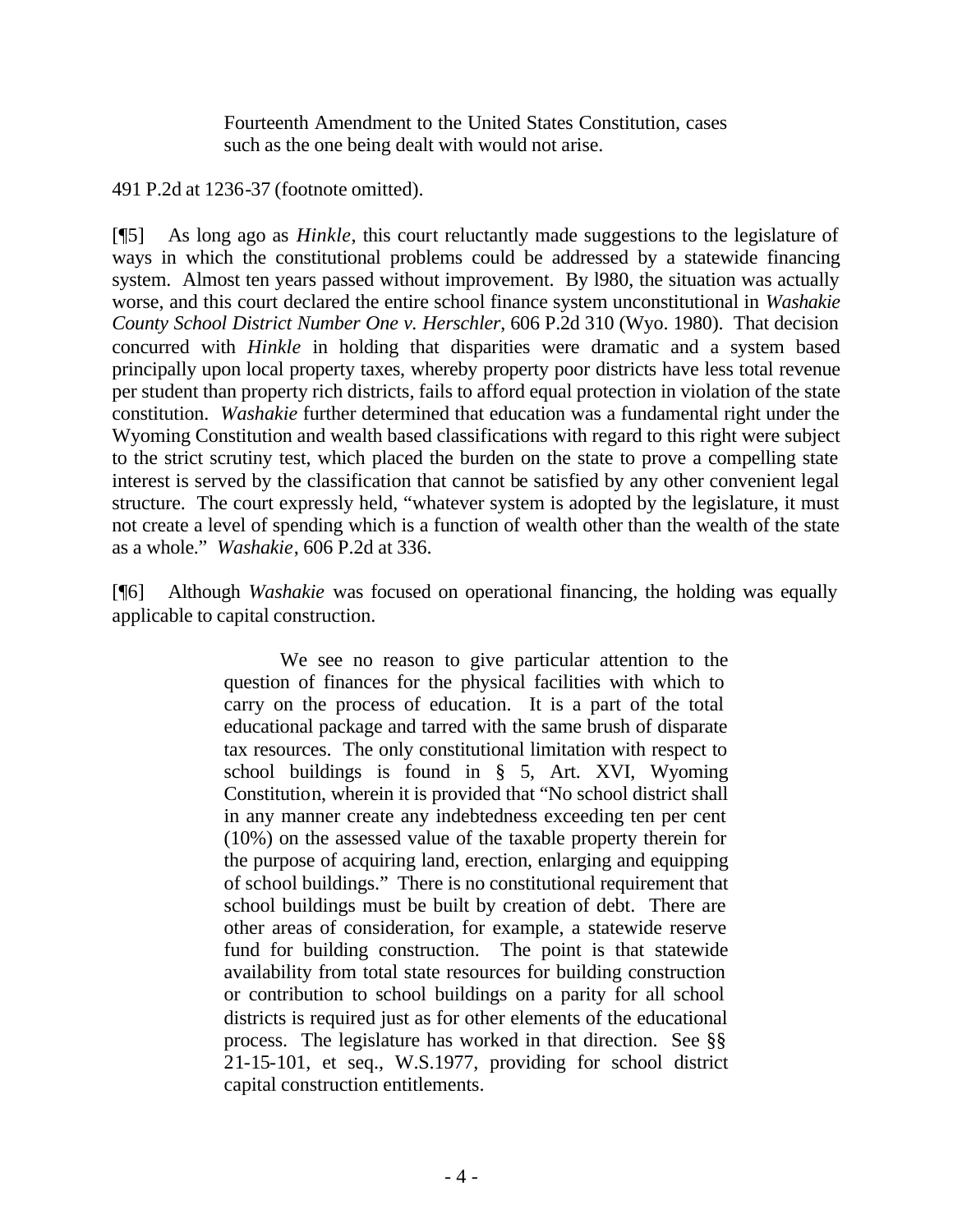Fourteenth Amendment to the United States Constitution, cases such as the one being dealt with would not arise.

491 P.2d at 1236-37 (footnote omitted).

[¶5] As long ago as *Hinkle*, this court reluctantly made suggestions to the legislature of ways in which the constitutional problems could be addressed by a statewide financing system. Almost ten years passed without improvement. By l980, the situation was actually worse, and this court declared the entire school finance system unconstitutional in *Washakie County School District Number One v. Herschler*, 606 P.2d 310 (Wyo. 1980). That decision concurred with *Hinkle* in holding that disparities were dramatic and a system based principally upon local property taxes, whereby property poor districts have less total revenue per student than property rich districts, fails to afford equal protection in violation of the state constitution. *Washakie* further determined that education was a fundamental right under the Wyoming Constitution and wealth based classifications with regard to this right were subject to the strict scrutiny test, which placed the burden on the state to prove a compelling state interest is served by the classification that cannot be satisfied by any other convenient legal structure. The court expressly held, "whatever system is adopted by the legislature, it must not create a level of spending which is a function of wealth other than the wealth of the state as a whole." *Washakie*, 606 P.2d at 336.

[¶6] Although *Washakie* was focused on operational financing, the holding was equally applicable to capital construction.

> We see no reason to give particular attention to the question of finances for the physical facilities with which to carry on the process of education. It is a part of the total educational package and tarred with the same brush of disparate tax resources. The only constitutional limitation with respect to school buildings is found in § 5, Art. XVI, Wyoming Constitution, wherein it is provided that "No school district shall in any manner create any indebtedness exceeding ten per cent (10%) on the assessed value of the taxable property therein for the purpose of acquiring land, erection, enlarging and equipping of school buildings." There is no constitutional requirement that school buildings must be built by creation of debt. There are other areas of consideration, for example, a statewide reserve fund for building construction. The point is that statewide availability from total state resources for building construction or contribution to school buildings on a parity for all school districts is required just as for other elements of the educational process. The legislature has worked in that direction. See §§ 21-15-101, et seq., W.S.1977, providing for school district capital construction entitlements.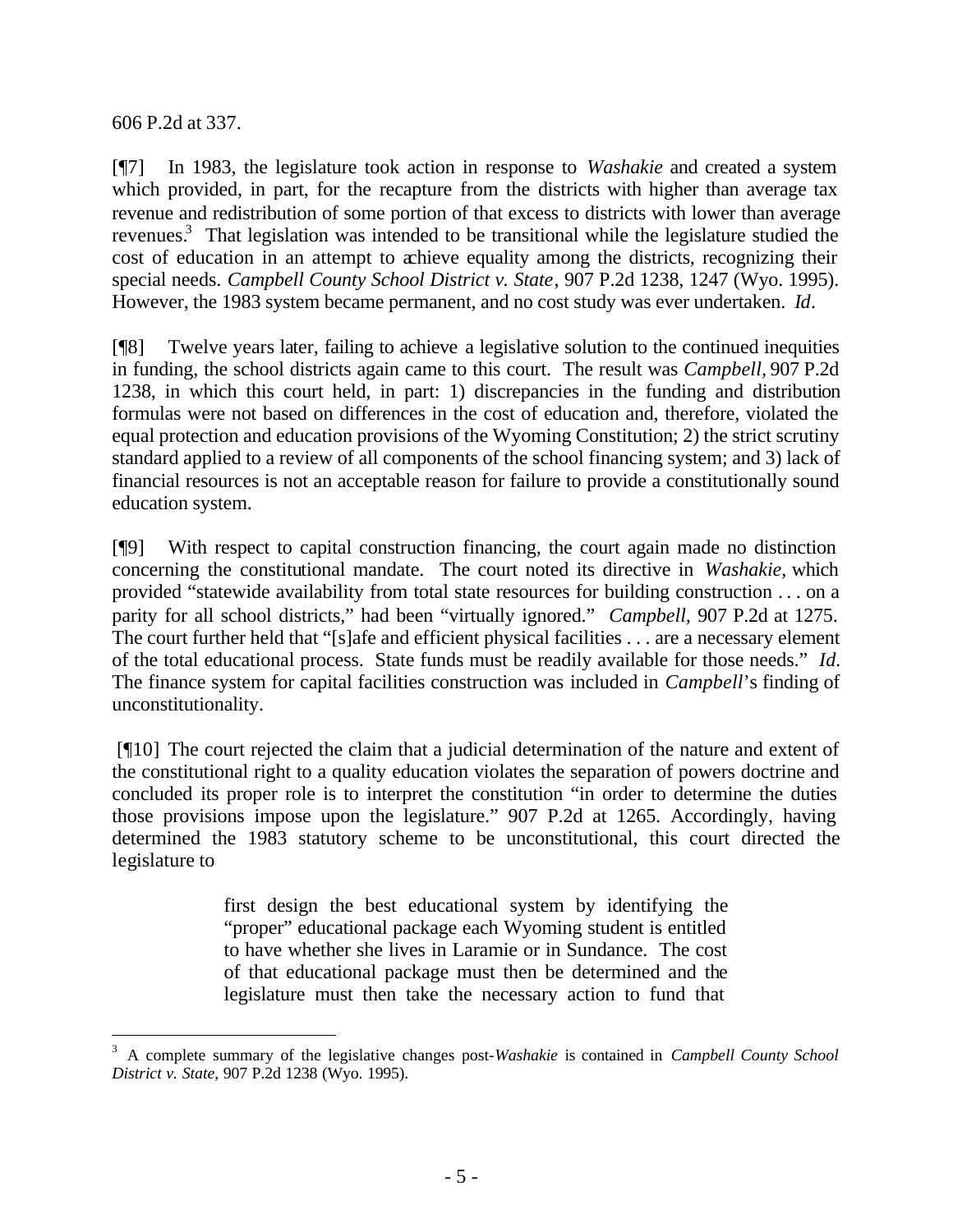606 P.2d at 337.

l

[¶7] In 1983, the legislature took action in response to *Washakie* and created a system which provided, in part, for the recapture from the districts with higher than average tax revenue and redistribution of some portion of that excess to districts with lower than average revenues.<sup>3</sup> That legislation was intended to be transitional while the legislature studied the cost of education in an attempt to achieve equality among the districts, recognizing their special needs. *Campbell County School District v. State*, 907 P.2d 1238, 1247 (Wyo. 1995). However, the 1983 system became permanent, and no cost study was ever undertaken. *Id*.

[¶8] Twelve years later, failing to achieve a legislative solution to the continued inequities in funding, the school districts again came to this court. The result was *Campbell,* 907 P.2d 1238, in which this court held, in part: 1) discrepancies in the funding and distribution formulas were not based on differences in the cost of education and, therefore, violated the equal protection and education provisions of the Wyoming Constitution; 2) the strict scrutiny standard applied to a review of all components of the school financing system; and 3) lack of financial resources is not an acceptable reason for failure to provide a constitutionally sound education system.

[¶9] With respect to capital construction financing, the court again made no distinction concerning the constitutional mandate. The court noted its directive in *Washakie,* which provided "statewide availability from total state resources for building construction . . . on a parity for all school districts," had been "virtually ignored." *Campbell,* 907 P.2d at 1275. The court further held that "[s]afe and efficient physical facilities . . . are a necessary element of the total educational process. State funds must be readily available for those needs." *Id.* The finance system for capital facilities construction was included in *Campbell*'s finding of unconstitutionality.

 [¶10] The court rejected the claim that a judicial determination of the nature and extent of the constitutional right to a quality education violates the separation of powers doctrine and concluded its proper role is to interpret the constitution "in order to determine the duties those provisions impose upon the legislature." 907 P.2d at 1265. Accordingly, having determined the 1983 statutory scheme to be unconstitutional, this court directed the legislature to

> first design the best educational system by identifying the "proper" educational package each Wyoming student is entitled to have whether she lives in Laramie or in Sundance. The cost of that educational package must then be determined and the legislature must then take the necessary action to fund that

<sup>3</sup> A complete summary of the legislative changes post-*Washakie* is contained in *Campbell County School District v. State*, 907 P.2d 1238 (Wyo. 1995).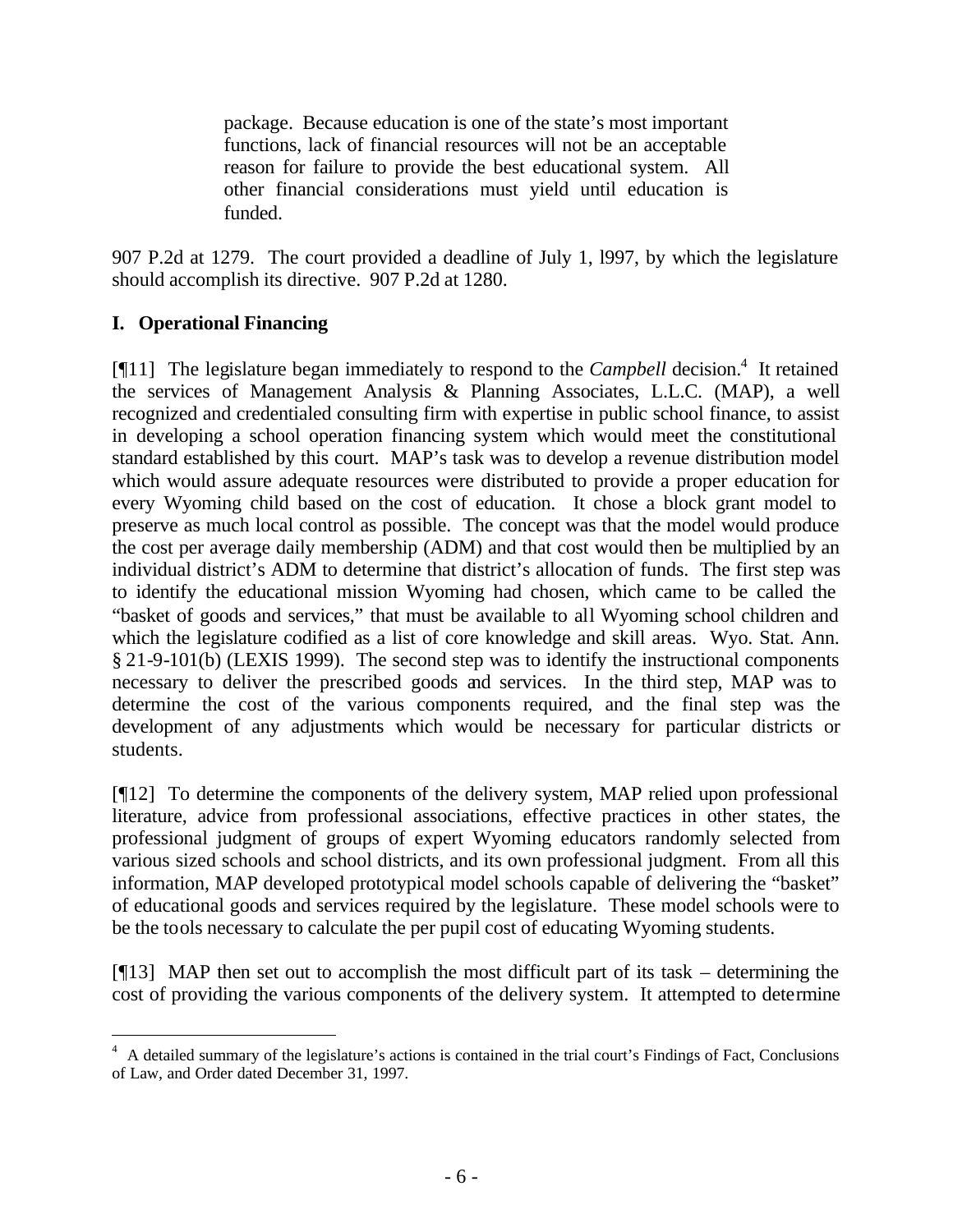package. Because education is one of the state's most important functions, lack of financial resources will not be an acceptable reason for failure to provide the best educational system. All other financial considerations must yield until education is funded.

907 P.2d at 1279. The court provided a deadline of July 1, l997, by which the legislature should accomplish its directive. 907 P.2d at 1280.

## **I. Operational Financing**

l

[¶11] The legislature began immediately to respond to the *Campbell* decision.<sup>4</sup> It retained the services of Management Analysis & Planning Associates, L.L.C. (MAP), a well recognized and credentialed consulting firm with expertise in public school finance, to assist in developing a school operation financing system which would meet the constitutional standard established by this court. MAP's task was to develop a revenue distribution model which would assure adequate resources were distributed to provide a proper education for every Wyoming child based on the cost of education. It chose a block grant model to preserve as much local control as possible. The concept was that the model would produce the cost per average daily membership (ADM) and that cost would then be multiplied by an individual district's ADM to determine that district's allocation of funds. The first step was to identify the educational mission Wyoming had chosen, which came to be called the "basket of goods and services," that must be available to all Wyoming school children and which the legislature codified as a list of core knowledge and skill areas. Wyo. Stat. Ann. § 21-9-101(b) (LEXIS 1999). The second step was to identify the instructional components necessary to deliver the prescribed goods and services. In the third step, MAP was to determine the cost of the various components required, and the final step was the development of any adjustments which would be necessary for particular districts or students.

[¶12] To determine the components of the delivery system, MAP relied upon professional literature, advice from professional associations, effective practices in other states, the professional judgment of groups of expert Wyoming educators randomly selected from various sized schools and school districts, and its own professional judgment. From all this information, MAP developed prototypical model schools capable of delivering the "basket" of educational goods and services required by the legislature. These model schools were to be the tools necessary to calculate the per pupil cost of educating Wyoming students.

 $[13]$  MAP then set out to accomplish the most difficult part of its task – determining the cost of providing the various components of the delivery system. It attempted to determine

<sup>&</sup>lt;sup>4</sup> A detailed summary of the legislature's actions is contained in the trial court's Findings of Fact, Conclusions of Law, and Order dated December 31, 1997.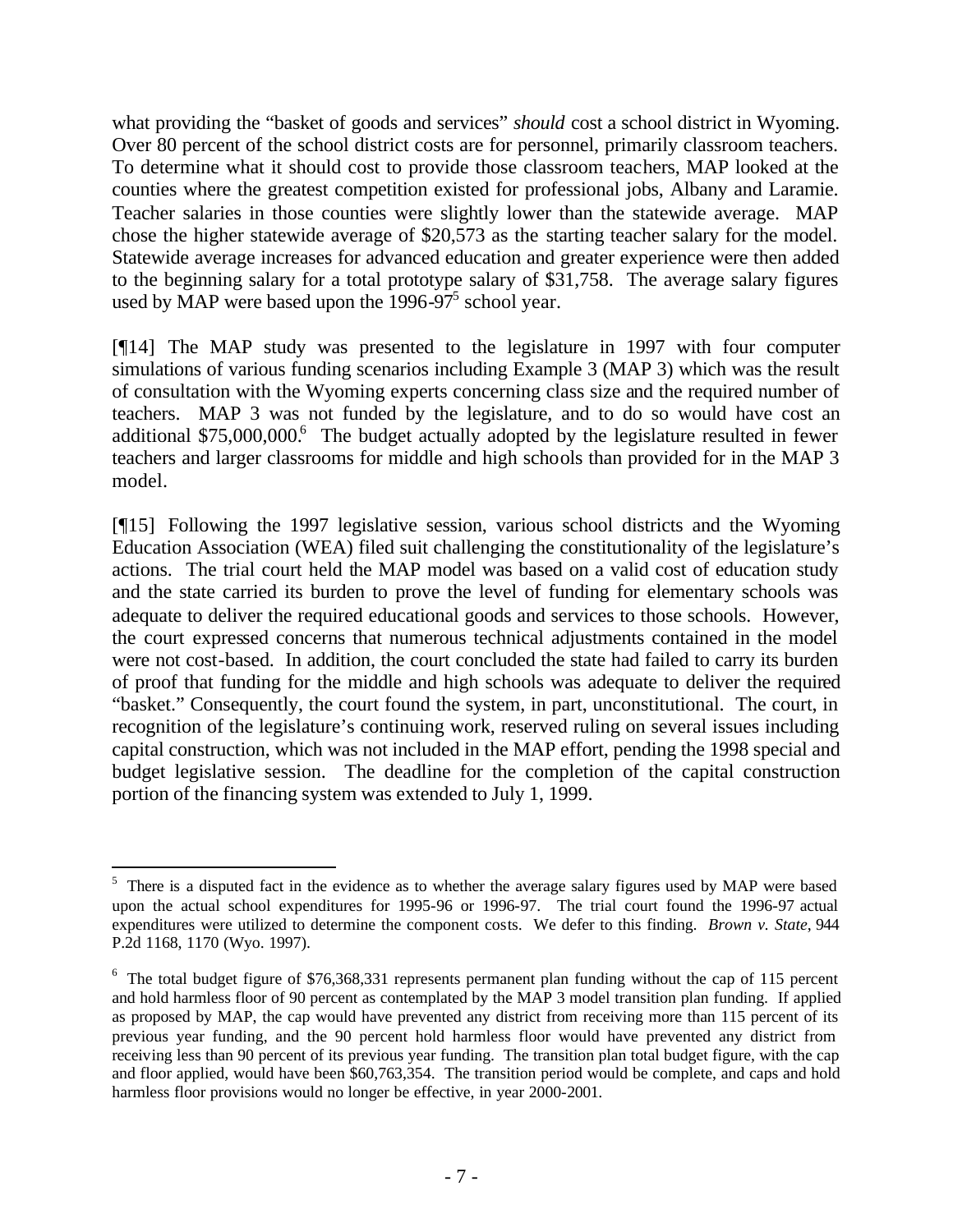what providing the "basket of goods and services" *should* cost a school district in Wyoming. Over 80 percent of the school district costs are for personnel, primarily classroom teachers. To determine what it should cost to provide those classroom teachers, MAP looked at the counties where the greatest competition existed for professional jobs, Albany and Laramie. Teacher salaries in those counties were slightly lower than the statewide average. MAP chose the higher statewide average of \$20,573 as the starting teacher salary for the model. Statewide average increases for advanced education and greater experience were then added to the beginning salary for a total prototype salary of \$31,758. The average salary figures used by MAP were based upon the  $1996-97^5$  school year.

[¶14] The MAP study was presented to the legislature in 1997 with four computer simulations of various funding scenarios including Example 3 (MAP 3) which was the result of consultation with the Wyoming experts concerning class size and the required number of teachers. MAP 3 was not funded by the legislature, and to do so would have cost an additional \$75,000,000.<sup>6</sup> The budget actually adopted by the legislature resulted in fewer teachers and larger classrooms for middle and high schools than provided for in the MAP 3 model.

[¶15] Following the 1997 legislative session, various school districts and the Wyoming Education Association (WEA) filed suit challenging the constitutionality of the legislature's actions. The trial court held the MAP model was based on a valid cost of education study and the state carried its burden to prove the level of funding for elementary schools was adequate to deliver the required educational goods and services to those schools. However, the court expressed concerns that numerous technical adjustments contained in the model were not cost-based. In addition, the court concluded the state had failed to carry its burden of proof that funding for the middle and high schools was adequate to deliver the required "basket." Consequently, the court found the system, in part, unconstitutional. The court, in recognition of the legislature's continuing work, reserved ruling on several issues including capital construction, which was not included in the MAP effort, pending the 1998 special and budget legislative session. The deadline for the completion of the capital construction portion of the financing system was extended to July 1, 1999.

<sup>&</sup>lt;sup>5</sup> There is a disputed fact in the evidence as to whether the average salary figures used by MAP were based upon the actual school expenditures for 1995-96 or 1996-97. The trial court found the 1996-97 actual expenditures were utilized to determine the component costs. We defer to this finding. *Brown v. State*, 944 P.2d 1168, 1170 (Wyo. 1997).

 $6$  The total budget figure of \$76,368,331 represents permanent plan funding without the cap of 115 percent and hold harmless floor of 90 percent as contemplated by the MAP 3 model transition plan funding. If applied as proposed by MAP, the cap would have prevented any district from receiving more than 115 percent of its previous year funding, and the 90 percent hold harmless floor would have prevented any district from receiving less than 90 percent of its previous year funding. The transition plan total budget figure, with the cap and floor applied, would have been \$60,763,354. The transition period would be complete, and caps and hold harmless floor provisions would no longer be effective, in year 2000-2001.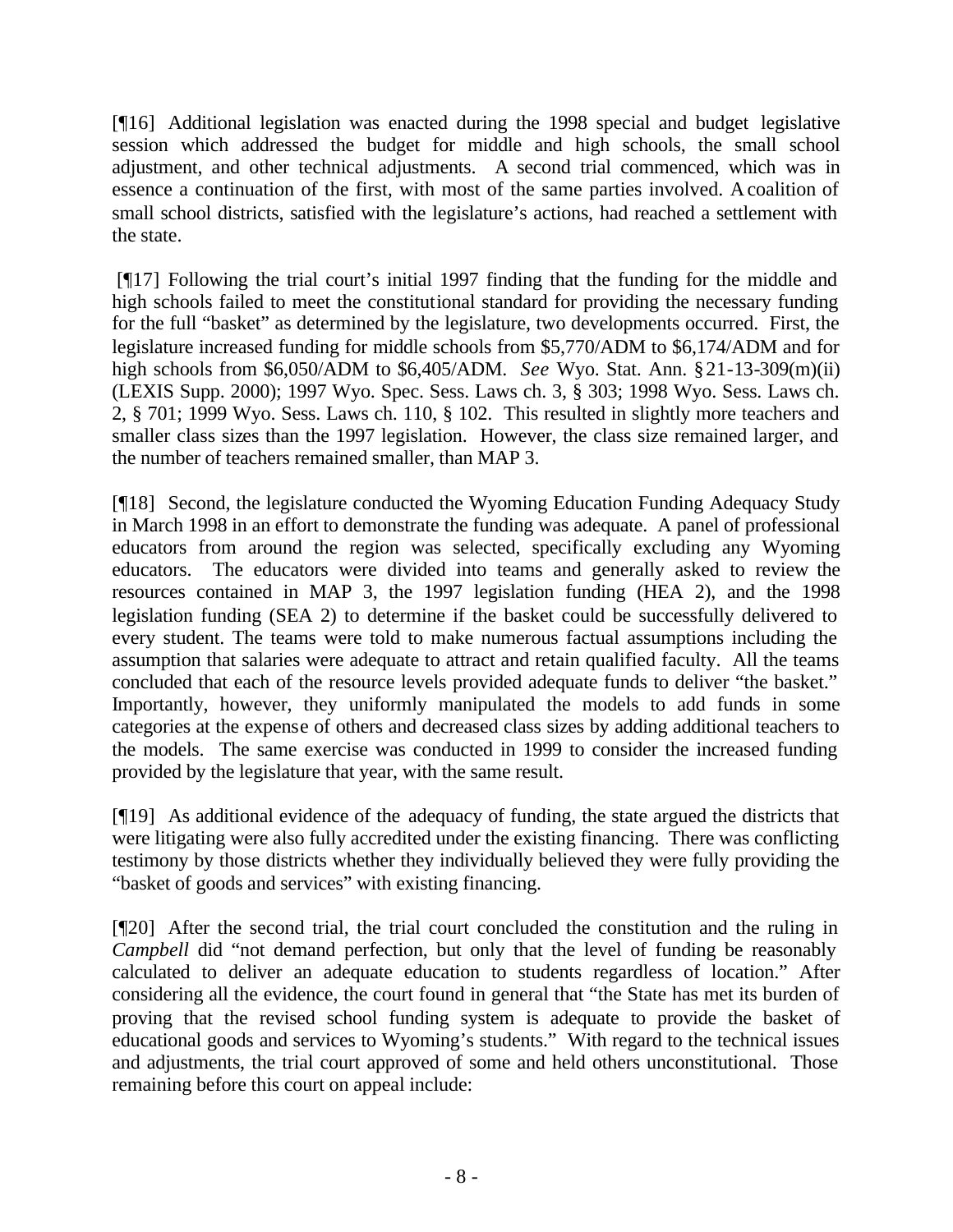[¶16] Additional legislation was enacted during the 1998 special and budget legislative session which addressed the budget for middle and high schools, the small school adjustment, and other technical adjustments. A second trial commenced, which was in essence a continuation of the first, with most of the same parties involved. A coalition of small school districts, satisfied with the legislature's actions, had reached a settlement with the state.

[¶17] Following the trial court's initial 1997 finding that the funding for the middle and high schools failed to meet the constitutional standard for providing the necessary funding for the full "basket" as determined by the legislature, two developments occurred. First, the legislature increased funding for middle schools from \$5,770/ADM to \$6,174/ADM and for high schools from \$6,050/ADM to \$6,405/ADM. *See* Wyo. Stat. Ann. §21-13-309(m)(ii) (LEXIS Supp. 2000); 1997 Wyo. Spec. Sess. Laws ch. 3, § 303; 1998 Wyo. Sess. Laws ch. 2, § 701; 1999 Wyo. Sess. Laws ch. 110, § 102. This resulted in slightly more teachers and smaller class sizes than the 1997 legislation. However, the class size remained larger, and the number of teachers remained smaller, than MAP 3.

[¶18] Second, the legislature conducted the Wyoming Education Funding Adequacy Study in March 1998 in an effort to demonstrate the funding was adequate. A panel of professional educators from around the region was selected, specifically excluding any Wyoming educators. The educators were divided into teams and generally asked to review the resources contained in MAP 3, the 1997 legislation funding (HEA 2), and the 1998 legislation funding (SEA 2) to determine if the basket could be successfully delivered to every student. The teams were told to make numerous factual assumptions including the assumption that salaries were adequate to attract and retain qualified faculty. All the teams concluded that each of the resource levels provided adequate funds to deliver "the basket." Importantly, however, they uniformly manipulated the models to add funds in some categories at the expense of others and decreased class sizes by adding additional teachers to the models. The same exercise was conducted in 1999 to consider the increased funding provided by the legislature that year, with the same result.

[¶19] As additional evidence of the adequacy of funding, the state argued the districts that were litigating were also fully accredited under the existing financing. There was conflicting testimony by those districts whether they individually believed they were fully providing the "basket of goods and services" with existing financing.

[¶20] After the second trial, the trial court concluded the constitution and the ruling in *Campbell* did "not demand perfection, but only that the level of funding be reasonably calculated to deliver an adequate education to students regardless of location." After considering all the evidence, the court found in general that "the State has met its burden of proving that the revised school funding system is adequate to provide the basket of educational goods and services to Wyoming's students." With regard to the technical issues and adjustments, the trial court approved of some and held others unconstitutional. Those remaining before this court on appeal include: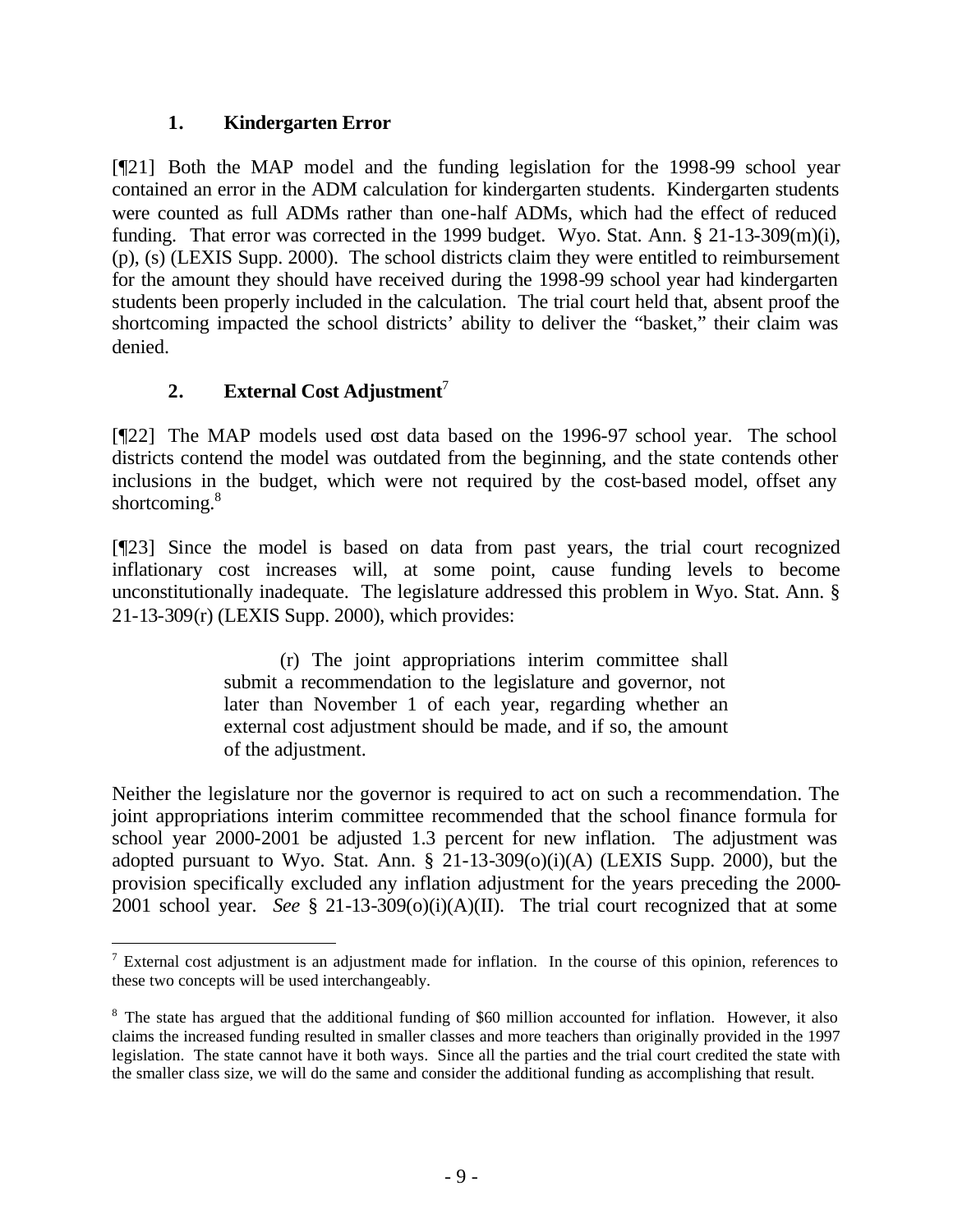## **1. Kindergarten Error**

[¶21] Both the MAP model and the funding legislation for the 1998-99 school year contained an error in the ADM calculation for kindergarten students. Kindergarten students were counted as full ADMs rather than one-half ADMs, which had the effect of reduced funding. That error was corrected in the 1999 budget. Wyo. Stat. Ann. § 21-13-309(m)(i), (p), (s) (LEXIS Supp. 2000). The school districts claim they were entitled to reimbursement for the amount they should have received during the 1998-99 school year had kindergarten students been properly included in the calculation. The trial court held that, absent proof the shortcoming impacted the school districts' ability to deliver the "basket," their claim was denied.

# **2. External Cost Adjustment**<sup>7</sup>

[¶22] The MAP models used cost data based on the 1996-97 school year. The school districts contend the model was outdated from the beginning, and the state contends other inclusions in the budget, which were not required by the cost-based model, offset any shortcoming.<sup>8</sup>

[¶23] Since the model is based on data from past years, the trial court recognized inflationary cost increases will, at some point, cause funding levels to become unconstitutionally inadequate. The legislature addressed this problem in Wyo. Stat. Ann. § 21-13-309(r) (LEXIS Supp. 2000), which provides:

> (r) The joint appropriations interim committee shall submit a recommendation to the legislature and governor, not later than November 1 of each year, regarding whether an external cost adjustment should be made, and if so, the amount of the adjustment.

Neither the legislature nor the governor is required to act on such a recommendation. The joint appropriations interim committee recommended that the school finance formula for school year 2000-2001 be adjusted 1.3 percent for new inflation. The adjustment was adopted pursuant to Wyo. Stat. Ann.  $\S$  21-13-309(o)(i)(A) (LEXIS Supp. 2000), but the provision specifically excluded any inflation adjustment for the years preceding the 2000- 2001 school year. *See* § 21-13-309(o)(i)(A)(II). The trial court recognized that at some

l  $7$  External cost adjustment is an adjustment made for inflation. In the course of this opinion, references to these two concepts will be used interchangeably.

<sup>&</sup>lt;sup>8</sup> The state has argued that the additional funding of \$60 million accounted for inflation. However, it also claims the increased funding resulted in smaller classes and more teachers than originally provided in the 1997 legislation. The state cannot have it both ways. Since all the parties and the trial court credited the state with the smaller class size, we will do the same and consider the additional funding as accomplishing that result.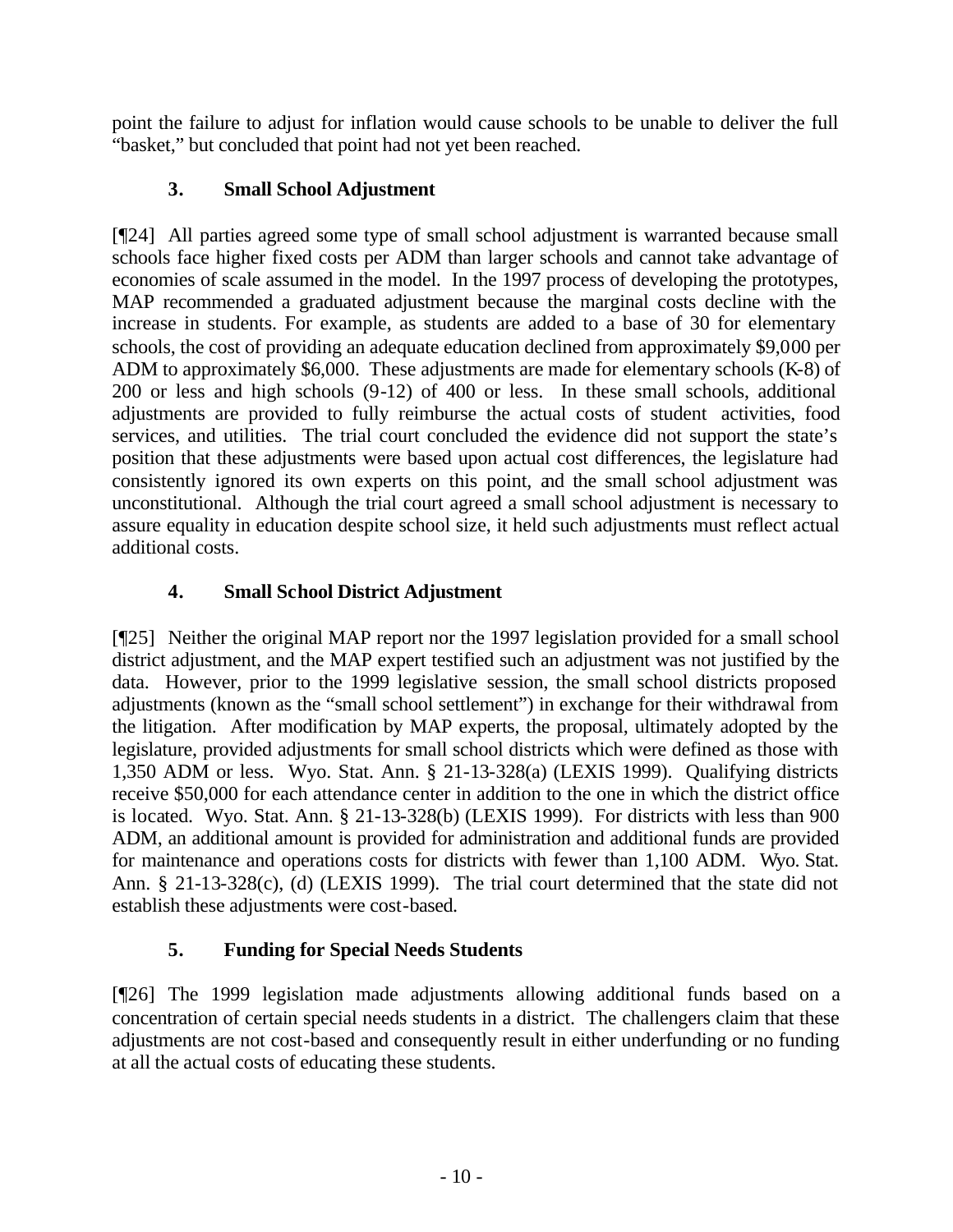point the failure to adjust for inflation would cause schools to be unable to deliver the full "basket," but concluded that point had not yet been reached.

# **3. Small School Adjustment**

[¶24] All parties agreed some type of small school adjustment is warranted because small schools face higher fixed costs per ADM than larger schools and cannot take advantage of economies of scale assumed in the model. In the 1997 process of developing the prototypes, MAP recommended a graduated adjustment because the marginal costs decline with the increase in students. For example, as students are added to a base of 30 for elementary schools, the cost of providing an adequate education declined from approximately \$9,000 per ADM to approximately \$6,000. These adjustments are made for elementary schools (K-8) of 200 or less and high schools (9-12) of 400 or less. In these small schools, additional adjustments are provided to fully reimburse the actual costs of student activities, food services, and utilities. The trial court concluded the evidence did not support the state's position that these adjustments were based upon actual cost differences, the legislature had consistently ignored its own experts on this point, and the small school adjustment was unconstitutional. Although the trial court agreed a small school adjustment is necessary to assure equality in education despite school size, it held such adjustments must reflect actual additional costs.

# **4. Small School District Adjustment**

[¶25] Neither the original MAP report nor the 1997 legislation provided for a small school district adjustment, and the MAP expert testified such an adjustment was not justified by the data. However, prior to the 1999 legislative session, the small school districts proposed adjustments (known as the "small school settlement") in exchange for their withdrawal from the litigation. After modification by MAP experts, the proposal, ultimately adopted by the legislature, provided adjustments for small school districts which were defined as those with 1,350 ADM or less. Wyo. Stat. Ann. § 21-13-328(a) (LEXIS 1999). Qualifying districts receive \$50,000 for each attendance center in addition to the one in which the district office is located. Wyo. Stat. Ann. § 21-13-328(b) (LEXIS 1999). For districts with less than 900 ADM, an additional amount is provided for administration and additional funds are provided for maintenance and operations costs for districts with fewer than 1,100 ADM. Wyo. Stat. Ann. § 21-13-328(c), (d) (LEXIS 1999). The trial court determined that the state did not establish these adjustments were cost-based.

# **5. Funding for Special Needs Students**

[¶26] The 1999 legislation made adjustments allowing additional funds based on a concentration of certain special needs students in a district. The challengers claim that these adjustments are not cost-based and consequently result in either underfunding or no funding at all the actual costs of educating these students.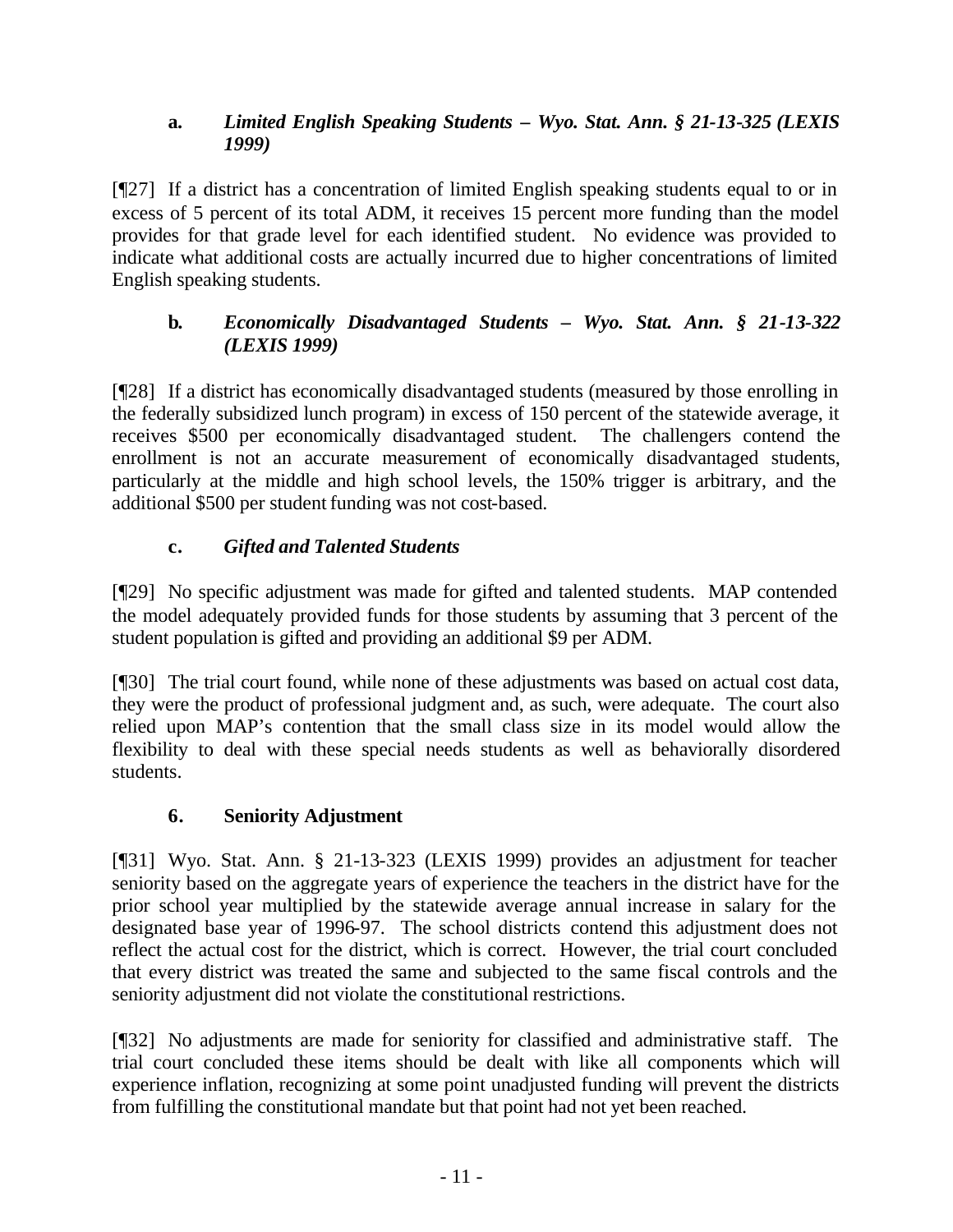## **a.** *Limited English Speaking Students – Wyo. Stat. Ann. § 21-13-325 (LEXIS 1999)*

[¶27] If a district has a concentration of limited English speaking students equal to or in excess of 5 percent of its total ADM, it receives 15 percent more funding than the model provides for that grade level for each identified student. No evidence was provided to indicate what additional costs are actually incurred due to higher concentrations of limited English speaking students.

## **b***. Economically Disadvantaged Students – Wyo. Stat. Ann. § 21-13-322 (LEXIS 1999)*

[¶28] If a district has economically disadvantaged students (measured by those enrolling in the federally subsidized lunch program) in excess of 150 percent of the statewide average, it receives \$500 per economically disadvantaged student. The challengers contend the enrollment is not an accurate measurement of economically disadvantaged students, particularly at the middle and high school levels, the 150% trigger is arbitrary, and the additional \$500 per student funding was not cost-based.

# **c.** *Gifted and Talented Students*

[¶29] No specific adjustment was made for gifted and talented students. MAP contended the model adequately provided funds for those students by assuming that 3 percent of the student population is gifted and providing an additional \$9 per ADM.

[¶30] The trial court found, while none of these adjustments was based on actual cost data, they were the product of professional judgment and, as such, were adequate. The court also relied upon MAP's contention that the small class size in its model would allow the flexibility to deal with these special needs students as well as behaviorally disordered students.

# **6. Seniority Adjustment**

[¶31] Wyo. Stat. Ann. § 21-13-323 (LEXIS 1999) provides an adjustment for teacher seniority based on the aggregate years of experience the teachers in the district have for the prior school year multiplied by the statewide average annual increase in salary for the designated base year of 1996-97. The school districts contend this adjustment does not reflect the actual cost for the district, which is correct. However, the trial court concluded that every district was treated the same and subjected to the same fiscal controls and the seniority adjustment did not violate the constitutional restrictions.

[¶32] No adjustments are made for seniority for classified and administrative staff. The trial court concluded these items should be dealt with like all components which will experience inflation, recognizing at some point unadjusted funding will prevent the districts from fulfilling the constitutional mandate but that point had not yet been reached.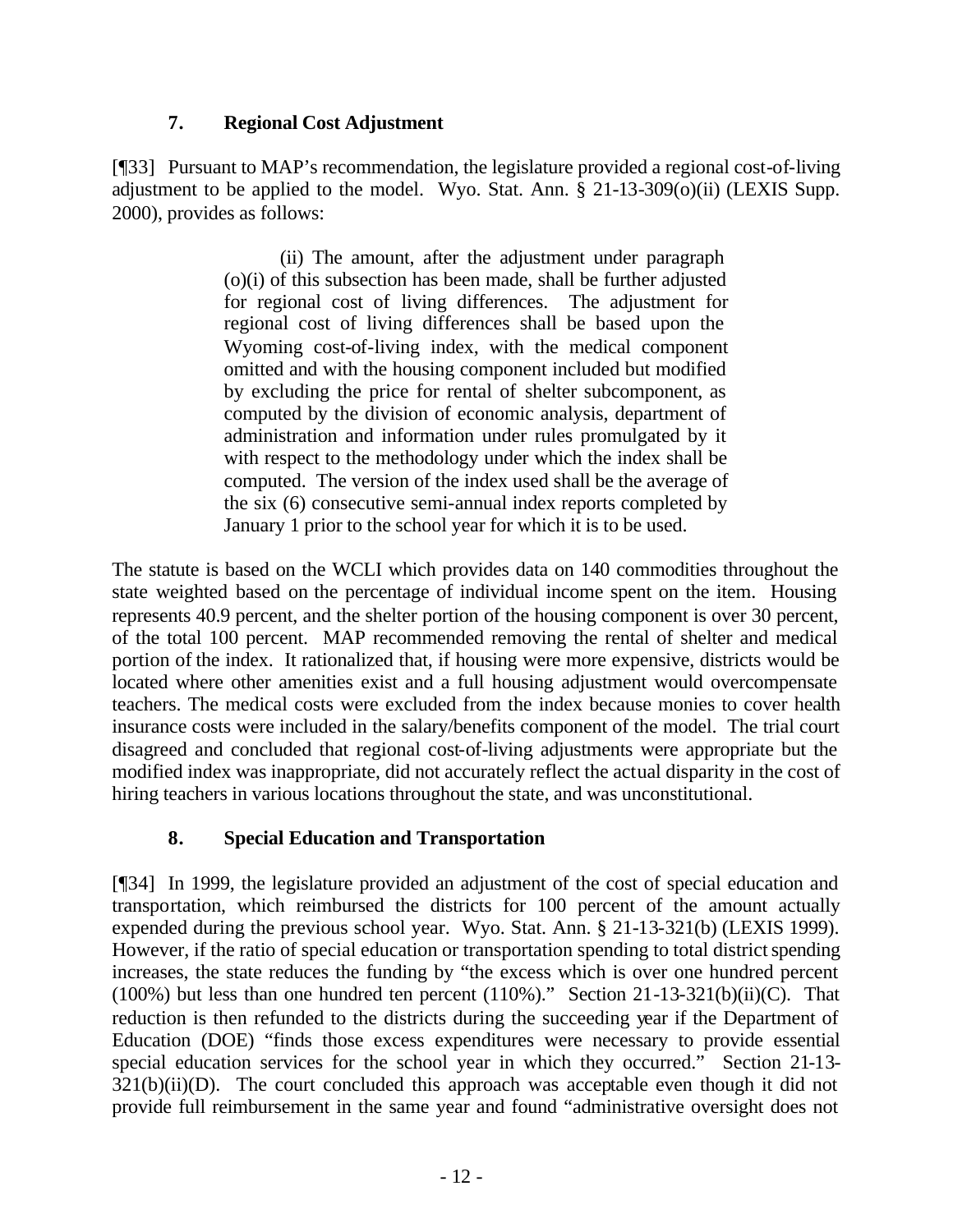## **7. Regional Cost Adjustment**

[¶33] Pursuant to MAP's recommendation, the legislature provided a regional cost-of-living adjustment to be applied to the model. Wyo. Stat. Ann. § 21-13-309(o)(ii) (LEXIS Supp. 2000), provides as follows:

> (ii) The amount, after the adjustment under paragraph (o)(i) of this subsection has been made, shall be further adjusted for regional cost of living differences. The adjustment for regional cost of living differences shall be based upon the Wyoming cost-of-living index, with the medical component omitted and with the housing component included but modified by excluding the price for rental of shelter subcomponent, as computed by the division of economic analysis, department of administration and information under rules promulgated by it with respect to the methodology under which the index shall be computed. The version of the index used shall be the average of the six (6) consecutive semi-annual index reports completed by January 1 prior to the school year for which it is to be used.

The statute is based on the WCLI which provides data on 140 commodities throughout the state weighted based on the percentage of individual income spent on the item. Housing represents 40.9 percent, and the shelter portion of the housing component is over 30 percent, of the total 100 percent. MAP recommended removing the rental of shelter and medical portion of the index. It rationalized that, if housing were more expensive, districts would be located where other amenities exist and a full housing adjustment would overcompensate teachers. The medical costs were excluded from the index because monies to cover health insurance costs were included in the salary/benefits component of the model. The trial court disagreed and concluded that regional cost-of-living adjustments were appropriate but the modified index was inappropriate, did not accurately reflect the actual disparity in the cost of hiring teachers in various locations throughout the state, and was unconstitutional.

# **8. Special Education and Transportation**

[¶34] In 1999, the legislature provided an adjustment of the cost of special education and transportation, which reimbursed the districts for 100 percent of the amount actually expended during the previous school year. Wyo. Stat. Ann. § 21-13-321(b) (LEXIS 1999). However, if the ratio of special education or transportation spending to total district spending increases, the state reduces the funding by "the excess which is over one hundred percent (100%) but less than one hundred ten percent (110%)." Section 21-13-321(b)(ii)(C). That reduction is then refunded to the districts during the succeeding year if the Department of Education (DOE) "finds those excess expenditures were necessary to provide essential special education services for the school year in which they occurred." Section 21-13-  $321(b)(ii)(D)$ . The court concluded this approach was acceptable even though it did not provide full reimbursement in the same year and found "administrative oversight does not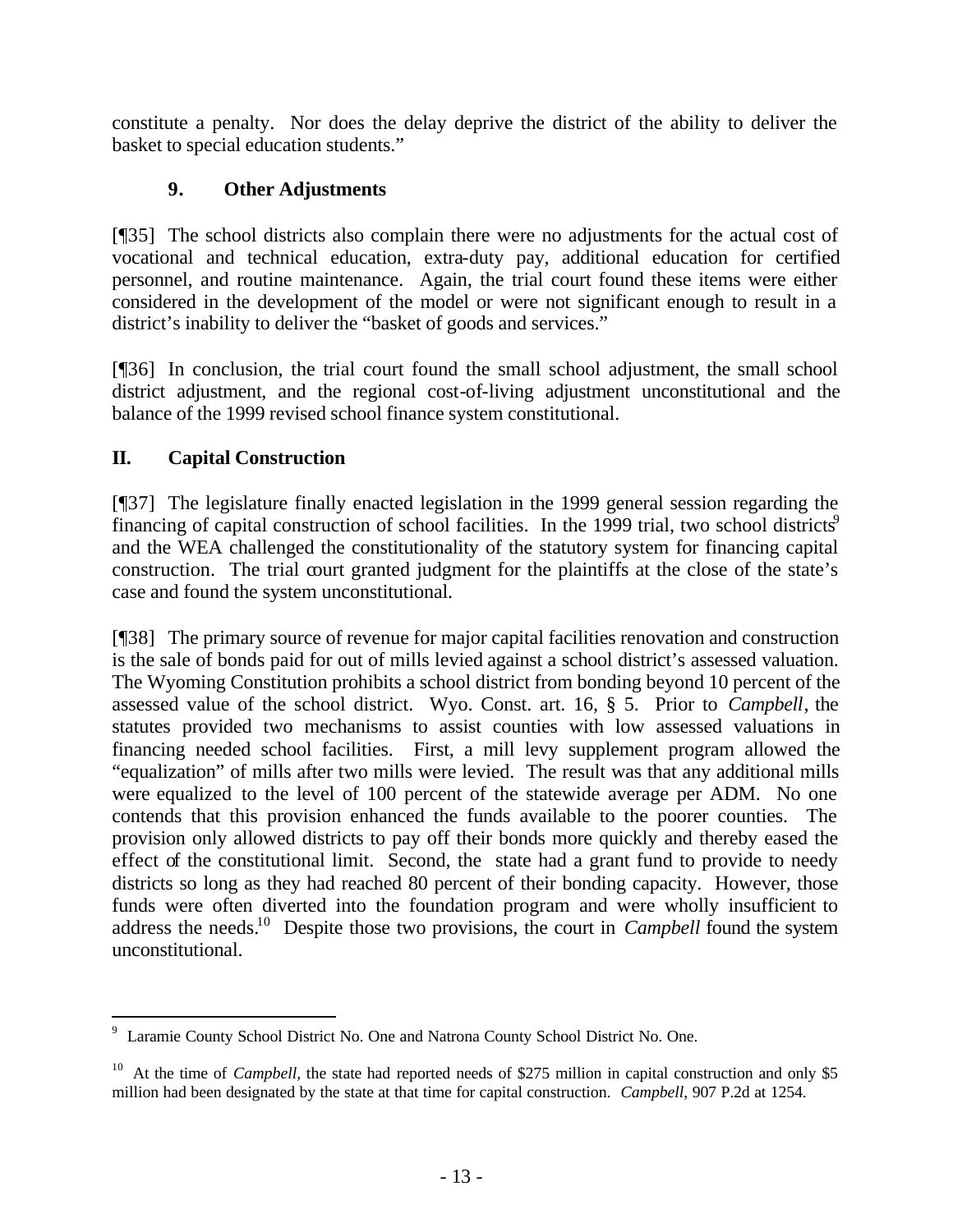constitute a penalty. Nor does the delay deprive the district of the ability to deliver the basket to special education students."

# **9. Other Adjustments**

[¶35] The school districts also complain there were no adjustments for the actual cost of vocational and technical education, extra-duty pay, additional education for certified personnel, and routine maintenance. Again, the trial court found these items were either considered in the development of the model or were not significant enough to result in a district's inability to deliver the "basket of goods and services."

[¶36] In conclusion, the trial court found the small school adjustment, the small school district adjustment, and the regional cost-of-living adjustment unconstitutional and the balance of the 1999 revised school finance system constitutional.

# **II. Capital Construction**

l

[¶37] The legislature finally enacted legislation in the 1999 general session regarding the financing of capital construction of school facilities. In the 1999 trial, two school districts<sup>9</sup> and the WEA challenged the constitutionality of the statutory system for financing capital construction. The trial court granted judgment for the plaintiffs at the close of the state's case and found the system unconstitutional.

[¶38] The primary source of revenue for major capital facilities renovation and construction is the sale of bonds paid for out of mills levied against a school district's assessed valuation. The Wyoming Constitution prohibits a school district from bonding beyond 10 percent of the assessed value of the school district. Wyo. Const. art. 16, § 5. Prior to *Campbell*, the statutes provided two mechanisms to assist counties with low assessed valuations in financing needed school facilities. First, a mill levy supplement program allowed the "equalization" of mills after two mills were levied. The result was that any additional mills were equalized to the level of 100 percent of the statewide average per ADM. No one contends that this provision enhanced the funds available to the poorer counties. The provision only allowed districts to pay off their bonds more quickly and thereby eased the effect of the constitutional limit. Second, the state had a grant fund to provide to needy districts so long as they had reached 80 percent of their bonding capacity. However, those funds were often diverted into the foundation program and were wholly insufficient to address the needs.<sup>10</sup> Despite those two provisions, the court in *Campbell* found the system unconstitutional.

<sup>&</sup>lt;sup>9</sup> Laramie County School District No. One and Natrona County School District No. One.

<sup>&</sup>lt;sup>10</sup> At the time of *Campbell*, the state had reported needs of \$275 million in capital construction and only \$5 million had been designated by the state at that time for capital construction. *Campbell*, 907 P.2d at 1254.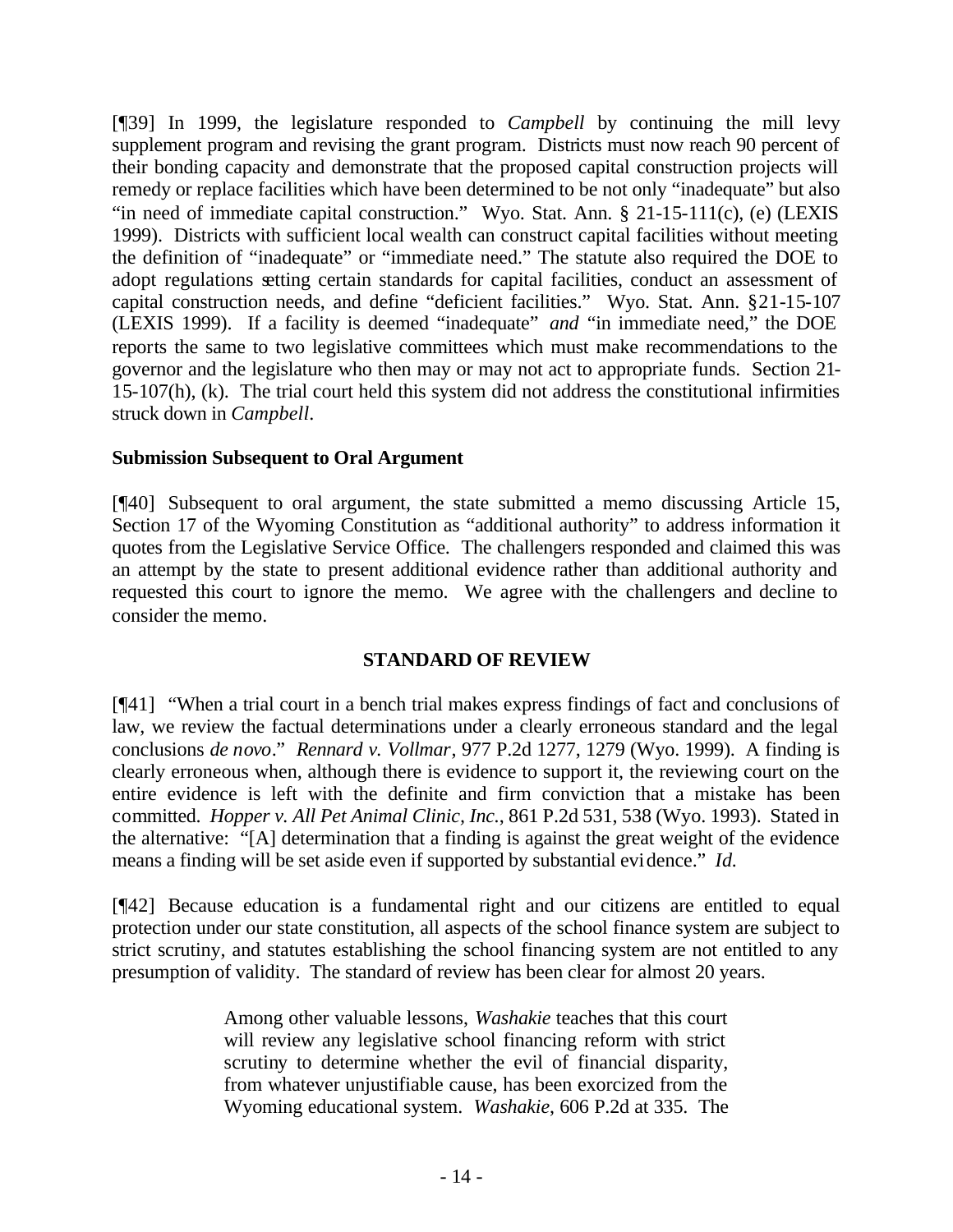[¶39] In 1999, the legislature responded to *Campbell* by continuing the mill levy supplement program and revising the grant program. Districts must now reach 90 percent of their bonding capacity and demonstrate that the proposed capital construction projects will remedy or replace facilities which have been determined to be not only "inadequate" but also "in need of immediate capital construction." Wyo. Stat. Ann. § 21-15-111(c), (e) (LEXIS 1999). Districts with sufficient local wealth can construct capital facilities without meeting the definition of "inadequate" or "immediate need." The statute also required the DOE to adopt regulations setting certain standards for capital facilities, conduct an assessment of capital construction needs, and define "deficient facilities." Wyo. Stat. Ann. §21-15-107 (LEXIS 1999). If a facility is deemed "inadequate" *and* "in immediate need," the DOE reports the same to two legislative committees which must make recommendations to the governor and the legislature who then may or may not act to appropriate funds. Section 21- 15-107(h), (k). The trial court held this system did not address the constitutional infirmities struck down in *Campbell*.

## **Submission Subsequent to Oral Argument**

[¶40] Subsequent to oral argument, the state submitted a memo discussing Article 15, Section 17 of the Wyoming Constitution as "additional authority" to address information it quotes from the Legislative Service Office. The challengers responded and claimed this was an attempt by the state to present additional evidence rather than additional authority and requested this court to ignore the memo. We agree with the challengers and decline to consider the memo.

### **STANDARD OF REVIEW**

[¶41] "When a trial court in a bench trial makes express findings of fact and conclusions of law, we review the factual determinations under a clearly erroneous standard and the legal conclusions *de novo*." *Rennard v. Vollmar*, 977 P.2d 1277, 1279 (Wyo. 1999). A finding is clearly erroneous when, although there is evidence to support it, the reviewing court on the entire evidence is left with the definite and firm conviction that a mistake has been committed. *Hopper v. All Pet Animal Clinic, Inc.*, 861 P.2d 531, 538 (Wyo. 1993). Stated in the alternative: "[A] determination that a finding is against the great weight of the evidence means a finding will be set aside even if supported by substantial evidence." *Id.*

[¶42] Because education is a fundamental right and our citizens are entitled to equal protection under our state constitution, all aspects of the school finance system are subject to strict scrutiny, and statutes establishing the school financing system are not entitled to any presumption of validity. The standard of review has been clear for almost 20 years.

> Among other valuable lessons, *Washakie* teaches that this court will review any legislative school financing reform with strict scrutiny to determine whether the evil of financial disparity, from whatever unjustifiable cause, has been exorcized from the Wyoming educational system. *Washakie*, 606 P.2d at 335. The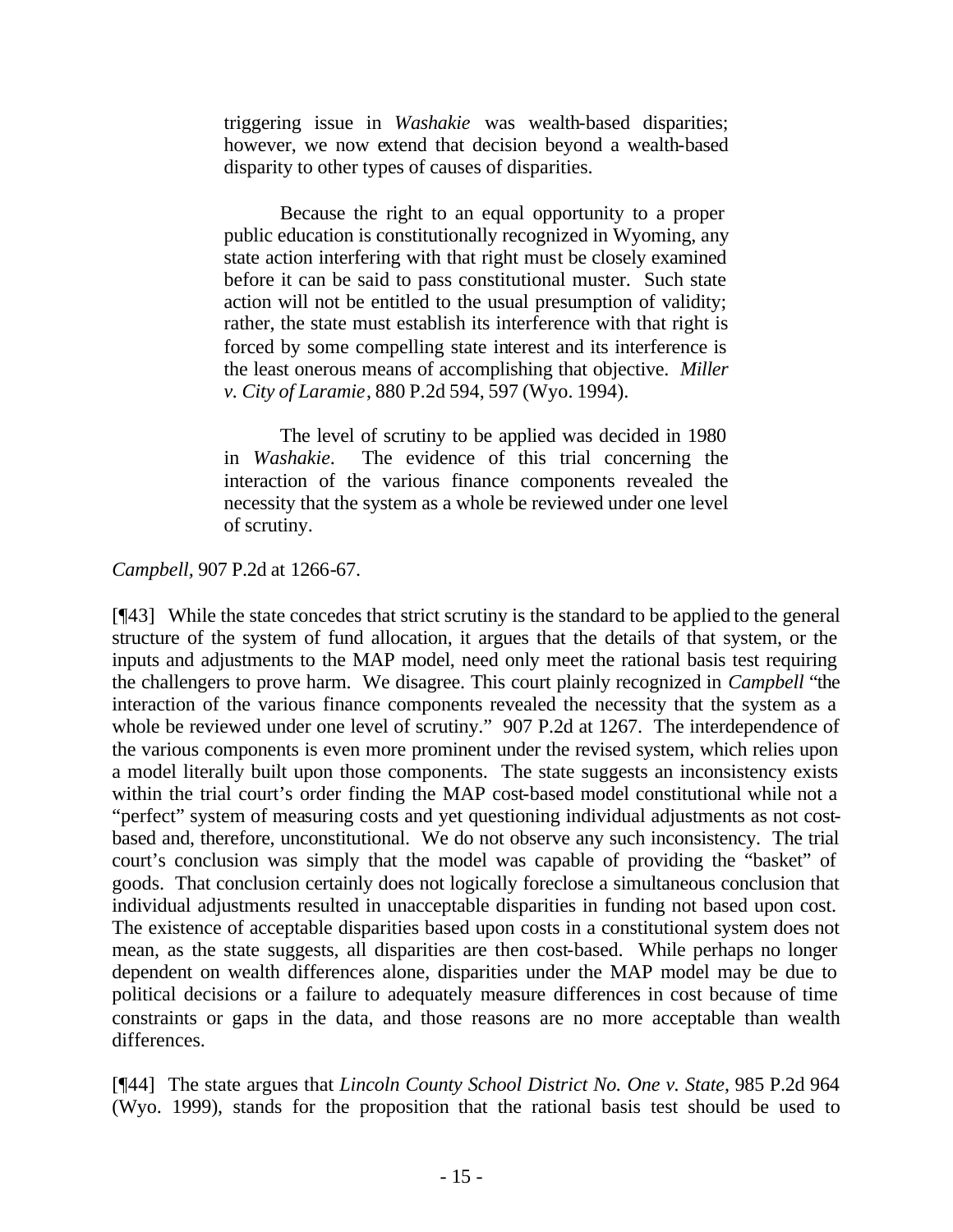triggering issue in *Washakie* was wealth-based disparities; however, we now extend that decision beyond a wealth-based disparity to other types of causes of disparities.

Because the right to an equal opportunity to a proper public education is constitutionally recognized in Wyoming, any state action interfering with that right must be closely examined before it can be said to pass constitutional muster. Such state action will not be entitled to the usual presumption of validity; rather, the state must establish its interference with that right is forced by some compelling state interest and its interference is the least onerous means of accomplishing that objective. *Miller v. City of Laramie*, 880 P.2d 594, 597 (Wyo. 1994).

The level of scrutiny to be applied was decided in 1980 in *Washakie*. The evidence of this trial concerning the interaction of the various finance components revealed the necessity that the system as a whole be reviewed under one level of scrutiny.

## *Campbell,* 907 P.2d at 1266-67.

[¶43] While the state concedes that strict scrutiny is the standard to be applied to the general structure of the system of fund allocation, it argues that the details of that system, or the inputs and adjustments to the MAP model, need only meet the rational basis test requiring the challengers to prove harm. We disagree. This court plainly recognized in *Campbell* "the interaction of the various finance components revealed the necessity that the system as a whole be reviewed under one level of scrutiny." 907 P.2d at 1267. The interdependence of the various components is even more prominent under the revised system, which relies upon a model literally built upon those components. The state suggests an inconsistency exists within the trial court's order finding the MAP cost-based model constitutional while not a "perfect" system of measuring costs and yet questioning individual adjustments as not costbased and, therefore, unconstitutional. We do not observe any such inconsistency. The trial court's conclusion was simply that the model was capable of providing the "basket" of goods. That conclusion certainly does not logically foreclose a simultaneous conclusion that individual adjustments resulted in unacceptable disparities in funding not based upon cost. The existence of acceptable disparities based upon costs in a constitutional system does not mean, as the state suggests, all disparities are then cost-based. While perhaps no longer dependent on wealth differences alone, disparities under the MAP model may be due to political decisions or a failure to adequately measure differences in cost because of time constraints or gaps in the data, and those reasons are no more acceptable than wealth differences.

[¶44] The state argues that *Lincoln County School District No. One v. State*, 985 P.2d 964 (Wyo. 1999), stands for the proposition that the rational basis test should be used to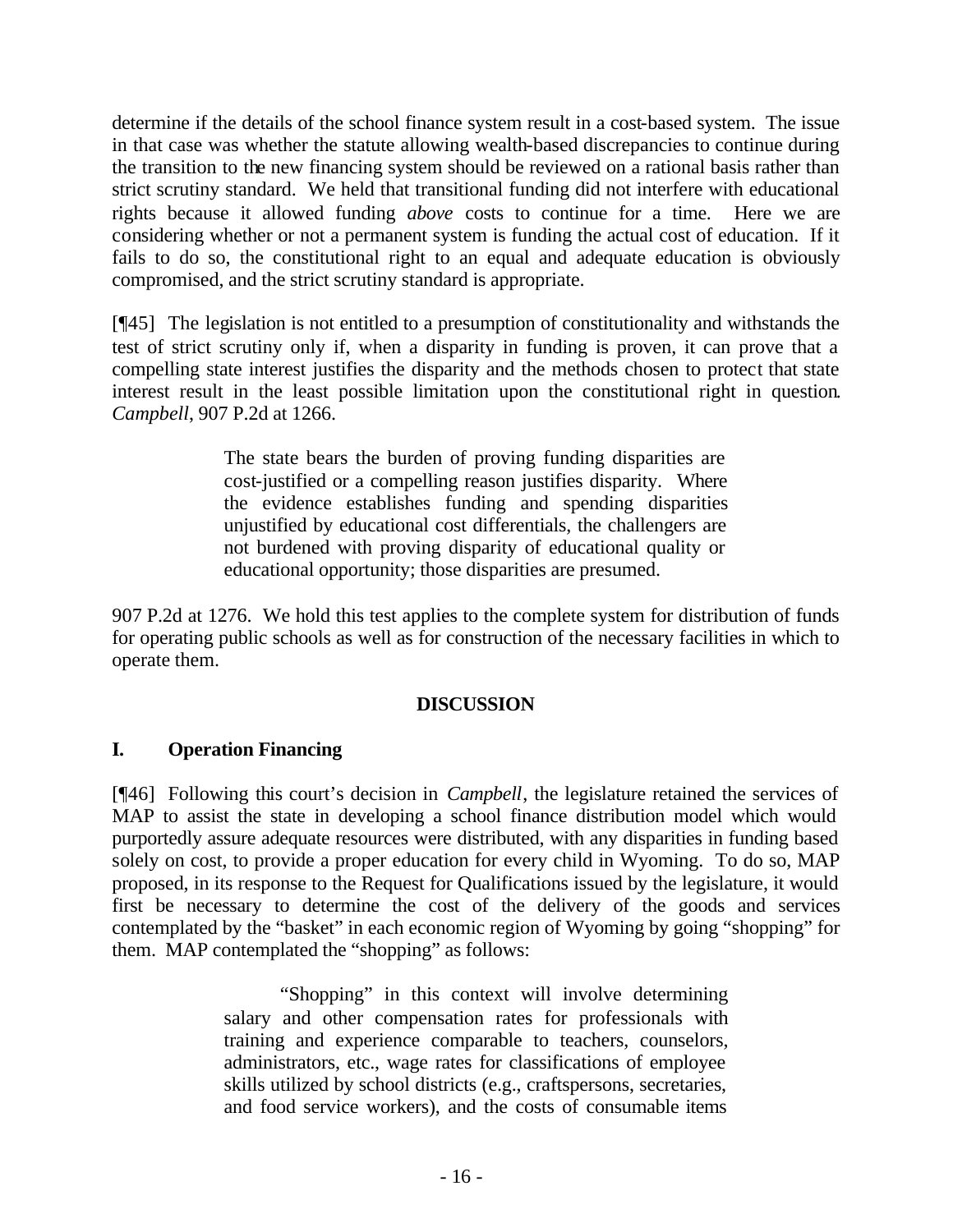determine if the details of the school finance system result in a cost-based system. The issue in that case was whether the statute allowing wealth-based discrepancies to continue during the transition to the new financing system should be reviewed on a rational basis rather than strict scrutiny standard. We held that transitional funding did not interfere with educational rights because it allowed funding *above* costs to continue for a time. Here we are considering whether or not a permanent system is funding the actual cost of education. If it fails to do so, the constitutional right to an equal and adequate education is obviously compromised, and the strict scrutiny standard is appropriate.

[¶45] The legislation is not entitled to a presumption of constitutionality and withstands the test of strict scrutiny only if, when a disparity in funding is proven, it can prove that a compelling state interest justifies the disparity and the methods chosen to protect that state interest result in the least possible limitation upon the constitutional right in question*. Campbell*, 907 P.2d at 1266.

> The state bears the burden of proving funding disparities are cost-justified or a compelling reason justifies disparity. Where the evidence establishes funding and spending disparities unjustified by educational cost differentials, the challengers are not burdened with proving disparity of educational quality or educational opportunity; those disparities are presumed.

907 P.2d at 1276. We hold this test applies to the complete system for distribution of funds for operating public schools as well as for construction of the necessary facilities in which to operate them.

## **DISCUSSION**

## **I. Operation Financing**

[¶46] Following this court's decision in *Campbell*, the legislature retained the services of MAP to assist the state in developing a school finance distribution model which would purportedly assure adequate resources were distributed, with any disparities in funding based solely on cost, to provide a proper education for every child in Wyoming. To do so, MAP proposed, in its response to the Request for Qualifications issued by the legislature, it would first be necessary to determine the cost of the delivery of the goods and services contemplated by the "basket" in each economic region of Wyoming by going "shopping" for them. MAP contemplated the "shopping" as follows:

> "Shopping" in this context will involve determining salary and other compensation rates for professionals with training and experience comparable to teachers, counselors, administrators, etc., wage rates for classifications of employee skills utilized by school districts (e.g., craftspersons, secretaries, and food service workers), and the costs of consumable items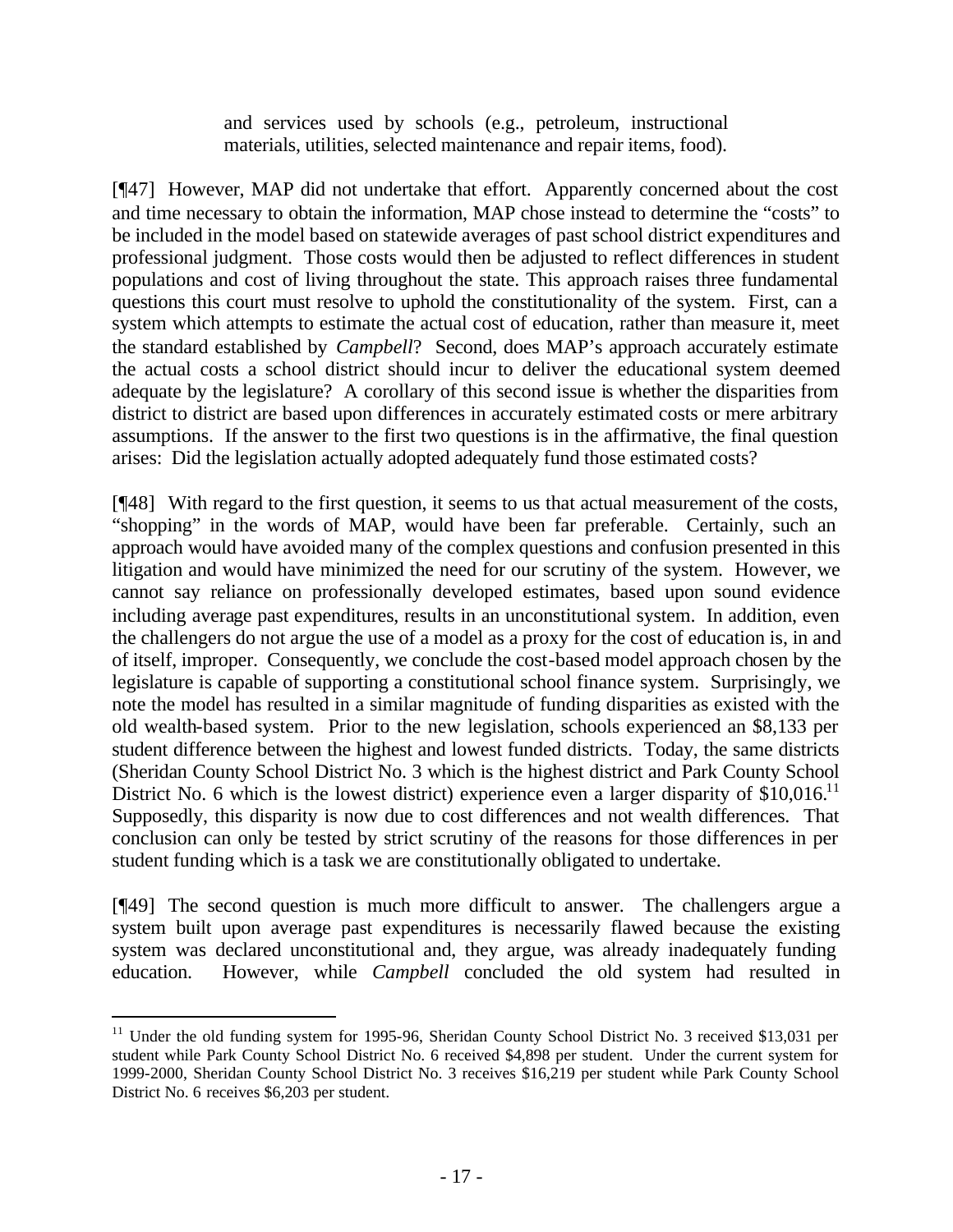and services used by schools (e.g., petroleum, instructional materials, utilities, selected maintenance and repair items, food).

[¶47] However, MAP did not undertake that effort. Apparently concerned about the cost and time necessary to obtain the information, MAP chose instead to determine the "costs" to be included in the model based on statewide averages of past school district expenditures and professional judgment. Those costs would then be adjusted to reflect differences in student populations and cost of living throughout the state. This approach raises three fundamental questions this court must resolve to uphold the constitutionality of the system. First, can a system which attempts to estimate the actual cost of education, rather than measure it, meet the standard established by *Campbell*? Second, does MAP's approach accurately estimate the actual costs a school district should incur to deliver the educational system deemed adequate by the legislature? A corollary of this second issue is whether the disparities from district to district are based upon differences in accurately estimated costs or mere arbitrary assumptions. If the answer to the first two questions is in the affirmative, the final question arises: Did the legislation actually adopted adequately fund those estimated costs?

[¶48] With regard to the first question, it seems to us that actual measurement of the costs, "shopping" in the words of MAP, would have been far preferable. Certainly, such an approach would have avoided many of the complex questions and confusion presented in this litigation and would have minimized the need for our scrutiny of the system. However, we cannot say reliance on professionally developed estimates, based upon sound evidence including average past expenditures, results in an unconstitutional system. In addition, even the challengers do not argue the use of a model as a proxy for the cost of education is, in and of itself, improper. Consequently, we conclude the cost-based model approach chosen by the legislature is capable of supporting a constitutional school finance system. Surprisingly, we note the model has resulted in a similar magnitude of funding disparities as existed with the old wealth-based system. Prior to the new legislation, schools experienced an \$8,133 per student difference between the highest and lowest funded districts. Today, the same districts (Sheridan County School District No. 3 which is the highest district and Park County School District No. 6 which is the lowest district) experience even a larger disparity of  $$10,016$ .<sup>11</sup> Supposedly, this disparity is now due to cost differences and not wealth differences. That conclusion can only be tested by strict scrutiny of the reasons for those differences in per student funding which is a task we are constitutionally obligated to undertake.

[¶49] The second question is much more difficult to answer. The challengers argue a system built upon average past expenditures is necessarily flawed because the existing system was declared unconstitutional and, they argue, was already inadequately funding education. However, while *Campbell* concluded the old system had resulted in

<sup>&</sup>lt;sup>11</sup> Under the old funding system for 1995-96, Sheridan County School District No. 3 received \$13,031 per student while Park County School District No. 6 received \$4,898 per student. Under the current system for 1999-2000, Sheridan County School District No. 3 receives \$16,219 per student while Park County School District No. 6 receives \$6,203 per student.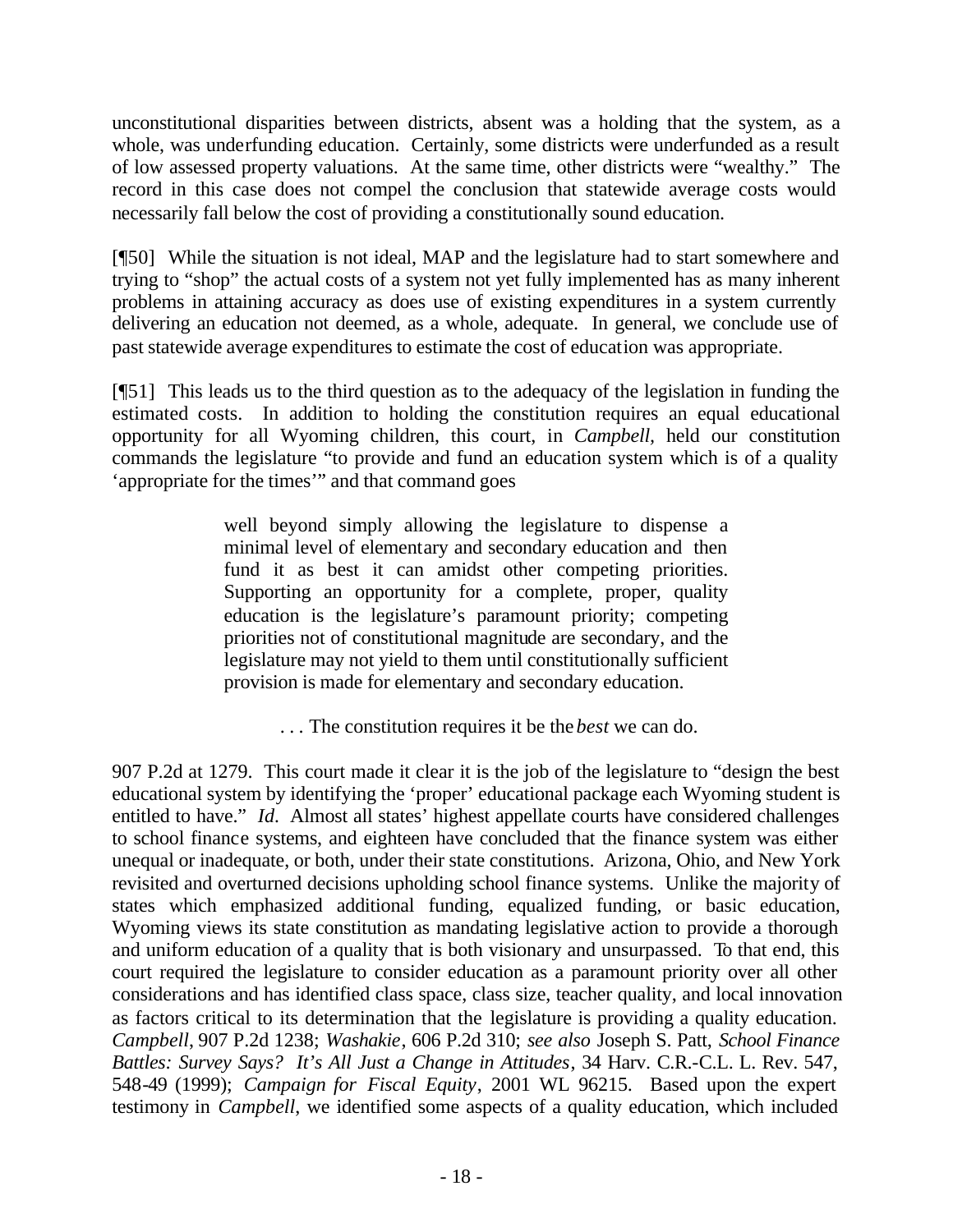unconstitutional disparities between districts, absent was a holding that the system, as a whole, was underfunding education. Certainly, some districts were underfunded as a result of low assessed property valuations. At the same time, other districts were "wealthy." The record in this case does not compel the conclusion that statewide average costs would necessarily fall below the cost of providing a constitutionally sound education.

[¶50] While the situation is not ideal, MAP and the legislature had to start somewhere and trying to "shop" the actual costs of a system not yet fully implemented has as many inherent problems in attaining accuracy as does use of existing expenditures in a system currently delivering an education not deemed, as a whole, adequate. In general, we conclude use of past statewide average expenditures to estimate the cost of education was appropriate.

[¶51] This leads us to the third question as to the adequacy of the legislation in funding the estimated costs. In addition to holding the constitution requires an equal educational opportunity for all Wyoming children, this court, in *Campbell,* held our constitution commands the legislature "to provide and fund an education system which is of a quality 'appropriate for the times'" and that command goes

> well beyond simply allowing the legislature to dispense a minimal level of elementary and secondary education and then fund it as best it can amidst other competing priorities. Supporting an opportunity for a complete, proper, quality education is the legislature's paramount priority; competing priorities not of constitutional magnitude are secondary, and the legislature may not yield to them until constitutionally sufficient provision is made for elementary and secondary education.

> > . . . The constitution requires it be the *best* we can do.

907 P.2d at 1279. This court made it clear it is the job of the legislature to "design the best educational system by identifying the 'proper' educational package each Wyoming student is entitled to have." *Id.* Almost all states' highest appellate courts have considered challenges to school finance systems, and eighteen have concluded that the finance system was either unequal or inadequate, or both, under their state constitutions. Arizona, Ohio, and New York revisited and overturned decisions upholding school finance systems. Unlike the majority of states which emphasized additional funding, equalized funding, or basic education, Wyoming views its state constitution as mandating legislative action to provide a thorough and uniform education of a quality that is both visionary and unsurpassed. To that end, this court required the legislature to consider education as a paramount priority over all other considerations and has identified class space, class size, teacher quality, and local innovation as factors critical to its determination that the legislature is providing a quality education. *Campbell*, 907 P.2d 1238; *Washakie*, 606 P.2d 310; *see also* Joseph S. Patt, *School Finance Battles: Survey Says? It's All Just a Change in Attitudes*, 34 Harv. C.R.-C.L. L. Rev. 547, 548-49 (1999); *Campaign for Fiscal Equity*, 2001 WL 96215. Based upon the expert testimony in *Campbell*, we identified some aspects of a quality education, which included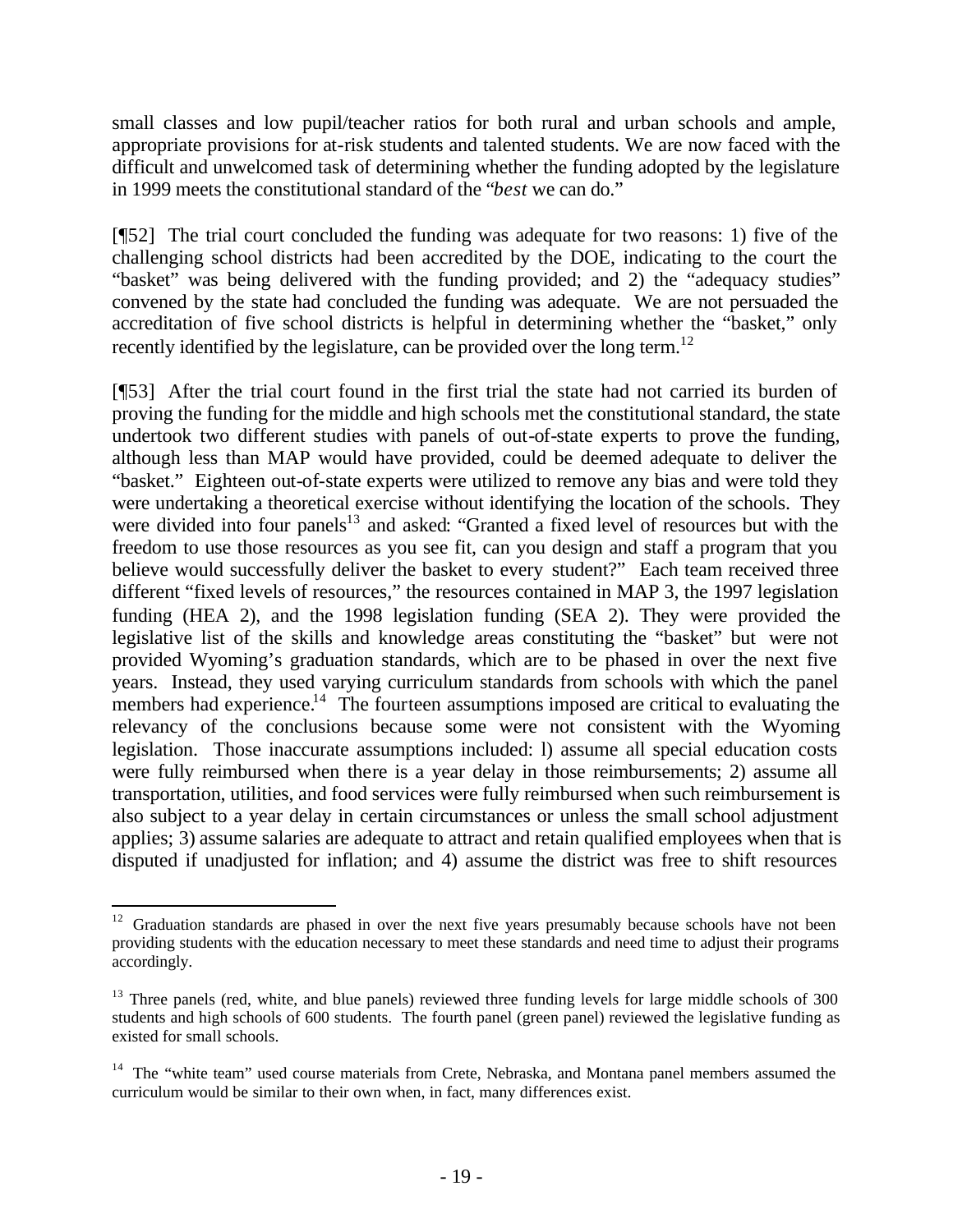small classes and low pupil/teacher ratios for both rural and urban schools and ample, appropriate provisions for at-risk students and talented students. We are now faced with the difficult and unwelcomed task of determining whether the funding adopted by the legislature in 1999 meets the constitutional standard of the "*best* we can do."

[¶52] The trial court concluded the funding was adequate for two reasons: 1) five of the challenging school districts had been accredited by the DOE, indicating to the court the "basket" was being delivered with the funding provided; and 2) the "adequacy studies" convened by the state had concluded the funding was adequate. We are not persuaded the accreditation of five school districts is helpful in determining whether the "basket," only recently identified by the legislature, can be provided over the long term.<sup>12</sup>

[¶53] After the trial court found in the first trial the state had not carried its burden of proving the funding for the middle and high schools met the constitutional standard, the state undertook two different studies with panels of out-of-state experts to prove the funding, although less than MAP would have provided, could be deemed adequate to deliver the "basket." Eighteen out-of-state experts were utilized to remove any bias and were told they were undertaking a theoretical exercise without identifying the location of the schools. They were divided into four panels<sup>13</sup> and asked: "Granted a fixed level of resources but with the freedom to use those resources as you see fit, can you design and staff a program that you believe would successfully deliver the basket to every student?" Each team received three different "fixed levels of resources," the resources contained in MAP 3, the 1997 legislation funding (HEA 2), and the 1998 legislation funding (SEA 2). They were provided the legislative list of the skills and knowledge areas constituting the "basket" but were not provided Wyoming's graduation standards, which are to be phased in over the next five years. Instead, they used varying curriculum standards from schools with which the panel members had experience.<sup>14</sup> The fourteen assumptions imposed are critical to evaluating the relevancy of the conclusions because some were not consistent with the Wyoming legislation. Those inaccurate assumptions included: l) assume all special education costs were fully reimbursed when there is a year delay in those reimbursements; 2) assume all transportation, utilities, and food services were fully reimbursed when such reimbursement is also subject to a year delay in certain circumstances or unless the small school adjustment applies; 3) assume salaries are adequate to attract and retain qualified employees when that is disputed if unadjusted for inflation; and 4) assume the district was free to shift resources

<sup>&</sup>lt;sup>12</sup> Graduation standards are phased in over the next five years presumably because schools have not been providing students with the education necessary to meet these standards and need time to adjust their programs accordingly.

<sup>&</sup>lt;sup>13</sup> Three panels (red, white, and blue panels) reviewed three funding levels for large middle schools of 300 students and high schools of 600 students. The fourth panel (green panel) reviewed the legislative funding as existed for small schools.

<sup>&</sup>lt;sup>14</sup> The "white team" used course materials from Crete, Nebraska, and Montana panel members assumed the curriculum would be similar to their own when, in fact, many differences exist.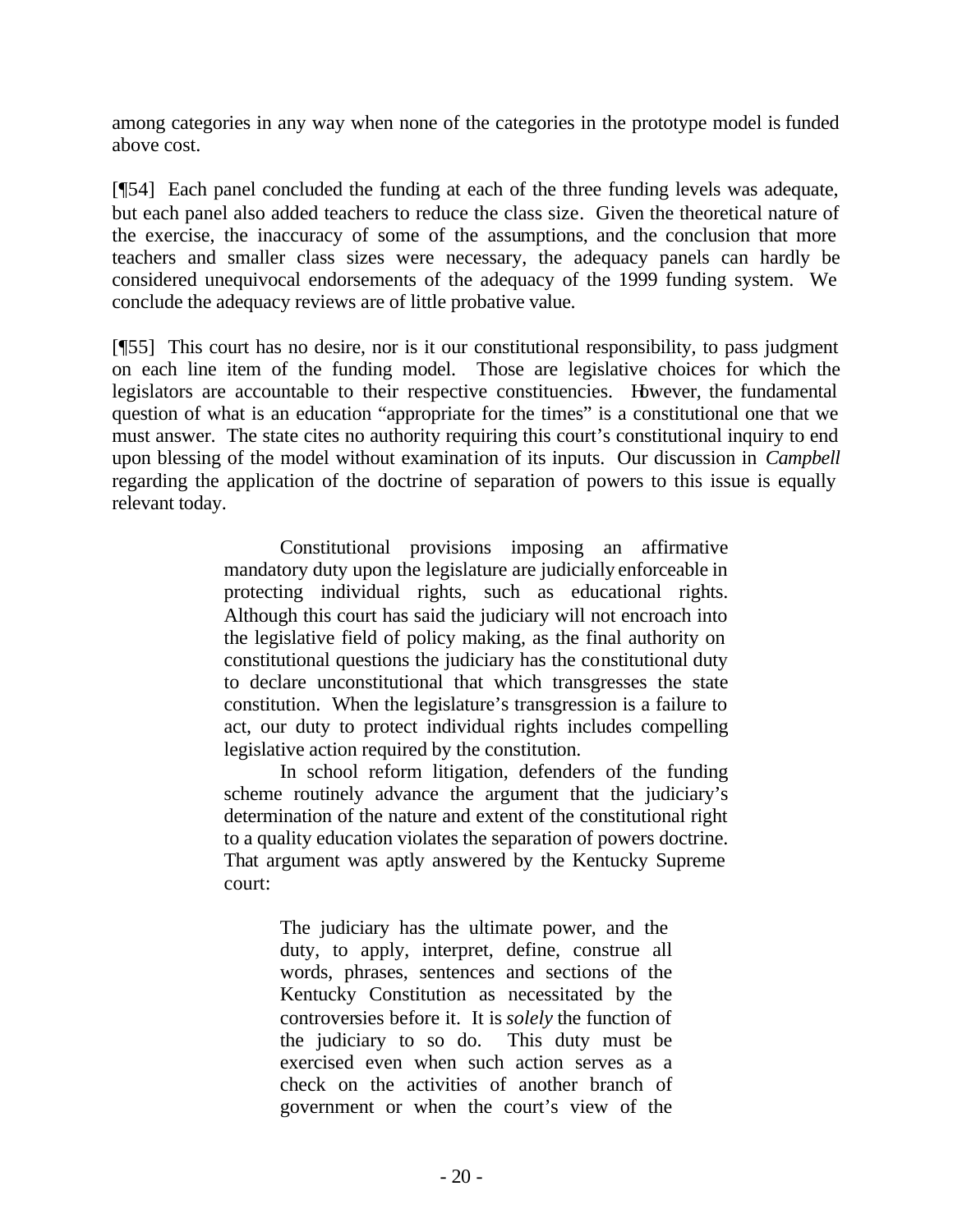among categories in any way when none of the categories in the prototype model is funded above cost.

[¶54] Each panel concluded the funding at each of the three funding levels was adequate, but each panel also added teachers to reduce the class size*.* Given the theoretical nature of the exercise, the inaccuracy of some of the assumptions, and the conclusion that more teachers and smaller class sizes were necessary, the adequacy panels can hardly be considered unequivocal endorsements of the adequacy of the 1999 funding system. We conclude the adequacy reviews are of little probative value.

[¶55] This court has no desire, nor is it our constitutional responsibility, to pass judgment on each line item of the funding model. Those are legislative choices for which the legislators are accountable to their respective constituencies. However, the fundamental question of what is an education "appropriate for the times" is a constitutional one that we must answer. The state cites no authority requiring this court's constitutional inquiry to end upon blessing of the model without examination of its inputs. Our discussion in *Campbell* regarding the application of the doctrine of separation of powers to this issue is equally relevant today.

> Constitutional provisions imposing an affirmative mandatory duty upon the legislature are judicially enforceable in protecting individual rights, such as educational rights. Although this court has said the judiciary will not encroach into the legislative field of policy making, as the final authority on constitutional questions the judiciary has the constitutional duty to declare unconstitutional that which transgresses the state constitution. When the legislature's transgression is a failure to act, our duty to protect individual rights includes compelling legislative action required by the constitution.

> In school reform litigation, defenders of the funding scheme routinely advance the argument that the judiciary's determination of the nature and extent of the constitutional right to a quality education violates the separation of powers doctrine. That argument was aptly answered by the Kentucky Supreme court:

> > The judiciary has the ultimate power, and the duty, to apply, interpret, define, construe all words, phrases, sentences and sections of the Kentucky Constitution as necessitated by the controversies before it. It is *solely* the function of the judiciary to so do. This duty must be exercised even when such action serves as a check on the activities of another branch of government or when the court's view of the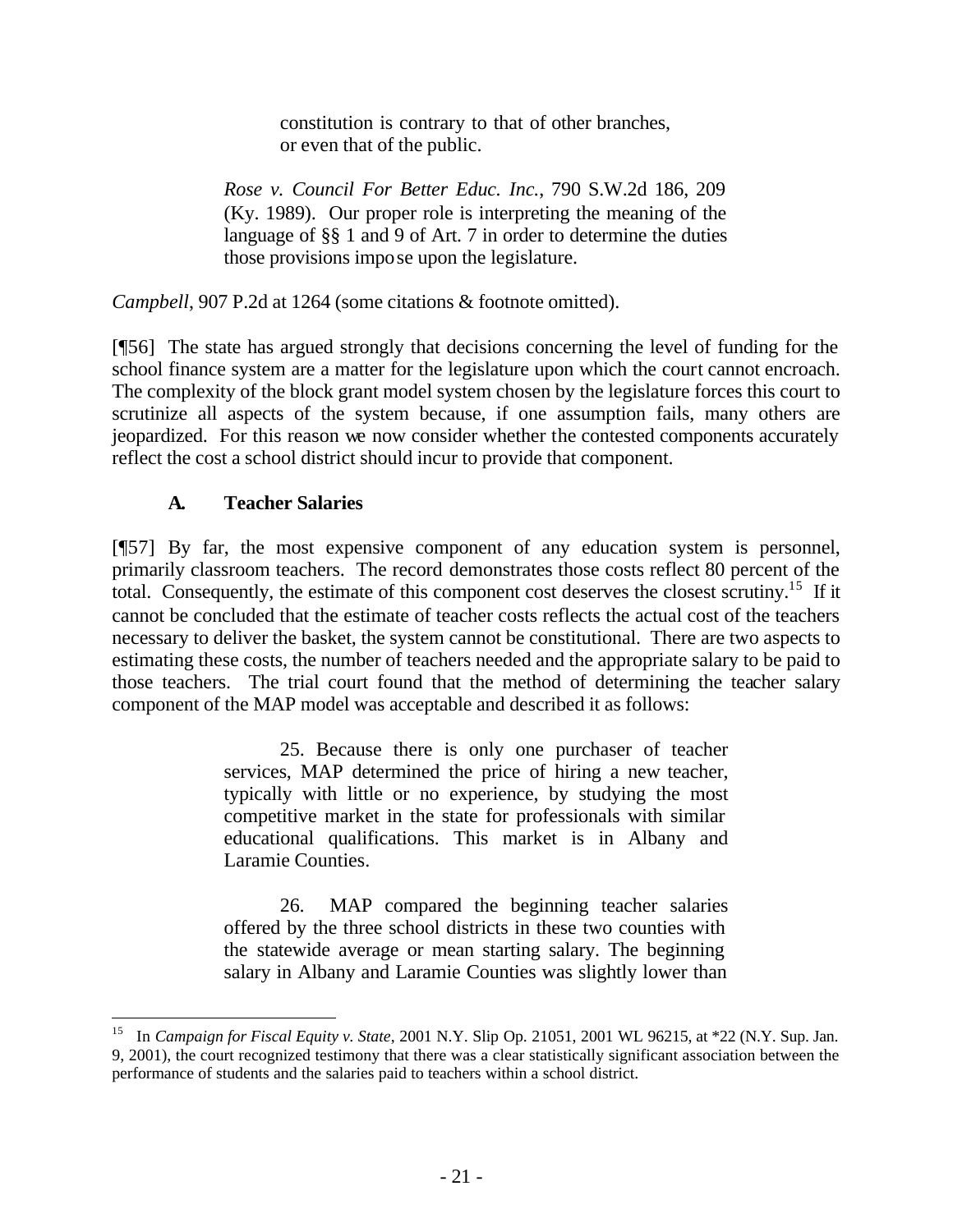constitution is contrary to that of other branches, or even that of the public.

*Rose v. Council For Better Educ. Inc.*, 790 S.W.2d 186, 209 (Ky. 1989). Our proper role is interpreting the meaning of the language of §§ 1 and 9 of Art. 7 in order to determine the duties those provisions impose upon the legislature.

*Campbell*, 907 P.2d at 1264 (some citations & footnote omitted).

[¶56] The state has argued strongly that decisions concerning the level of funding for the school finance system are a matter for the legislature upon which the court cannot encroach. The complexity of the block grant model system chosen by the legislature forces this court to scrutinize all aspects of the system because, if one assumption fails, many others are jeopardized. For this reason we now consider whether the contested components accurately reflect the cost a school district should incur to provide that component.

## **A. Teacher Salaries**

l

[¶57] By far, the most expensive component of any education system is personnel, primarily classroom teachers. The record demonstrates those costs reflect 80 percent of the total. Consequently, the estimate of this component cost deserves the closest scrutiny.<sup>15</sup> If it cannot be concluded that the estimate of teacher costs reflects the actual cost of the teachers necessary to deliver the basket, the system cannot be constitutional. There are two aspects to estimating these costs, the number of teachers needed and the appropriate salary to be paid to those teachers. The trial court found that the method of determining the teacher salary component of the MAP model was acceptable and described it as follows:

> 25. Because there is only one purchaser of teacher services, MAP determined the price of hiring a new teacher, typically with little or no experience, by studying the most competitive market in the state for professionals with similar educational qualifications. This market is in Albany and Laramie Counties.

> 26. MAP compared the beginning teacher salaries offered by the three school districts in these two counties with the statewide average or mean starting salary. The beginning salary in Albany and Laramie Counties was slightly lower than

<sup>15</sup> In *Campaign for Fiscal Equity v. State*, 2001 N.Y. Slip Op. 21051, 2001 WL 96215, at \*22 (N.Y. Sup. Jan. 9, 2001), the court recognized testimony that there was a clear statistically significant association between the performance of students and the salaries paid to teachers within a school district.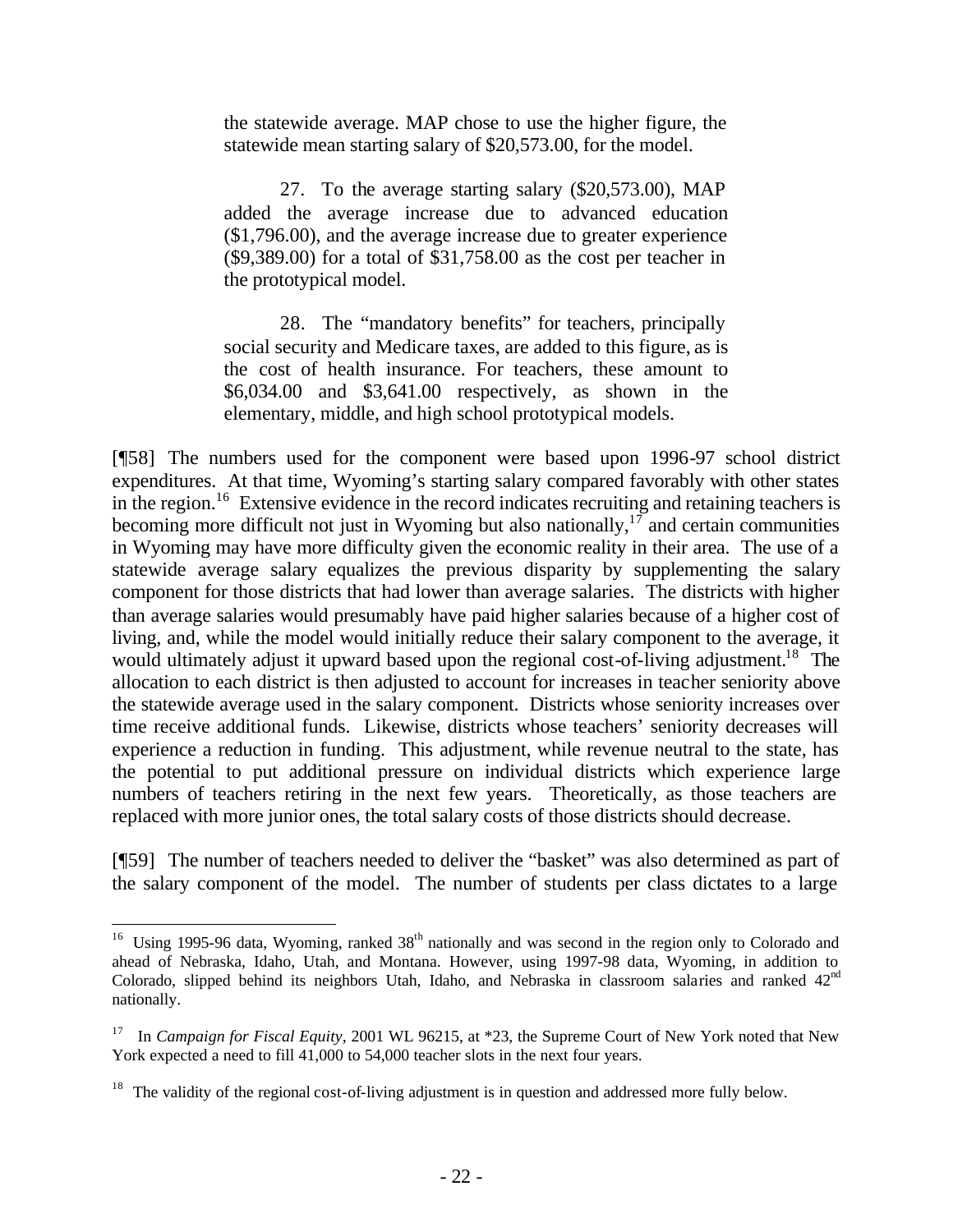the statewide average. MAP chose to use the higher figure, the statewide mean starting salary of \$20,573.00, for the model.

27. To the average starting salary (\$20,573.00), MAP added the average increase due to advanced education (\$1,796.00), and the average increase due to greater experience (\$9,389.00) for a total of \$31,758.00 as the cost per teacher in the prototypical model.

28. The "mandatory benefits" for teachers, principally social security and Medicare taxes, are added to this figure, as is the cost of health insurance. For teachers, these amount to \$6,034.00 and \$3,641.00 respectively, as shown in the elementary, middle, and high school prototypical models.

[¶58] The numbers used for the component were based upon 1996-97 school district expenditures. At that time, Wyoming's starting salary compared favorably with other states in the region.<sup>16</sup> Extensive evidence in the record indicates recruiting and retaining teachers is becoming more difficult not just in Wyoming but also nationally,<sup>17</sup> and certain communities in Wyoming may have more difficulty given the economic reality in their area. The use of a statewide average salary equalizes the previous disparity by supplementing the salary component for those districts that had lower than average salaries. The districts with higher than average salaries would presumably have paid higher salaries because of a higher cost of living, and, while the model would initially reduce their salary component to the average, it would ultimately adjust it upward based upon the regional cost-of-living adjustment.<sup>18</sup> The allocation to each district is then adjusted to account for increases in teacher seniority above the statewide average used in the salary component. Districts whose seniority increases over time receive additional funds. Likewise, districts whose teachers' seniority decreases will experience a reduction in funding. This adjustment, while revenue neutral to the state, has the potential to put additional pressure on individual districts which experience large numbers of teachers retiring in the next few years. Theoretically, as those teachers are replaced with more junior ones, the total salary costs of those districts should decrease.

[¶59] The number of teachers needed to deliver the "basket" was also determined as part of the salary component of the model. The number of students per class dictates to a large

<sup>&</sup>lt;sup>16</sup> Using 1995-96 data, Wyoming, ranked 38<sup>th</sup> nationally and was second in the region only to Colorado and ahead of Nebraska, Idaho, Utah, and Montana. However, using 1997-98 data, Wyoming, in addition to Colorado, slipped behind its neighbors Utah, Idaho, and Nebraska in classroom salaries and ranked  $42<sup>nd</sup>$ nationally.

<sup>&</sup>lt;sup>17</sup> In *Campaign for Fiscal Equity,* 2001 WL 96215, at \*23, the Supreme Court of New York noted that New York expected a need to fill 41,000 to 54,000 teacher slots in the next four years.

 $18$  The validity of the regional cost-of-living adjustment is in question and addressed more fully below.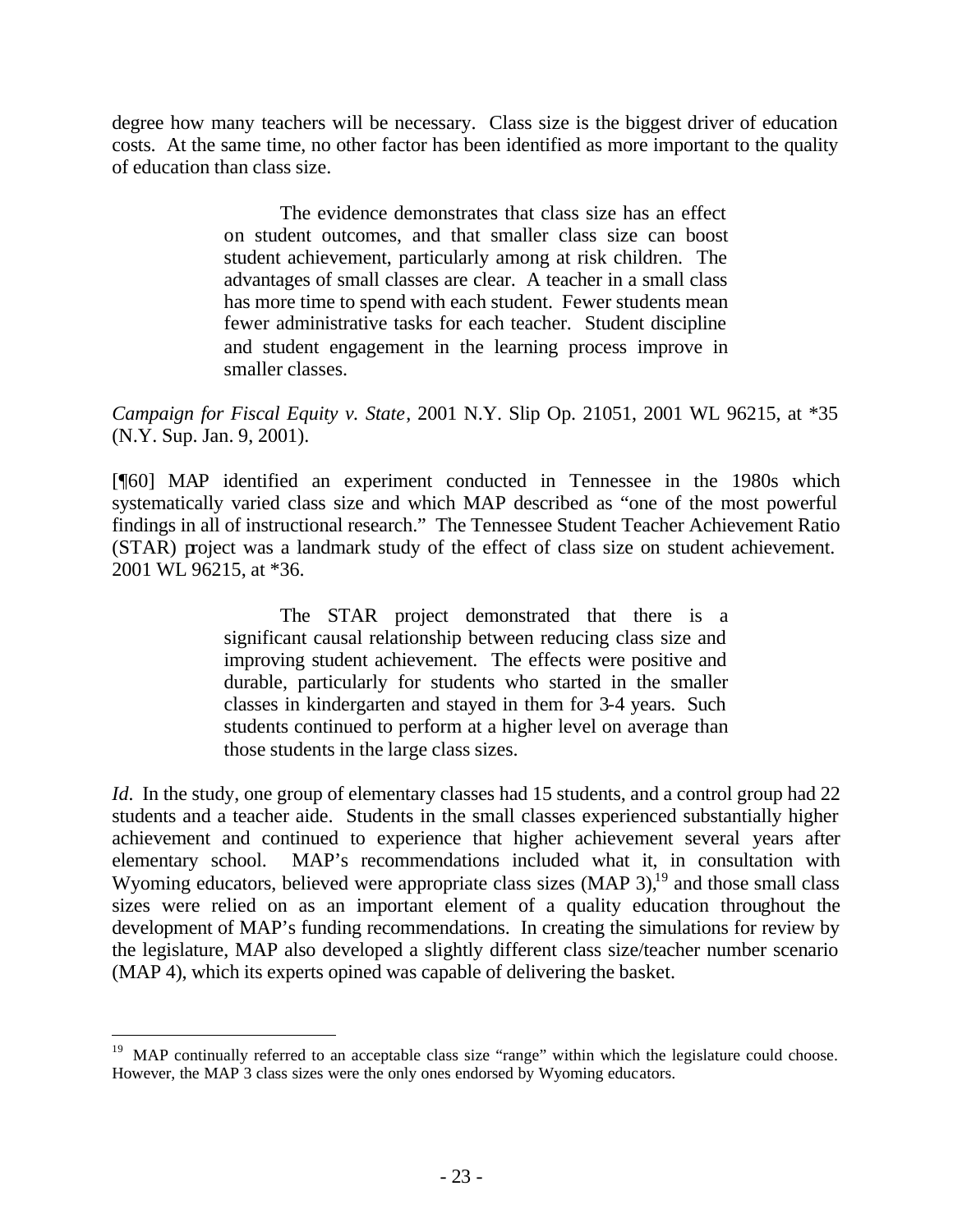degree how many teachers will be necessary. Class size is the biggest driver of education costs. At the same time, no other factor has been identified as more important to the quality of education than class size.

> The evidence demonstrates that class size has an effect on student outcomes, and that smaller class size can boost student achievement, particularly among at risk children. The advantages of small classes are clear. A teacher in a small class has more time to spend with each student. Fewer students mean fewer administrative tasks for each teacher. Student discipline and student engagement in the learning process improve in smaller classes.

*Campaign for Fiscal Equity v. State*, 2001 N.Y. Slip Op. 21051, 2001 WL 96215, at \*35 (N.Y. Sup. Jan. 9, 2001).

[¶60] MAP identified an experiment conducted in Tennessee in the 1980s which systematically varied class size and which MAP described as "one of the most powerful findings in all of instructional research." The Tennessee Student Teacher Achievement Ratio (STAR) project was a landmark study of the effect of class size on student achievement. 2001 WL 96215, at \*36.

> The STAR project demonstrated that there is a significant causal relationship between reducing class size and improving student achievement. The effects were positive and durable, particularly for students who started in the smaller classes in kindergarten and stayed in them for 3-4 years. Such students continued to perform at a higher level on average than those students in the large class sizes.

*Id.* In the study, one group of elementary classes had 15 students, and a control group had 22 students and a teacher aide. Students in the small classes experienced substantially higher achievement and continued to experience that higher achievement several years after elementary school. MAP's recommendations included what it, in consultation with Wyoming educators, believed were appropriate class sizes  $(MAP 3)$ ,<sup>19</sup> and those small class sizes were relied on as an important element of a quality education throughout the development of MAP's funding recommendations. In creating the simulations for review by the legislature, MAP also developed a slightly different class size/teacher number scenario (MAP 4), which its experts opined was capable of delivering the basket.

<sup>&</sup>lt;sup>19</sup> MAP continually referred to an acceptable class size "range" within which the legislature could choose. However, the MAP 3 class sizes were the only ones endorsed by Wyoming educators.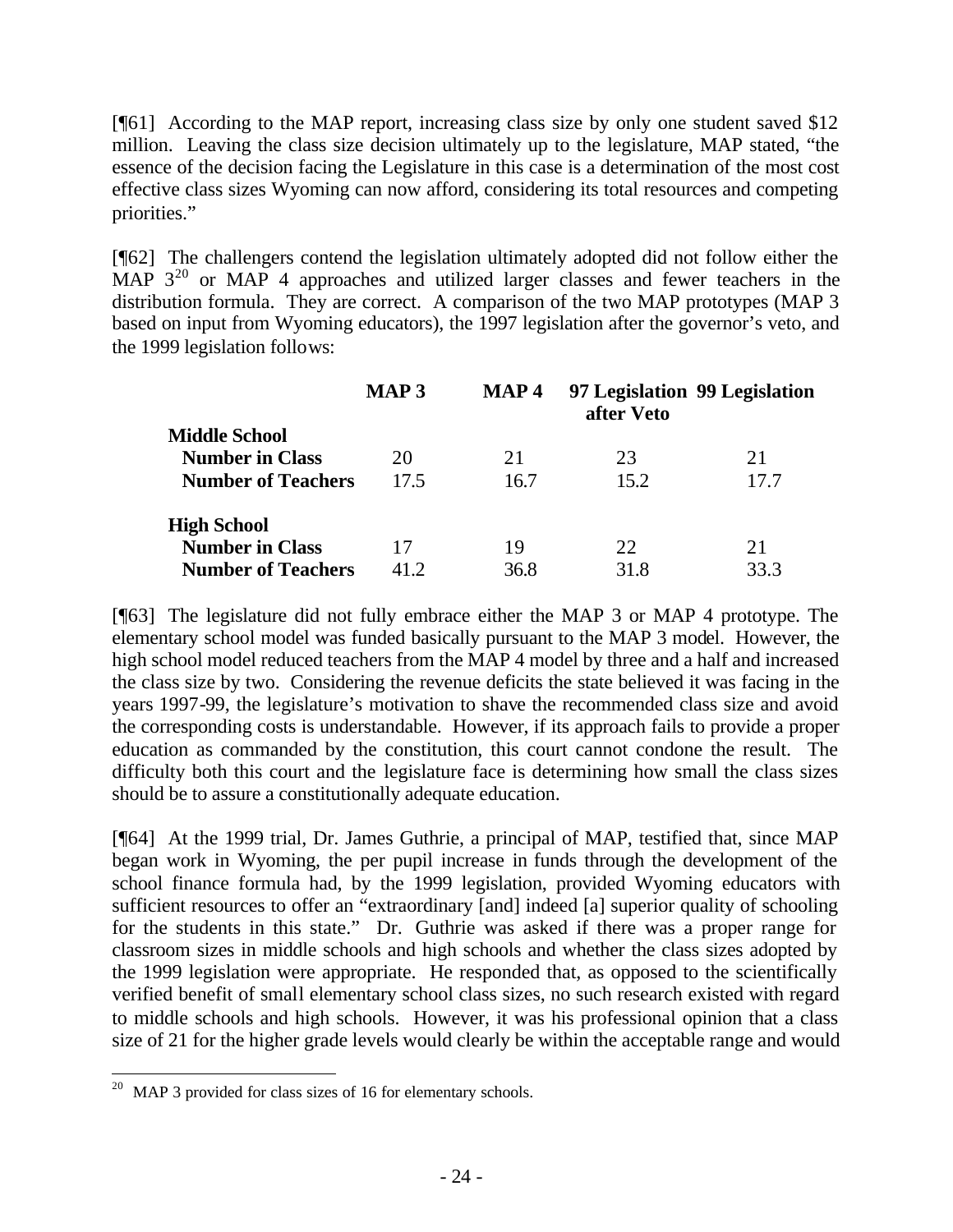[¶61] According to the MAP report, increasing class size by only one student saved \$12 million. Leaving the class size decision ultimately up to the legislature, MAP stated, "the essence of the decision facing the Legislature in this case is a determination of the most cost effective class sizes Wyoming can now afford, considering its total resources and competing priorities."

[¶62] The challengers contend the legislation ultimately adopted did not follow either the MAP  $3^{20}$  or MAP 4 approaches and utilized larger classes and fewer teachers in the distribution formula. They are correct. A comparison of the two MAP prototypes (MAP 3 based on input from Wyoming educators), the 1997 legislation after the governor's veto, and the 1999 legislation follows:

|                           | <b>MAP3</b> | <b>MAP4</b> | after Veto | 97 Legislation 99 Legislation |
|---------------------------|-------------|-------------|------------|-------------------------------|
| <b>Middle School</b>      |             |             |            |                               |
| <b>Number in Class</b>    | 20          | 21          | 23         | 21                            |
| <b>Number of Teachers</b> | 17.5        | 16.7        | 15.2       | 17.7                          |
| <b>High School</b>        |             |             |            |                               |
| <b>Number in Class</b>    | 17          | 19          | 22         | 21                            |
| <b>Number of Teachers</b> | 41.2        | 36.8        | 31.8       | 33.3                          |

[¶63] The legislature did not fully embrace either the MAP 3 or MAP 4 prototype. The elementary school model was funded basically pursuant to the MAP 3 model. However, the high school model reduced teachers from the MAP 4 model by three and a half and increased the class size by two. Considering the revenue deficits the state believed it was facing in the years 1997-99, the legislature's motivation to shave the recommended class size and avoid the corresponding costs is understandable. However, if its approach fails to provide a proper education as commanded by the constitution, this court cannot condone the result. The difficulty both this court and the legislature face is determining how small the class sizes should be to assure a constitutionally adequate education.

[¶64] At the 1999 trial, Dr. James Guthrie, a principal of MAP, testified that, since MAP began work in Wyoming, the per pupil increase in funds through the development of the school finance formula had, by the 1999 legislation, provided Wyoming educators with sufficient resources to offer an "extraordinary [and] indeed [a] superior quality of schooling for the students in this state." Dr. Guthrie was asked if there was a proper range for classroom sizes in middle schools and high schools and whether the class sizes adopted by the 1999 legislation were appropriate. He responded that, as opposed to the scientifically verified benefit of small elementary school class sizes, no such research existed with regard to middle schools and high schools. However, it was his professional opinion that a class size of 21 for the higher grade levels would clearly be within the acceptable range and would

<sup>&</sup>lt;sup>20</sup> MAP 3 provided for class sizes of 16 for elementary schools.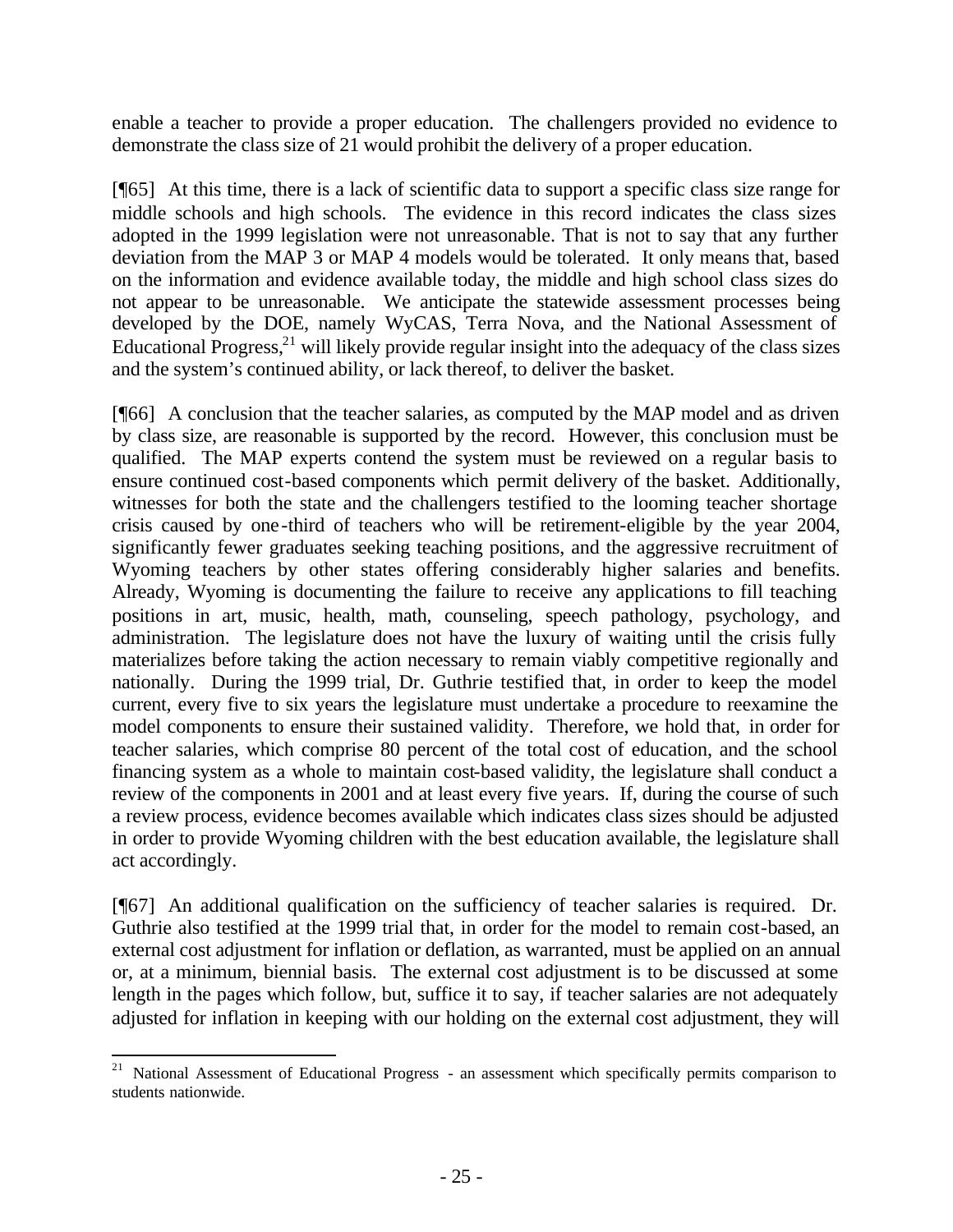enable a teacher to provide a proper education. The challengers provided no evidence to demonstrate the class size of 21 would prohibit the delivery of a proper education.

[¶65] At this time, there is a lack of scientific data to support a specific class size range for middle schools and high schools. The evidence in this record indicates the class sizes adopted in the 1999 legislation were not unreasonable. That is not to say that any further deviation from the MAP 3 or MAP 4 models would be tolerated. It only means that, based on the information and evidence available today, the middle and high school class sizes do not appear to be unreasonable. We anticipate the statewide assessment processes being developed by the DOE, namely WyCAS, Terra Nova, and the National Assessment of Educational Progress, $^{21}$  will likely provide regular insight into the adequacy of the class sizes and the system's continued ability, or lack thereof, to deliver the basket.

[¶66] A conclusion that the teacher salaries, as computed by the MAP model and as driven by class size, are reasonable is supported by the record. However, this conclusion must be qualified. The MAP experts contend the system must be reviewed on a regular basis to ensure continued cost-based components which permit delivery of the basket. Additionally, witnesses for both the state and the challengers testified to the looming teacher shortage crisis caused by one-third of teachers who will be retirement-eligible by the year 2004, significantly fewer graduates seeking teaching positions, and the aggressive recruitment of Wyoming teachers by other states offering considerably higher salaries and benefits. Already, Wyoming is documenting the failure to receive any applications to fill teaching positions in art, music, health, math, counseling, speech pathology, psychology, and administration. The legislature does not have the luxury of waiting until the crisis fully materializes before taking the action necessary to remain viably competitive regionally and nationally. During the 1999 trial, Dr. Guthrie testified that, in order to keep the model current, every five to six years the legislature must undertake a procedure to reexamine the model components to ensure their sustained validity. Therefore, we hold that, in order for teacher salaries, which comprise 80 percent of the total cost of education, and the school financing system as a whole to maintain cost-based validity, the legislature shall conduct a review of the components in 2001 and at least every five years. If, during the course of such a review process, evidence becomes available which indicates class sizes should be adjusted in order to provide Wyoming children with the best education available, the legislature shall act accordingly.

[¶67] An additional qualification on the sufficiency of teacher salaries is required. Dr. Guthrie also testified at the 1999 trial that, in order for the model to remain cost-based, an external cost adjustment for inflation or deflation, as warranted, must be applied on an annual or, at a minimum, biennial basis. The external cost adjustment is to be discussed at some length in the pages which follow, but, suffice it to say, if teacher salaries are not adequately adjusted for inflation in keeping with our holding on the external cost adjustment, they will

<sup>&</sup>lt;sup>21</sup> National Assessment of Educational Progress - an assessment which specifically permits comparison to students nationwide.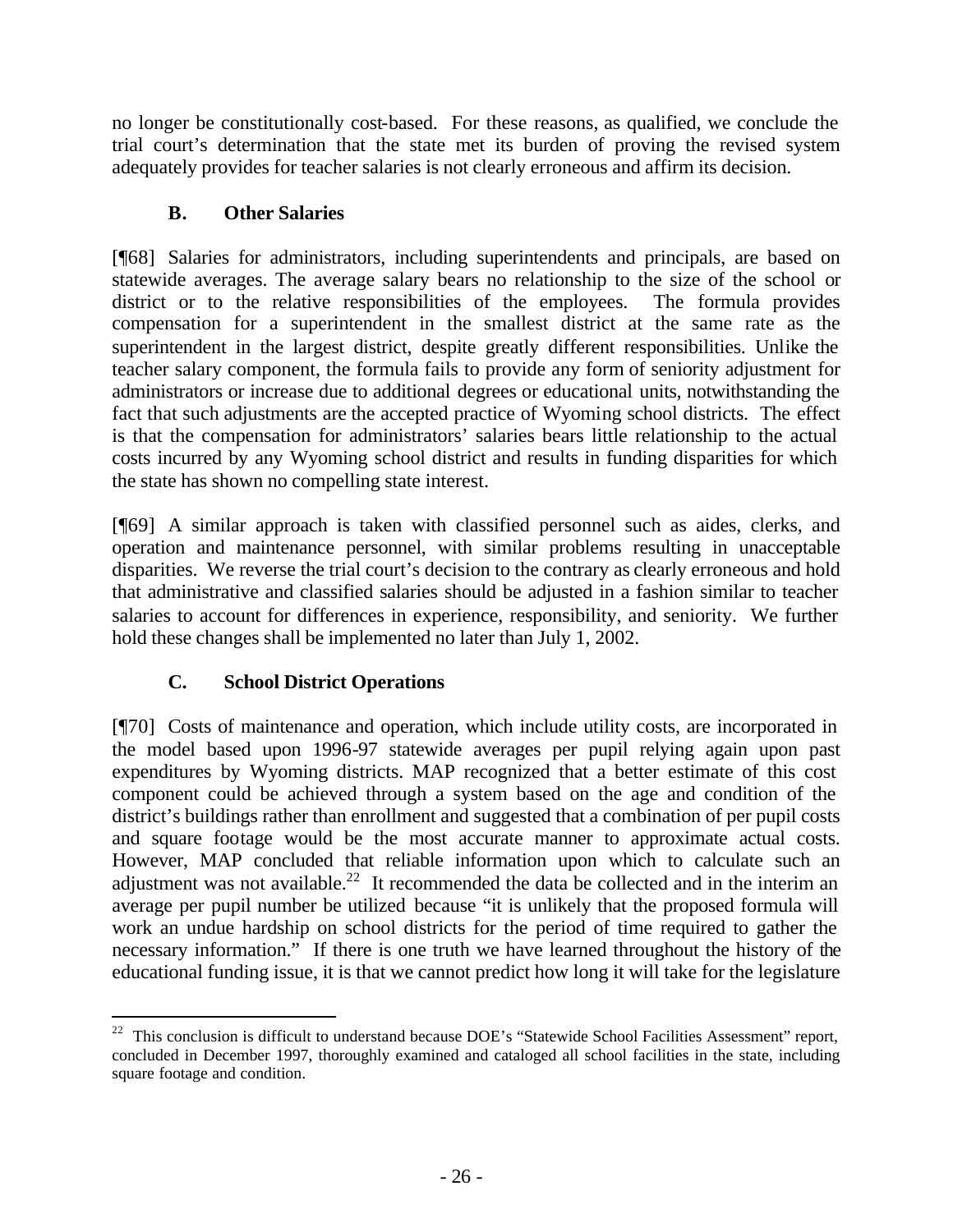no longer be constitutionally cost-based. For these reasons, as qualified, we conclude the trial court's determination that the state met its burden of proving the revised system adequately provides for teacher salaries is not clearly erroneous and affirm its decision.

# **B. Other Salaries**

[¶68] Salaries for administrators, including superintendents and principals, are based on statewide averages. The average salary bears no relationship to the size of the school or district or to the relative responsibilities of the employees. The formula provides compensation for a superintendent in the smallest district at the same rate as the superintendent in the largest district, despite greatly different responsibilities. Unlike the teacher salary component, the formula fails to provide any form of seniority adjustment for administrators or increase due to additional degrees or educational units, notwithstanding the fact that such adjustments are the accepted practice of Wyoming school districts. The effect is that the compensation for administrators' salaries bears little relationship to the actual costs incurred by any Wyoming school district and results in funding disparities for which the state has shown no compelling state interest.

[¶69] A similar approach is taken with classified personnel such as aides, clerks, and operation and maintenance personnel, with similar problems resulting in unacceptable disparities. We reverse the trial court's decision to the contrary as clearly erroneous and hold that administrative and classified salaries should be adjusted in a fashion similar to teacher salaries to account for differences in experience, responsibility, and seniority. We further hold these changes shall be implemented no later than July 1, 2002.

# **C. School District Operations**

l

[¶70] Costs of maintenance and operation, which include utility costs, are incorporated in the model based upon 1996-97 statewide averages per pupil relying again upon past expenditures by Wyoming districts. MAP recognized that a better estimate of this cost component could be achieved through a system based on the age and condition of the district's buildings rather than enrollment and suggested that a combination of per pupil costs and square footage would be the most accurate manner to approximate actual costs. However, MAP concluded that reliable information upon which to calculate such an adjustment was not available.<sup>22</sup> It recommended the data be collected and in the interim an average per pupil number be utilized because "it is unlikely that the proposed formula will work an undue hardship on school districts for the period of time required to gather the necessary information." If there is one truth we have learned throughout the history of the educational funding issue, it is that we cannot predict how long it will take for the legislature

 $22$  This conclusion is difficult to understand because DOE's "Statewide School Facilities Assessment" report, concluded in December 1997, thoroughly examined and cataloged all school facilities in the state, including square footage and condition.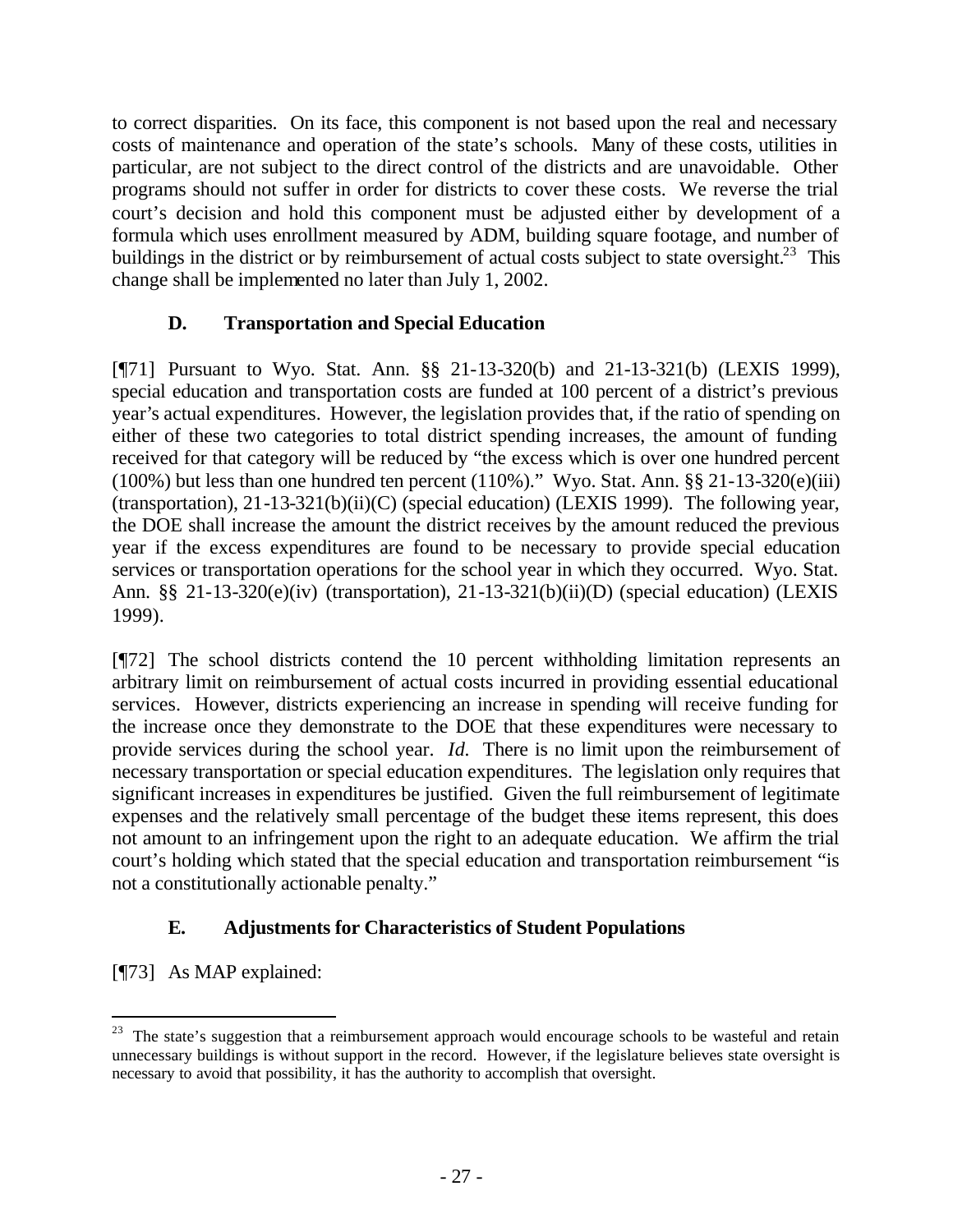to correct disparities. On its face, this component is not based upon the real and necessary costs of maintenance and operation of the state's schools. Many of these costs, utilities in particular, are not subject to the direct control of the districts and are unavoidable. Other programs should not suffer in order for districts to cover these costs. We reverse the trial court's decision and hold this component must be adjusted either by development of a formula which uses enrollment measured by ADM, building square footage, and number of buildings in the district or by reimbursement of actual costs subject to state oversight.<sup>23</sup> This change shall be implemented no later than July 1, 2002.

# **D. Transportation and Special Education**

[¶71] Pursuant to Wyo. Stat. Ann. §§ 21-13-320(b) and 21-13-321(b) (LEXIS 1999), special education and transportation costs are funded at 100 percent of a district's previous year's actual expenditures. However, the legislation provides that, if the ratio of spending on either of these two categories to total district spending increases, the amount of funding received for that category will be reduced by "the excess which is over one hundred percent  $(100\%)$  but less than one hundred ten percent  $(110\%)$ ." Wyo. Stat. Ann. §§ 21-13-320(e)(iii) (transportation), 21-13-321(b)(ii)(C) (special education) (LEXIS 1999). The following year, the DOE shall increase the amount the district receives by the amount reduced the previous year if the excess expenditures are found to be necessary to provide special education services or transportation operations for the school year in which they occurred. Wyo. Stat. Ann. §§ 21-13-320(e)(iv) (transportation), 21-13-321(b)(ii)(D) (special education) (LEXIS 1999).

[¶72] The school districts contend the 10 percent withholding limitation represents an arbitrary limit on reimbursement of actual costs incurred in providing essential educational services. However, districts experiencing an increase in spending will receive funding for the increase once they demonstrate to the DOE that these expenditures were necessary to provide services during the school year. *Id.* There is no limit upon the reimbursement of necessary transportation or special education expenditures. The legislation only requires that significant increases in expenditures be justified. Given the full reimbursement of legitimate expenses and the relatively small percentage of the budget these items represent, this does not amount to an infringement upon the right to an adequate education. We affirm the trial court's holding which stated that the special education and transportation reimbursement "is not a constitutionally actionable penalty."

# **E. Adjustments for Characteristics of Student Populations**

[¶73] As MAP explained:

 $23$  The state's suggestion that a reimbursement approach would encourage schools to be wasteful and retain unnecessary buildings is without support in the record. However, if the legislature believes state oversight is necessary to avoid that possibility, it has the authority to accomplish that oversight.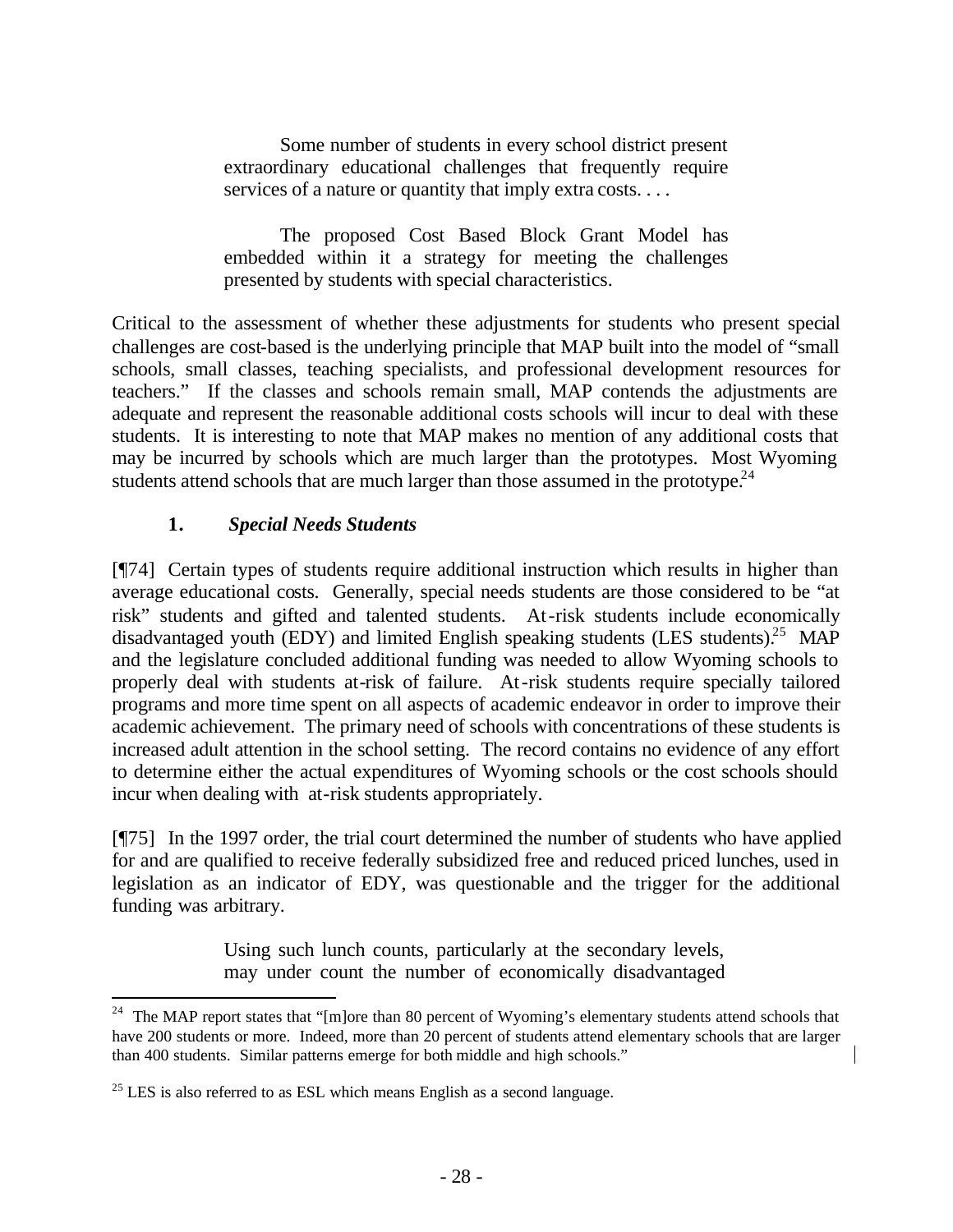Some number of students in every school district present extraordinary educational challenges that frequently require services of a nature or quantity that imply extra costs. . . .

The proposed Cost Based Block Grant Model has embedded within it a strategy for meeting the challenges presented by students with special characteristics.

Critical to the assessment of whether these adjustments for students who present special challenges are cost-based is the underlying principle that MAP built into the model of "small schools, small classes, teaching specialists, and professional development resources for teachers." If the classes and schools remain small, MAP contends the adjustments are adequate and represent the reasonable additional costs schools will incur to deal with these students. It is interesting to note that MAP makes no mention of any additional costs that may be incurred by schools which are much larger than the prototypes. Most Wyoming students attend schools that are much larger than those assumed in the prototype.<sup>24</sup>

## **1.** *Special Needs Students*

[¶74] Certain types of students require additional instruction which results in higher than average educational costs. Generally, special needs students are those considered to be "at risk" students and gifted and talented students. At-risk students include economically disadvantaged youth (EDY) and limited English speaking students (LES students).<sup>25</sup> MAP and the legislature concluded additional funding was needed to allow Wyoming schools to properly deal with students at-risk of failure. At-risk students require specially tailored programs and more time spent on all aspects of academic endeavor in order to improve their academic achievement. The primary need of schools with concentrations of these students is increased adult attention in the school setting. The record contains no evidence of any effort to determine either the actual expenditures of Wyoming schools or the cost schools should incur when dealing with at-risk students appropriately.

[¶75] In the 1997 order, the trial court determined the number of students who have applied for and are qualified to receive federally subsidized free and reduced priced lunches, used in legislation as an indicator of EDY, was questionable and the trigger for the additional funding was arbitrary.

> Using such lunch counts, particularly at the secondary levels, may under count the number of economically disadvantaged

<sup>24</sup> The MAP report states that "[m]ore than 80 percent of Wyoming's elementary students attend schools that have 200 students or more. Indeed, more than 20 percent of students attend elementary schools that are larger than 400 students. Similar patterns emerge for both middle and high schools."

 $25$  LES is also referred to as ESL which means English as a second language.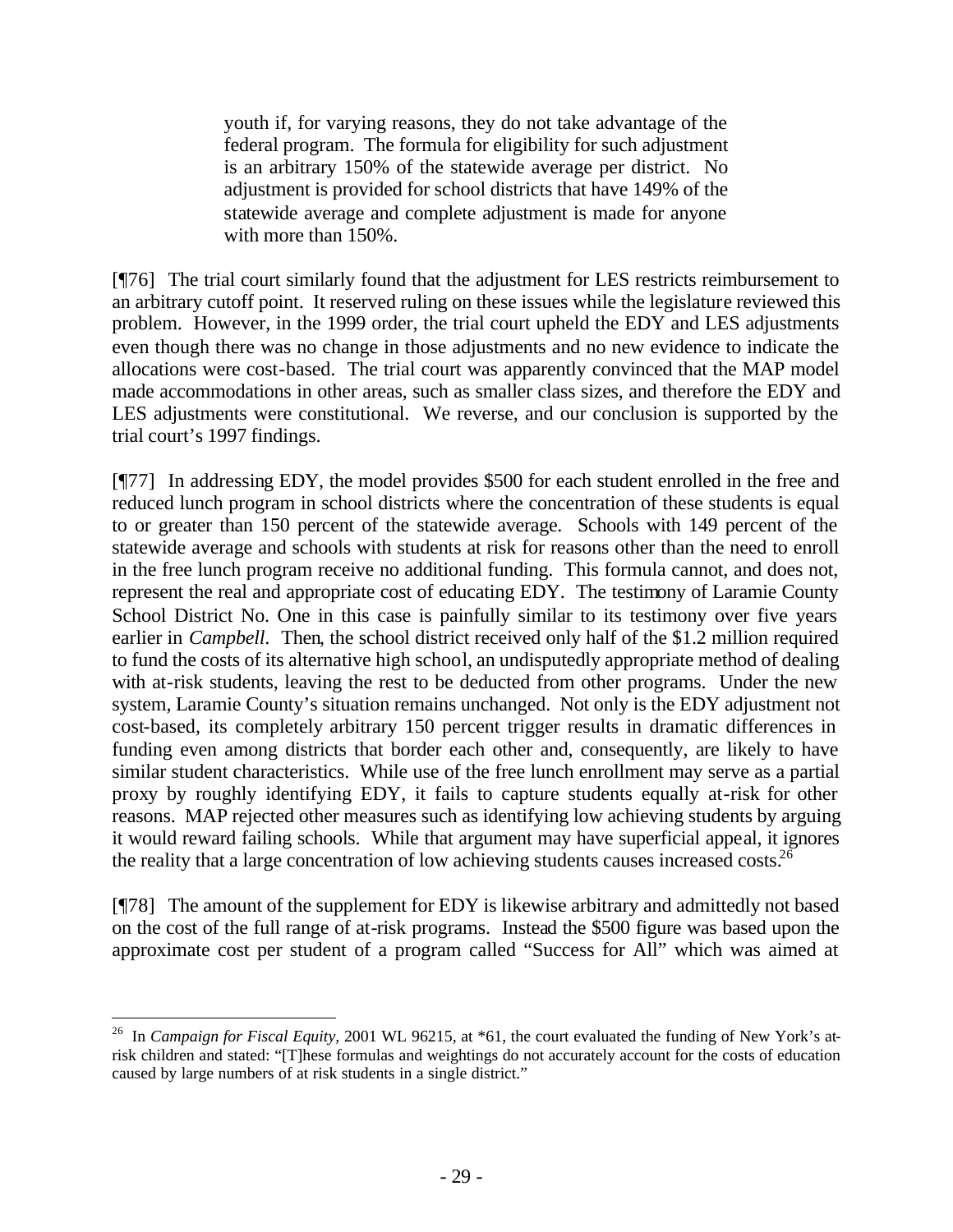youth if, for varying reasons, they do not take advantage of the federal program. The formula for eligibility for such adjustment is an arbitrary 150% of the statewide average per district. No adjustment is provided for school districts that have 149% of the statewide average and complete adjustment is made for anyone with more than 150%.

[¶76] The trial court similarly found that the adjustment for LES restricts reimbursement to an arbitrary cutoff point. It reserved ruling on these issues while the legislature reviewed this problem. However, in the 1999 order, the trial court upheld the EDY and LES adjustments even though there was no change in those adjustments and no new evidence to indicate the allocations were cost-based. The trial court was apparently convinced that the MAP model made accommodations in other areas, such as smaller class sizes, and therefore the EDY and LES adjustments were constitutional. We reverse, and our conclusion is supported by the trial court's 1997 findings.

[¶77] In addressing EDY, the model provides \$500 for each student enrolled in the free and reduced lunch program in school districts where the concentration of these students is equal to or greater than 150 percent of the statewide average. Schools with 149 percent of the statewide average and schools with students at risk for reasons other than the need to enroll in the free lunch program receive no additional funding. This formula cannot, and does not, represent the real and appropriate cost of educating EDY. The testimony of Laramie County School District No. One in this case is painfully similar to its testimony over five years earlier in *Campbell*. Then, the school district received only half of the \$1.2 million required to fund the costs of its alternative high school, an undisputedly appropriate method of dealing with at-risk students, leaving the rest to be deducted from other programs. Under the new system, Laramie County's situation remains unchanged. Not only is the EDY adjustment not cost-based, its completely arbitrary 150 percent trigger results in dramatic differences in funding even among districts that border each other and, consequently, are likely to have similar student characteristics. While use of the free lunch enrollment may serve as a partial proxy by roughly identifying EDY, it fails to capture students equally at-risk for other reasons. MAP rejected other measures such as identifying low achieving students by arguing it would reward failing schools. While that argument may have superficial appeal, it ignores the reality that a large concentration of low achieving students causes increased costs.<sup>26</sup>

[¶78] The amount of the supplement for EDY is likewise arbitrary and admittedly not based on the cost of the full range of at-risk programs. Instead the \$500 figure was based upon the approximate cost per student of a program called "Success for All" which was aimed at

<sup>&</sup>lt;sup>26</sup> In *Campaign for Fiscal Equity,* 2001 WL 96215, at \*61, the court evaluated the funding of New York's atrisk children and stated: "[T]hese formulas and weightings do not accurately account for the costs of education caused by large numbers of at risk students in a single district."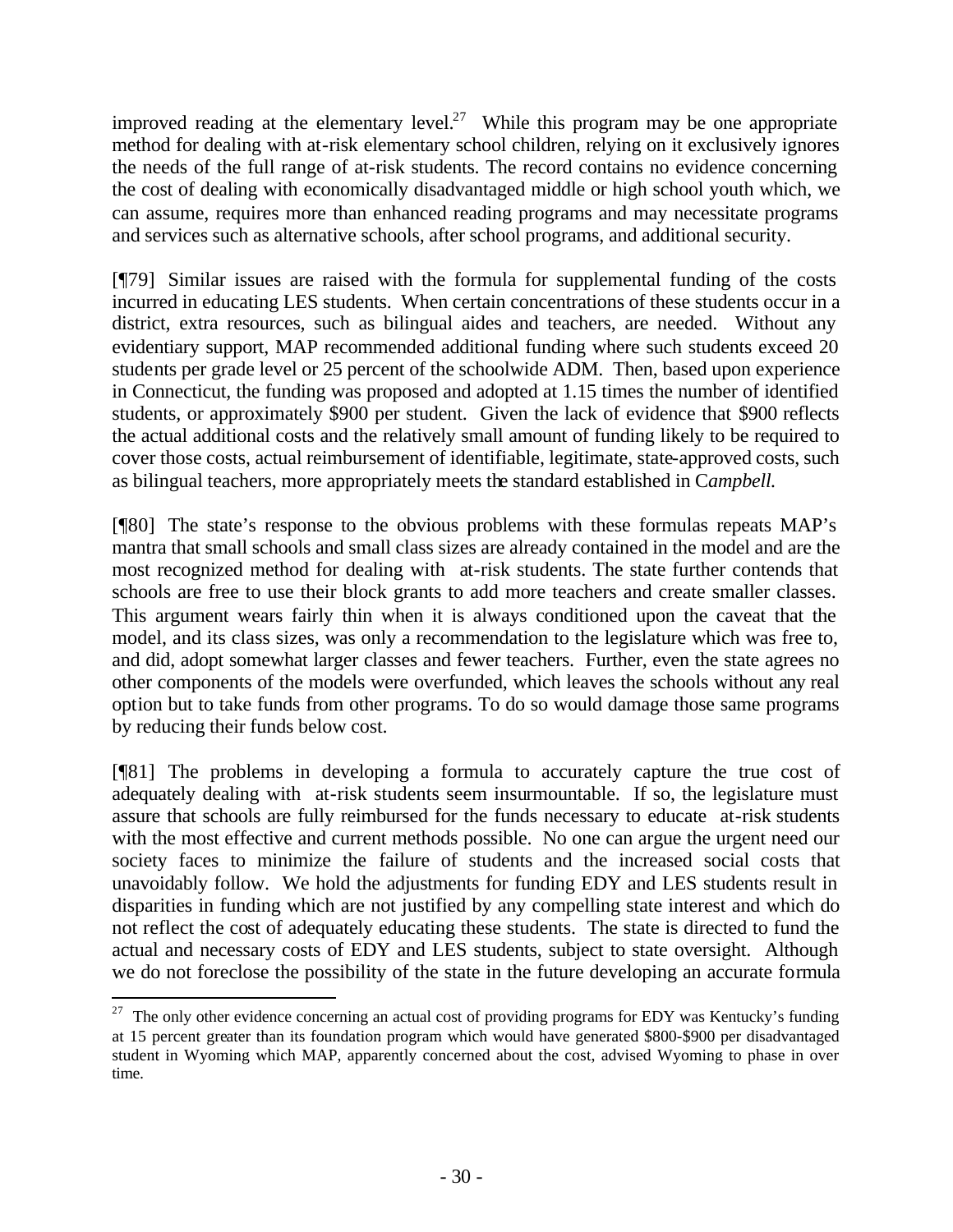improved reading at the elementary level.<sup>27</sup> While this program may be one appropriate method for dealing with at-risk elementary school children, relying on it exclusively ignores the needs of the full range of at-risk students. The record contains no evidence concerning the cost of dealing with economically disadvantaged middle or high school youth which, we can assume, requires more than enhanced reading programs and may necessitate programs and services such as alternative schools, after school programs, and additional security.

[¶79] Similar issues are raised with the formula for supplemental funding of the costs incurred in educating LES students. When certain concentrations of these students occur in a district, extra resources, such as bilingual aides and teachers, are needed. Without any evidentiary support, MAP recommended additional funding where such students exceed 20 students per grade level or 25 percent of the schoolwide ADM. Then, based upon experience in Connecticut, the funding was proposed and adopted at 1.15 times the number of identified students, or approximately \$900 per student. Given the lack of evidence that \$900 reflects the actual additional costs and the relatively small amount of funding likely to be required to cover those costs, actual reimbursement of identifiable, legitimate, state-approved costs, such as bilingual teachers, more appropriately meets the standard established in C*ampbell.* 

[¶80] The state's response to the obvious problems with these formulas repeats MAP's mantra that small schools and small class sizes are already contained in the model and are the most recognized method for dealing with at-risk students. The state further contends that schools are free to use their block grants to add more teachers and create smaller classes. This argument wears fairly thin when it is always conditioned upon the caveat that the model, and its class sizes, was only a recommendation to the legislature which was free to, and did, adopt somewhat larger classes and fewer teachers. Further, even the state agrees no other components of the models were overfunded, which leaves the schools without any real option but to take funds from other programs. To do so would damage those same programs by reducing their funds below cost.

[¶81] The problems in developing a formula to accurately capture the true cost of adequately dealing with at-risk students seem insurmountable. If so, the legislature must assure that schools are fully reimbursed for the funds necessary to educate at-risk students with the most effective and current methods possible. No one can argue the urgent need our society faces to minimize the failure of students and the increased social costs that unavoidably follow. We hold the adjustments for funding EDY and LES students result in disparities in funding which are not justified by any compelling state interest and which do not reflect the cost of adequately educating these students. The state is directed to fund the actual and necessary costs of EDY and LES students, subject to state oversight. Although we do not foreclose the possibility of the state in the future developing an accurate formula

<sup>&</sup>lt;sup>27</sup> The only other evidence concerning an actual cost of providing programs for EDY was Kentucky's funding at 15 percent greater than its foundation program which would have generated \$800-\$900 per disadvantaged student in Wyoming which MAP, apparently concerned about the cost, advised Wyoming to phase in over time.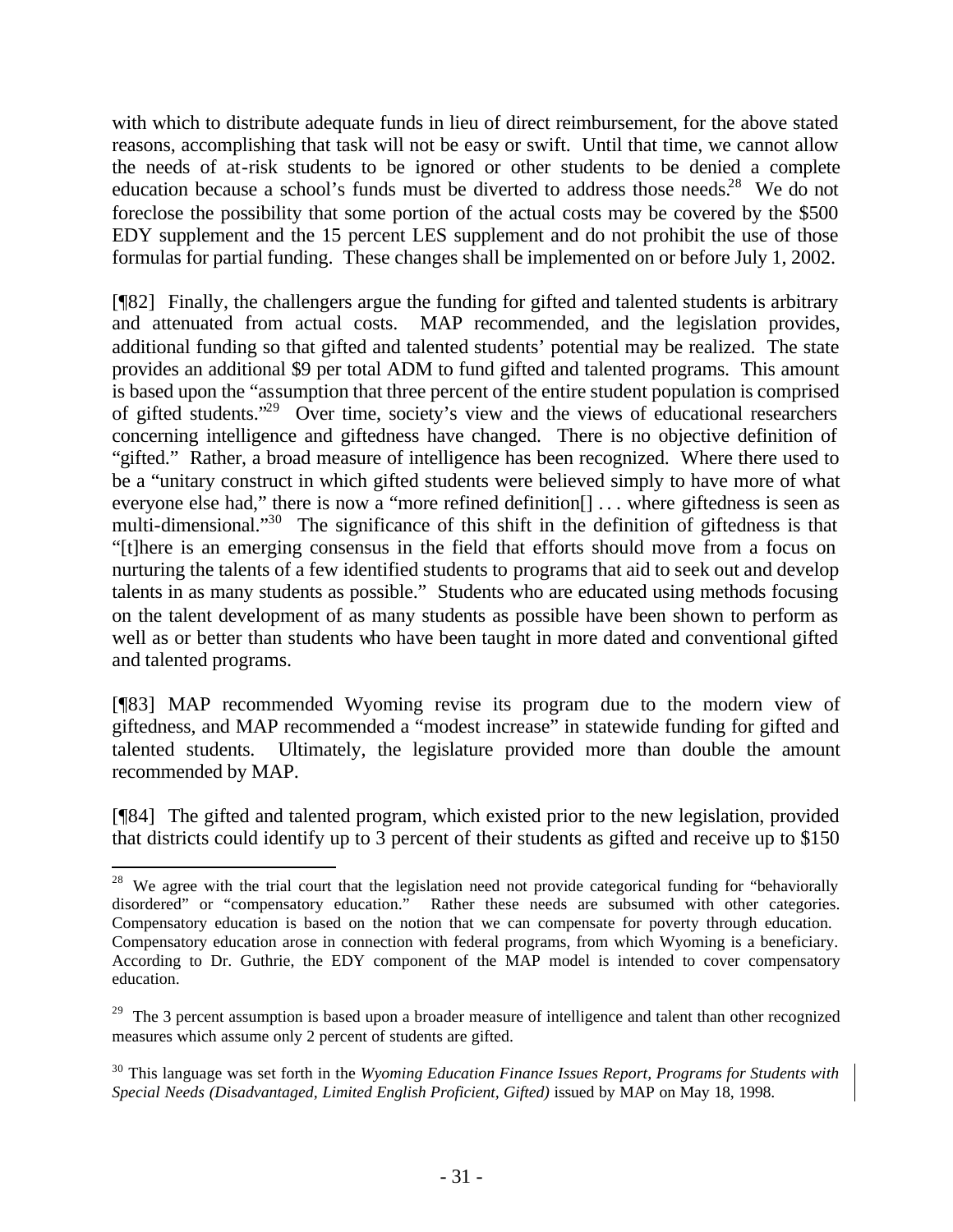with which to distribute adequate funds in lieu of direct reimbursement, for the above stated reasons, accomplishing that task will not be easy or swift. Until that time, we cannot allow the needs of at-risk students to be ignored or other students to be denied a complete education because a school's funds must be diverted to address those needs.<sup>28</sup> We do not foreclose the possibility that some portion of the actual costs may be covered by the \$500 EDY supplement and the 15 percent LES supplement and do not prohibit the use of those formulas for partial funding. These changes shall be implemented on or before July 1, 2002.

[¶82] Finally, the challengers argue the funding for gifted and talented students is arbitrary and attenuated from actual costs. MAP recommended, and the legislation provides, additional funding so that gifted and talented students' potential may be realized. The state provides an additional \$9 per total ADM to fund gifted and talented programs. This amount is based upon the "assumption that three percent of the entire student population is comprised of gifted students."<sup>29</sup> Over time, society's view and the views of educational researchers concerning intelligence and giftedness have changed. There is no objective definition of "gifted." Rather, a broad measure of intelligence has been recognized. Where there used to be a "unitary construct in which gifted students were believed simply to have more of what everyone else had," there is now a "more refined definition[] . . . where giftedness is seen as multi-dimensional."<sup>30</sup> The significance of this shift in the definition of giftedness is that "[t]here is an emerging consensus in the field that efforts should move from a focus on nurturing the talents of a few identified students to programs that aid to seek out and develop talents in as many students as possible." Students who are educated using methods focusing on the talent development of as many students as possible have been shown to perform as well as or better than students who have been taught in more dated and conventional gifted and talented programs.

[¶83] MAP recommended Wyoming revise its program due to the modern view of giftedness, and MAP recommended a "modest increase" in statewide funding for gifted and talented students. Ultimately, the legislature provided more than double the amount recommended by MAP.

[¶84] The gifted and talented program, which existed prior to the new legislation, provided that districts could identify up to 3 percent of their students as gifted and receive up to \$150

<sup>&</sup>lt;sup>28</sup> We agree with the trial court that the legislation need not provide categorical funding for "behaviorally disordered" or "compensatory education." Rather these needs are subsumed with other categories. Compensatory education is based on the notion that we can compensate for poverty through education. Compensatory education arose in connection with federal programs, from which Wyoming is a beneficiary. According to Dr. Guthrie, the EDY component of the MAP model is intended to cover compensatory education.

<sup>&</sup>lt;sup>29</sup> The 3 percent assumption is based upon a broader measure of intelligence and talent than other recognized measures which assume only 2 percent of students are gifted.

<sup>30</sup> This language was set forth in the *Wyoming Education Finance Issues Report, Programs for Students with Special Needs (Disadvantaged, Limited English Proficient, Gifted)* issued by MAP on May 18, 1998.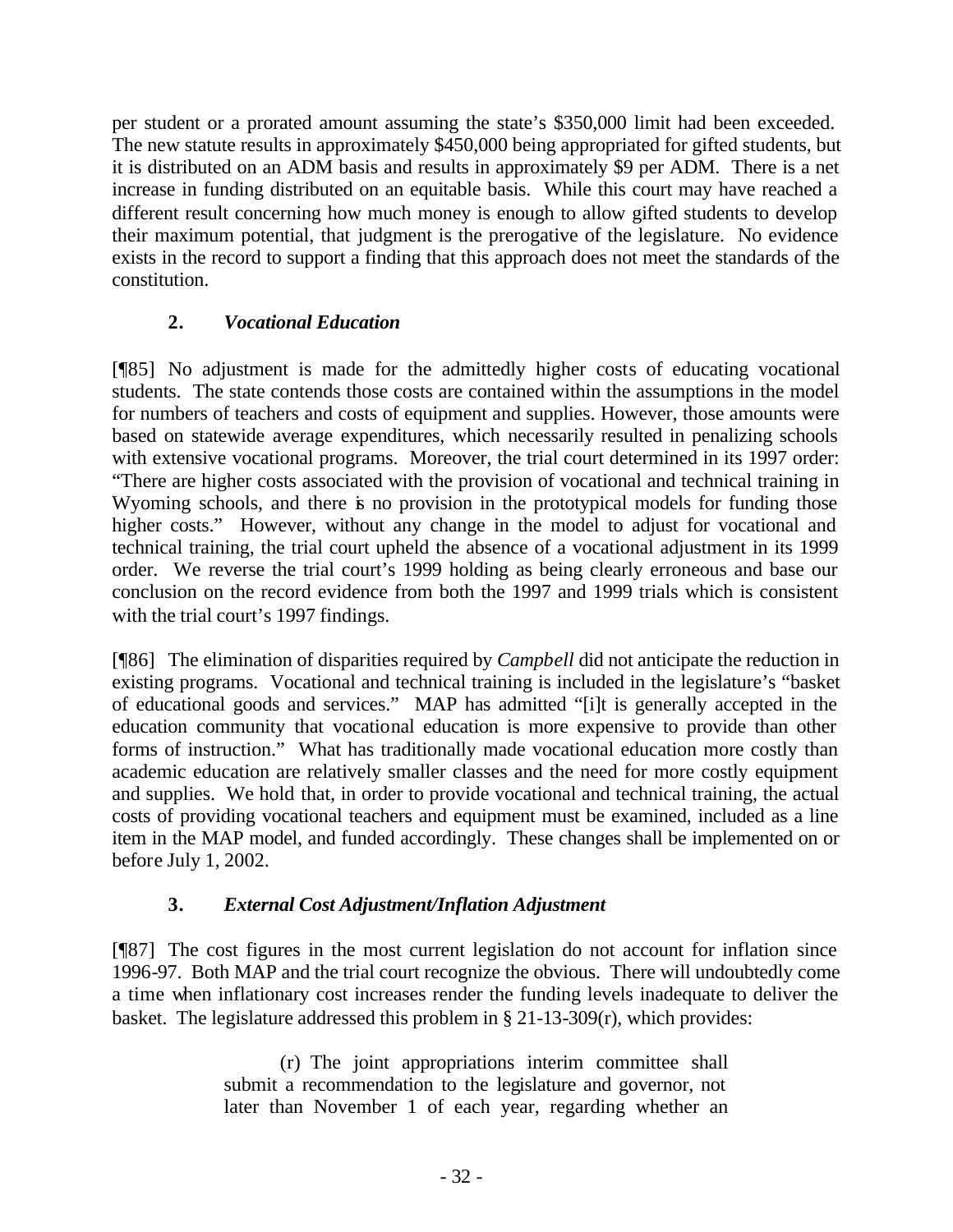per student or a prorated amount assuming the state's \$350,000 limit had been exceeded. The new statute results in approximately \$450,000 being appropriated for gifted students, but it is distributed on an ADM basis and results in approximately \$9 per ADM. There is a net increase in funding distributed on an equitable basis. While this court may have reached a different result concerning how much money is enough to allow gifted students to develop their maximum potential, that judgment is the prerogative of the legislature. No evidence exists in the record to support a finding that this approach does not meet the standards of the constitution.

# **2.** *Vocational Education*

[¶85] No adjustment is made for the admittedly higher costs of educating vocational students. The state contends those costs are contained within the assumptions in the model for numbers of teachers and costs of equipment and supplies. However, those amounts were based on statewide average expenditures, which necessarily resulted in penalizing schools with extensive vocational programs. Moreover, the trial court determined in its 1997 order: "There are higher costs associated with the provision of vocational and technical training in Wyoming schools, and there is no provision in the prototypical models for funding those higher costs." However, without any change in the model to adjust for vocational and technical training, the trial court upheld the absence of a vocational adjustment in its 1999 order. We reverse the trial court's 1999 holding as being clearly erroneous and base our conclusion on the record evidence from both the 1997 and 1999 trials which is consistent with the trial court's 1997 findings.

[¶86] The elimination of disparities required by *Campbell* did not anticipate the reduction in existing programs. Vocational and technical training is included in the legislature's "basket of educational goods and services." MAP has admitted "[i]t is generally accepted in the education community that vocational education is more expensive to provide than other forms of instruction." What has traditionally made vocational education more costly than academic education are relatively smaller classes and the need for more costly equipment and supplies. We hold that, in order to provide vocational and technical training, the actual costs of providing vocational teachers and equipment must be examined, included as a line item in the MAP model, and funded accordingly. These changes shall be implemented on or before July 1, 2002.

# **3.** *External Cost Adjustment/Inflation Adjustment*

[¶87] The cost figures in the most current legislation do not account for inflation since 1996-97. Both MAP and the trial court recognize the obvious. There will undoubtedly come a time when inflationary cost increases render the funding levels inadequate to deliver the basket. The legislature addressed this problem in § 21-13-309(r), which provides:

> (r) The joint appropriations interim committee shall submit a recommendation to the legislature and governor, not later than November 1 of each year, regarding whether an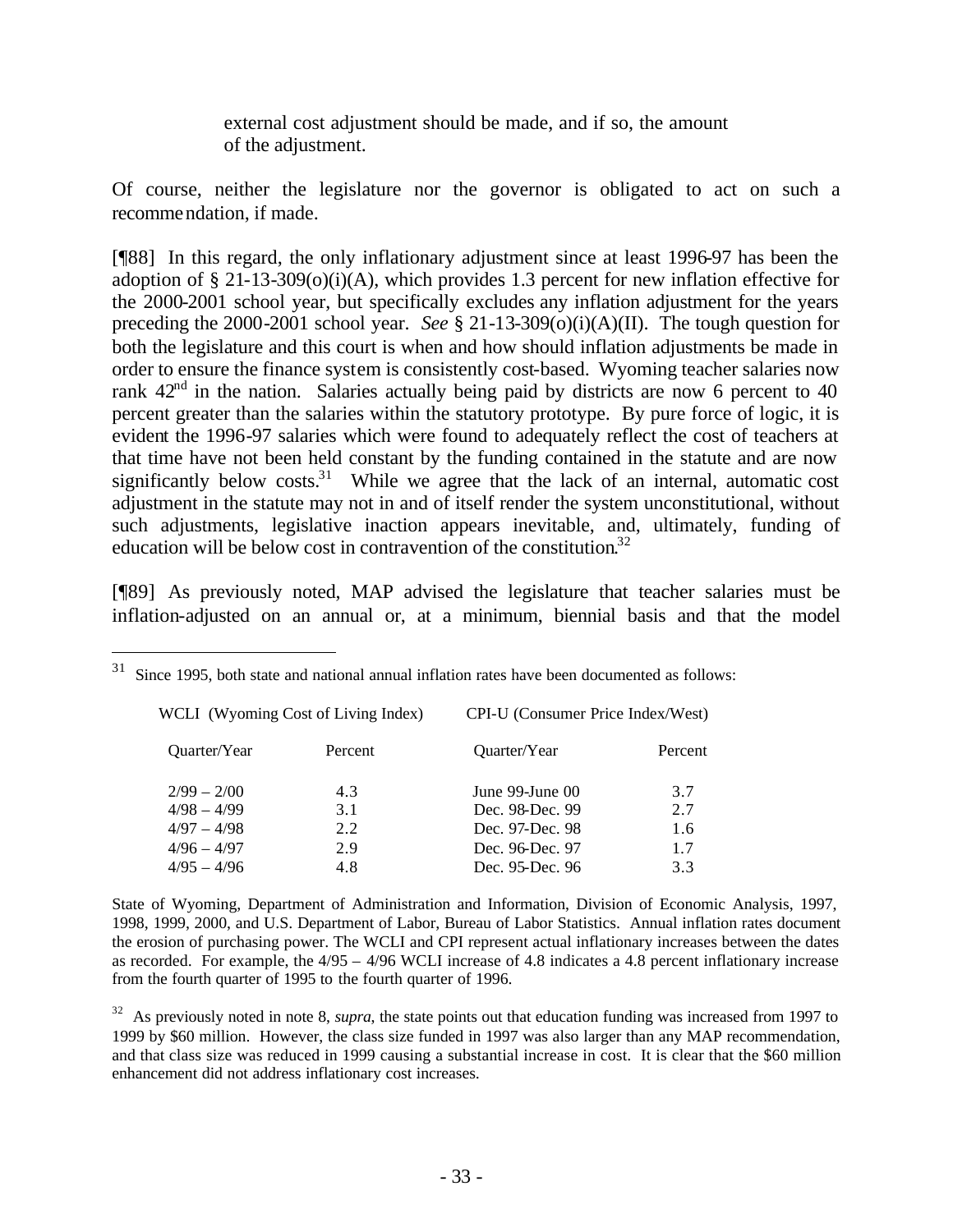external cost adjustment should be made, and if so, the amount of the adjustment.

Of course, neither the legislature nor the governor is obligated to act on such a recommendation, if made.

[¶88] In this regard, the only inflationary adjustment since at least 1996-97 has been the adoption of § 21-13-309(o)(i)(A), which provides 1.3 percent for new inflation effective for the 2000-2001 school year, but specifically excludes any inflation adjustment for the years preceding the 2000-2001 school year. *See* § 21-13-309(o)(i)(A)(II). The tough question for both the legislature and this court is when and how should inflation adjustments be made in order to ensure the finance system is consistently cost-based. Wyoming teacher salaries now rank  $42<sup>nd</sup>$  in the nation. Salaries actually being paid by districts are now 6 percent to 40 percent greater than the salaries within the statutory prototype. By pure force of logic, it is evident the 1996-97 salaries which were found to adequately reflect the cost of teachers at that time have not been held constant by the funding contained in the statute and are now significantly below  $costs$ <sup>31</sup>. While we agree that the lack of an internal, automatic cost adjustment in the statute may not in and of itself render the system unconstitutional, without such adjustments, legislative inaction appears inevitable, and, ultimately, funding of education will be below cost in contravention of the constitution. 32

[¶89] As previously noted, MAP advised the legislature that teacher salaries must be inflation-adjusted on an annual or, at a minimum, biennial basis and that the model

| WCLI (Wyoming Cost of Living Index) |         | CPI-U (Consumer Price Index/West) |         |  |
|-------------------------------------|---------|-----------------------------------|---------|--|
| <b>Ouarter/Year</b>                 | Percent | Quarter/Year                      | Percent |  |
| $2/99 - 2/00$                       | 4.3     | June $99$ -June $00$              | 3.7     |  |
| $4/98 - 4/99$                       | 3.1     | Dec. 98-Dec. 99                   | 2.7     |  |
| $4/97 - 4/98$                       | 2.2     | Dec. 97-Dec. 98                   | 1.6     |  |
| $4/96 - 4/97$                       | 2.9     | Dec. 96-Dec. 97                   | 1.7     |  |
| $4/95 - 4/96$                       | 4.8     | Dec. 95-Dec. 96                   | 3.3     |  |

 $31$  Since 1995, both state and national annual inflation rates have been documented as follows:

l

State of Wyoming, Department of Administration and Information, Division of Economic Analysis, 1997, 1998, 1999, 2000, and U.S. Department of Labor, Bureau of Labor Statistics. Annual inflation rates document the erosion of purchasing power. The WCLI and CPI represent actual inflationary increases between the dates as recorded. For example, the 4/95 – 4/96 WCLI increase of 4.8 indicates a 4.8 percent inflationary increase from the fourth quarter of 1995 to the fourth quarter of 1996.

<sup>32</sup> As previously noted in note 8, *supra*, the state points out that education funding was increased from 1997 to 1999 by \$60 million. However, the class size funded in 1997 was also larger than any MAP recommendation, and that class size was reduced in 1999 causing a substantial increase in cost. It is clear that the \$60 million enhancement did not address inflationary cost increases.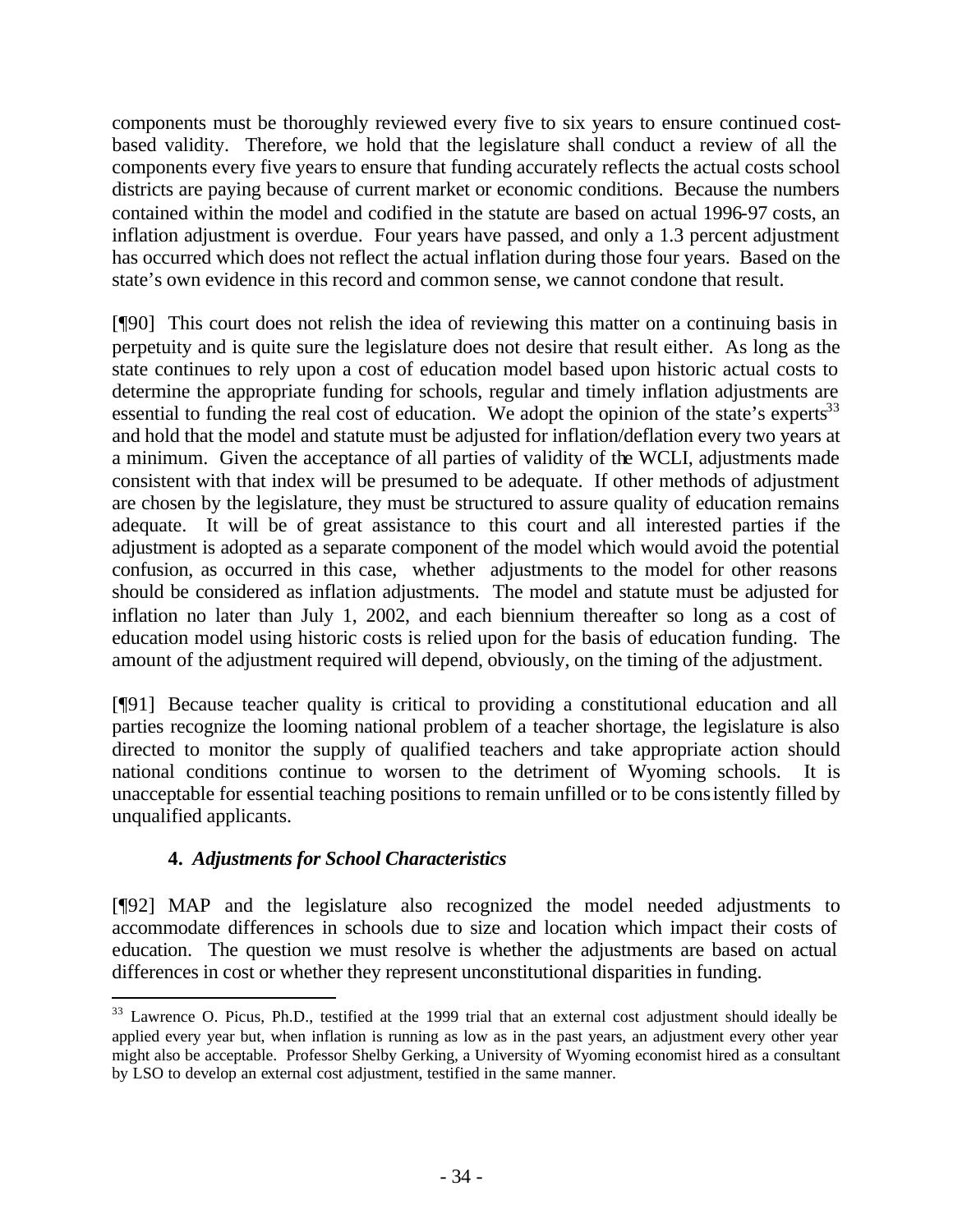components must be thoroughly reviewed every five to six years to ensure continued costbased validity. Therefore, we hold that the legislature shall conduct a review of all the components every five years to ensure that funding accurately reflects the actual costs school districts are paying because of current market or economic conditions. Because the numbers contained within the model and codified in the statute are based on actual 1996-97 costs, an inflation adjustment is overdue. Four years have passed, and only a 1.3 percent adjustment has occurred which does not reflect the actual inflation during those four years. Based on the state's own evidence in this record and common sense, we cannot condone that result.

[¶90] This court does not relish the idea of reviewing this matter on a continuing basis in perpetuity and is quite sure the legislature does not desire that result either. As long as the state continues to rely upon a cost of education model based upon historic actual costs to determine the appropriate funding for schools, regular and timely inflation adjustments are essential to funding the real cost of education. We adopt the opinion of the state's experts<sup>33</sup> and hold that the model and statute must be adjusted for inflation/deflation every two years at a minimum. Given the acceptance of all parties of validity of the WCLI, adjustments made consistent with that index will be presumed to be adequate. If other methods of adjustment are chosen by the legislature, they must be structured to assure quality of education remains adequate. It will be of great assistance to this court and all interested parties if the adjustment is adopted as a separate component of the model which would avoid the potential confusion, as occurred in this case, whether adjustments to the model for other reasons should be considered as inflation adjustments. The model and statute must be adjusted for inflation no later than July 1, 2002, and each biennium thereafter so long as a cost of education model using historic costs is relied upon for the basis of education funding. The amount of the adjustment required will depend, obviously, on the timing of the adjustment.

[¶91] Because teacher quality is critical to providing a constitutional education and all parties recognize the looming national problem of a teacher shortage, the legislature is also directed to monitor the supply of qualified teachers and take appropriate action should national conditions continue to worsen to the detriment of Wyoming schools. It is unacceptable for essential teaching positions to remain unfilled or to be consistently filled by unqualified applicants.

## **4.** *Adjustments for School Characteristics*

l

[¶92] MAP and the legislature also recognized the model needed adjustments to accommodate differences in schools due to size and location which impact their costs of education. The question we must resolve is whether the adjustments are based on actual differences in cost or whether they represent unconstitutional disparities in funding.

<sup>&</sup>lt;sup>33</sup> Lawrence O. Picus, Ph.D., testified at the 1999 trial that an external cost adjustment should ideally be applied every year but, when inflation is running as low as in the past years, an adjustment every other year might also be acceptable. Professor Shelby Gerking, a University of Wyoming economist hired as a consultant by LSO to develop an external cost adjustment, testified in the same manner.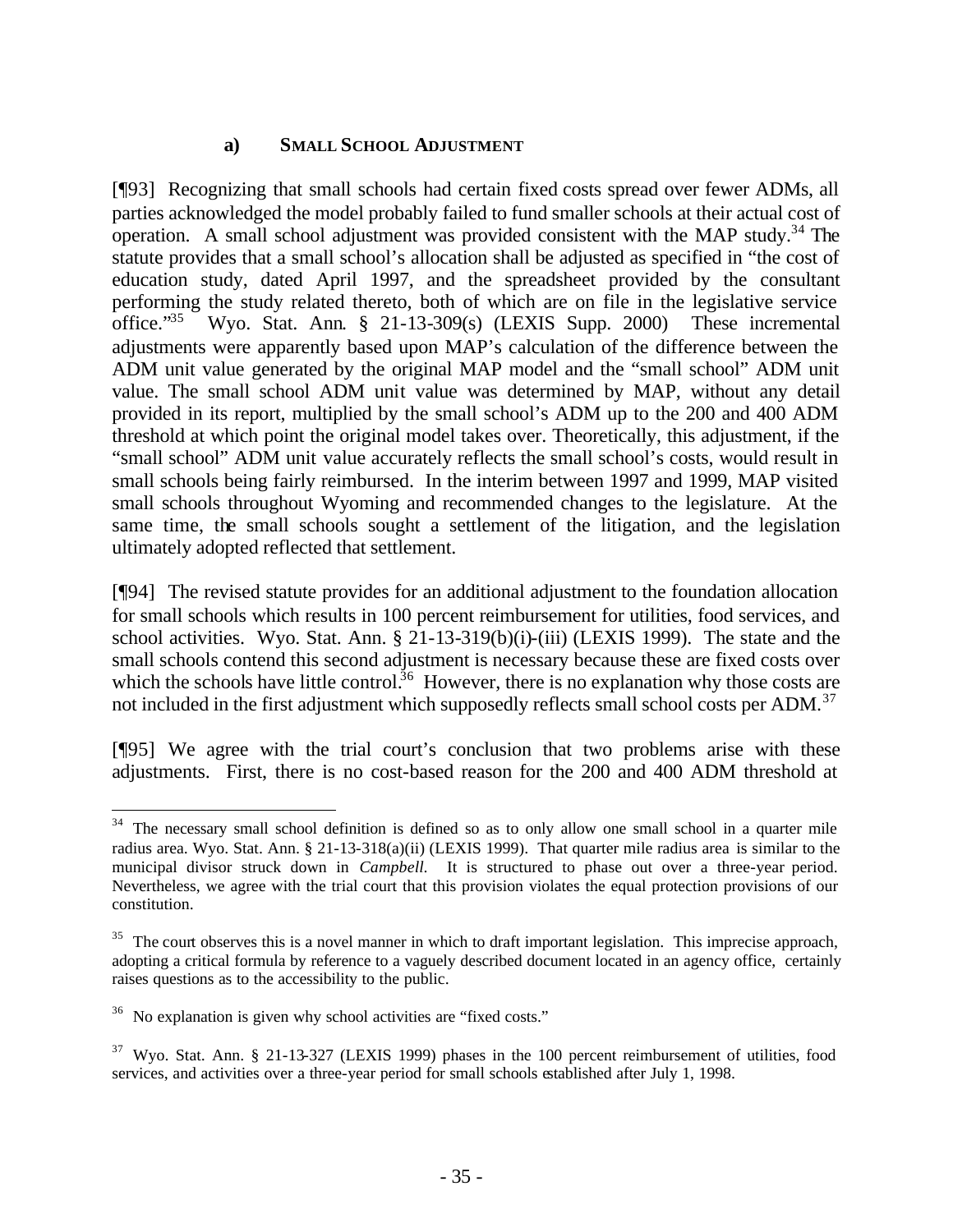### **a) SMALL SCHOOL ADJUSTMENT**

[¶93] Recognizing that small schools had certain fixed costs spread over fewer ADMs, all parties acknowledged the model probably failed to fund smaller schools at their actual cost of operation. A small school adjustment was provided consistent with the MAP study.<sup>34</sup> The statute provides that a small school's allocation shall be adjusted as specified in "the cost of education study, dated April 1997, and the spreadsheet provided by the consultant performing the study related thereto, both of which are on file in the legislative service office."<sup>35</sup> Wyo. Stat. Ann. § 21-13-309(s) (LEXIS Supp. 2000) These incremental adjustments were apparently based upon MAP's calculation of the difference between the ADM unit value generated by the original MAP model and the "small school" ADM unit value. The small school ADM unit value was determined by MAP, without any detail provided in its report, multiplied by the small school's ADM up to the 200 and 400 ADM threshold at which point the original model takes over. Theoretically, this adjustment, if the "small school" ADM unit value accurately reflects the small school's costs, would result in small schools being fairly reimbursed. In the interim between 1997 and 1999, MAP visited small schools throughout Wyoming and recommended changes to the legislature. At the same time, the small schools sought a settlement of the litigation, and the legislation ultimately adopted reflected that settlement.

[¶94] The revised statute provides for an additional adjustment to the foundation allocation for small schools which results in 100 percent reimbursement for utilities, food services, and school activities. Wyo. Stat. Ann. § 21-13-319(b)(i)-(iii) (LEXIS 1999). The state and the small schools contend this second adjustment is necessary because these are fixed costs over which the schools have little control.<sup>36</sup> However, there is no explanation why those costs are not included in the first adjustment which supposedly reflects small school costs per ADM.<sup>37</sup>

[¶95] We agree with the trial court's conclusion that two problems arise with these adjustments. First, there is no cost-based reason for the 200 and 400 ADM threshold at

<sup>&</sup>lt;sup>34</sup> The necessary small school definition is defined so as to only allow one small school in a quarter mile radius area. Wyo. Stat. Ann. § 21-13-318(a)(ii) (LEXIS 1999). That quarter mile radius area is similar to the municipal divisor struck down in *Campbell.* It is structured to phase out over a three-year period. Nevertheless, we agree with the trial court that this provision violates the equal protection provisions of our constitution.

 $35$  The court observes this is a novel manner in which to draft important legislation. This imprecise approach, adopting a critical formula by reference to a vaguely described document located in an agency office, certainly raises questions as to the accessibility to the public.

 $36$  No explanation is given why school activities are "fixed costs."

 $37$  Wyo. Stat. Ann. § 21-13-327 (LEXIS 1999) phases in the 100 percent reimbursement of utilities, food services, and activities over a three-year period for small schools established after July 1, 1998.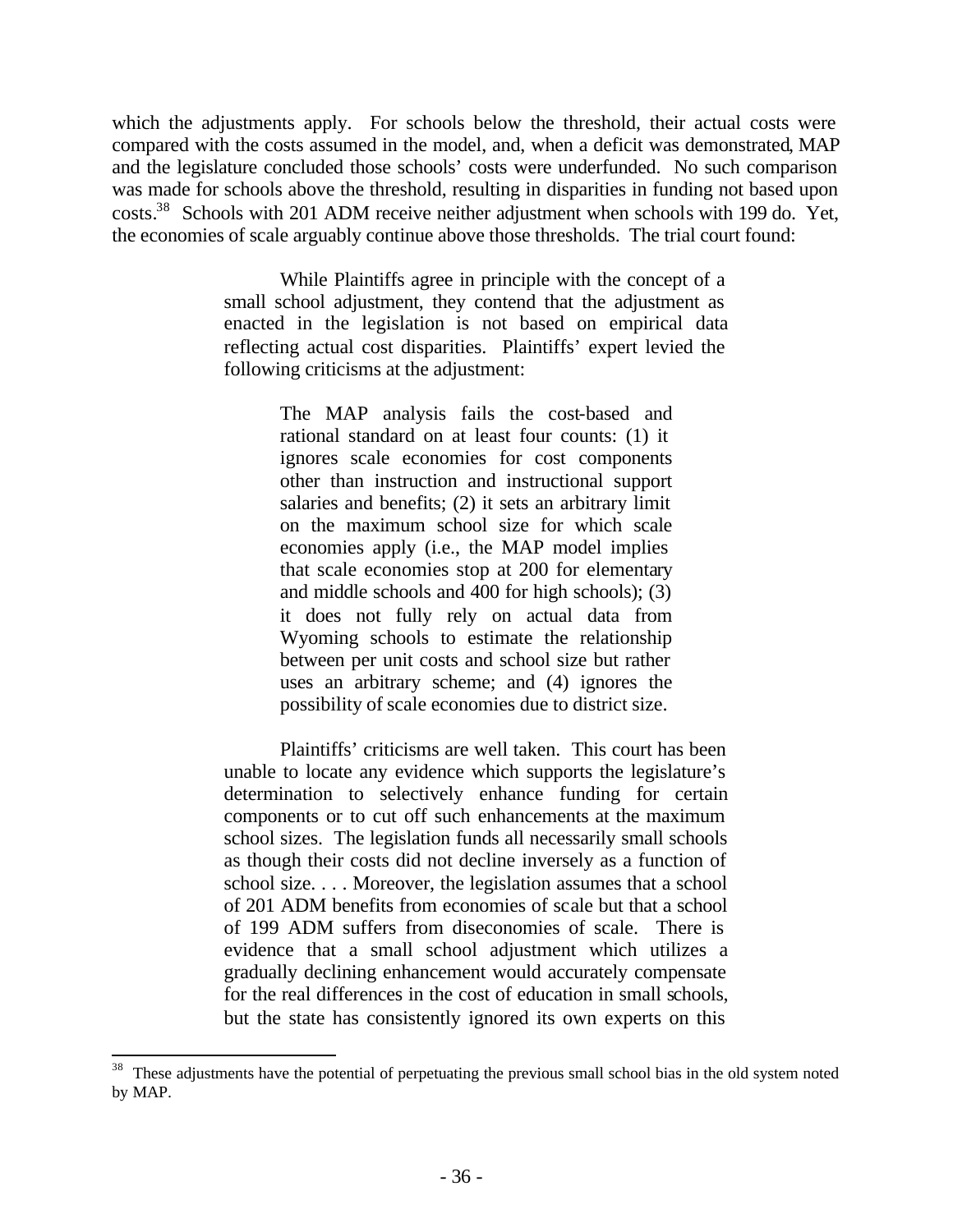which the adjustments apply. For schools below the threshold, their actual costs were compared with the costs assumed in the model, and, when a deficit was demonstrated, MAP and the legislature concluded those schools' costs were underfunded. No such comparison was made for schools above the threshold, resulting in disparities in funding not based upon costs.<sup>38</sup> Schools with 201 ADM receive neither adjustment when schools with 199 do. Yet, the economies of scale arguably continue above those thresholds. The trial court found:

> While Plaintiffs agree in principle with the concept of a small school adjustment, they contend that the adjustment as enacted in the legislation is not based on empirical data reflecting actual cost disparities. Plaintiffs' expert levied the following criticisms at the adjustment:

> > The MAP analysis fails the cost-based and rational standard on at least four counts: (1) it ignores scale economies for cost components other than instruction and instructional support salaries and benefits; (2) it sets an arbitrary limit on the maximum school size for which scale economies apply (i.e., the MAP model implies that scale economies stop at 200 for elementary and middle schools and 400 for high schools); (3) it does not fully rely on actual data from Wyoming schools to estimate the relationship between per unit costs and school size but rather uses an arbitrary scheme; and (4) ignores the possibility of scale economies due to district size.

Plaintiffs' criticisms are well taken. This court has been unable to locate any evidence which supports the legislature's determination to selectively enhance funding for certain components or to cut off such enhancements at the maximum school sizes. The legislation funds all necessarily small schools as though their costs did not decline inversely as a function of school size. . . . Moreover, the legislation assumes that a school of 201 ADM benefits from economies of scale but that a school of 199 ADM suffers from diseconomies of scale. There is evidence that a small school adjustment which utilizes a gradually declining enhancement would accurately compensate for the real differences in the cost of education in small schools, but the state has consistently ignored its own experts on this

<sup>&</sup>lt;sup>38</sup> These adjustments have the potential of perpetuating the previous small school bias in the old system noted by MAP.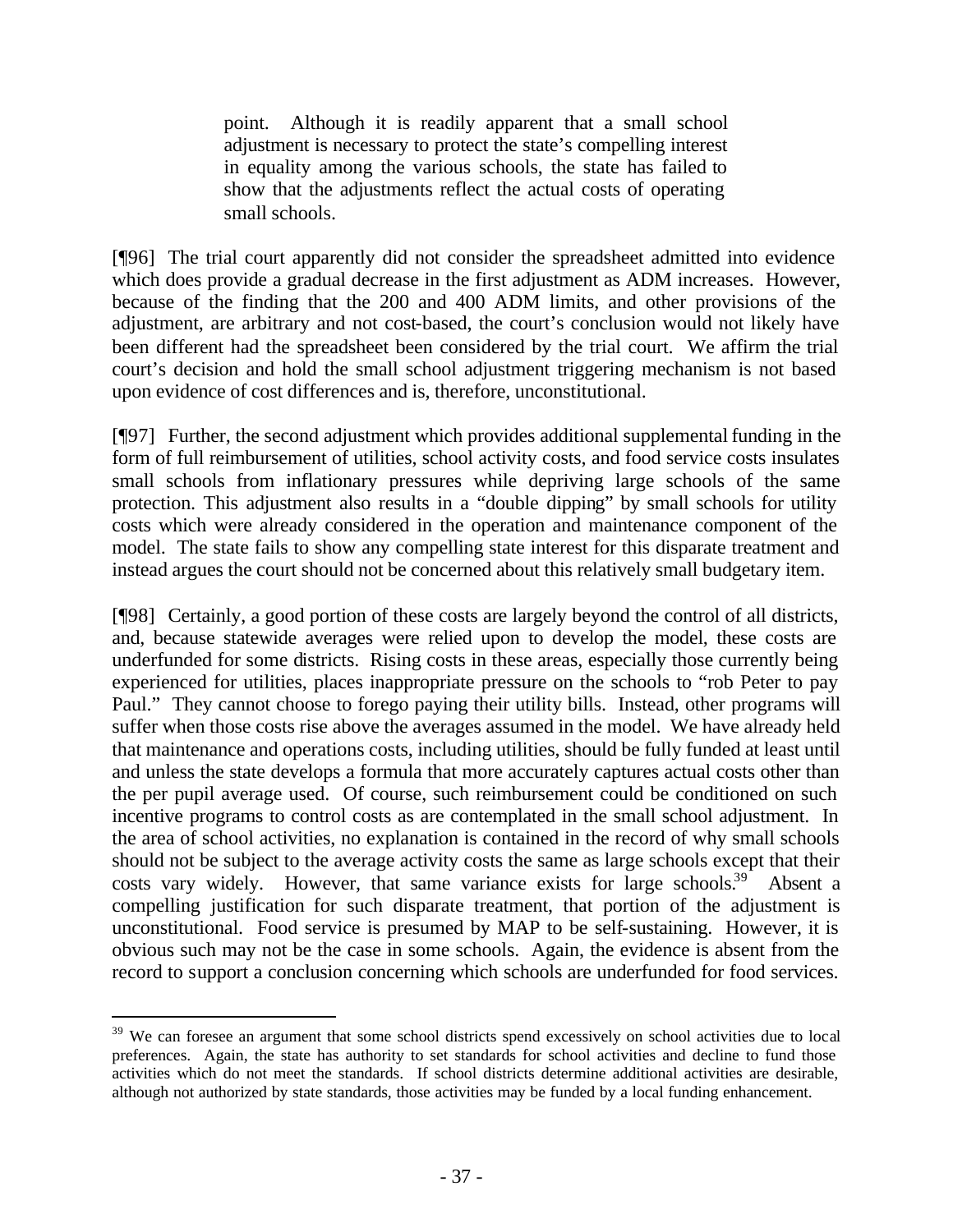point. Although it is readily apparent that a small school adjustment is necessary to protect the state's compelling interest in equality among the various schools, the state has failed to show that the adjustments reflect the actual costs of operating small schools.

[¶96] The trial court apparently did not consider the spreadsheet admitted into evidence which does provide a gradual decrease in the first adjustment as ADM increases. However, because of the finding that the 200 and 400 ADM limits, and other provisions of the adjustment, are arbitrary and not cost-based, the court's conclusion would not likely have been different had the spreadsheet been considered by the trial court. We affirm the trial court's decision and hold the small school adjustment triggering mechanism is not based upon evidence of cost differences and is, therefore, unconstitutional.

[¶97] Further, the second adjustment which provides additional supplemental funding in the form of full reimbursement of utilities, school activity costs, and food service costs insulates small schools from inflationary pressures while depriving large schools of the same protection. This adjustment also results in a "double dipping" by small schools for utility costs which were already considered in the operation and maintenance component of the model. The state fails to show any compelling state interest for this disparate treatment and instead argues the court should not be concerned about this relatively small budgetary item.

[¶98] Certainly, a good portion of these costs are largely beyond the control of all districts, and, because statewide averages were relied upon to develop the model, these costs are underfunded for some districts. Rising costs in these areas, especially those currently being experienced for utilities, places inappropriate pressure on the schools to "rob Peter to pay Paul." They cannot choose to forego paying their utility bills. Instead, other programs will suffer when those costs rise above the averages assumed in the model. We have already held that maintenance and operations costs, including utilities, should be fully funded at least until and unless the state develops a formula that more accurately captures actual costs other than the per pupil average used. Of course, such reimbursement could be conditioned on such incentive programs to control costs as are contemplated in the small school adjustment. In the area of school activities, no explanation is contained in the record of why small schools should not be subject to the average activity costs the same as large schools except that their costs vary widely. However, that same variance exists for large schools.<sup>39</sup> Absent a compelling justification for such disparate treatment, that portion of the adjustment is unconstitutional. Food service is presumed by MAP to be self-sustaining. However, it is obvious such may not be the case in some schools. Again, the evidence is absent from the record to support a conclusion concerning which schools are underfunded for food services.

<sup>&</sup>lt;sup>39</sup> We can foresee an argument that some school districts spend excessively on school activities due to local preferences. Again, the state has authority to set standards for school activities and decline to fund those activities which do not meet the standards. If school districts determine additional activities are desirable, although not authorized by state standards, those activities may be funded by a local funding enhancement.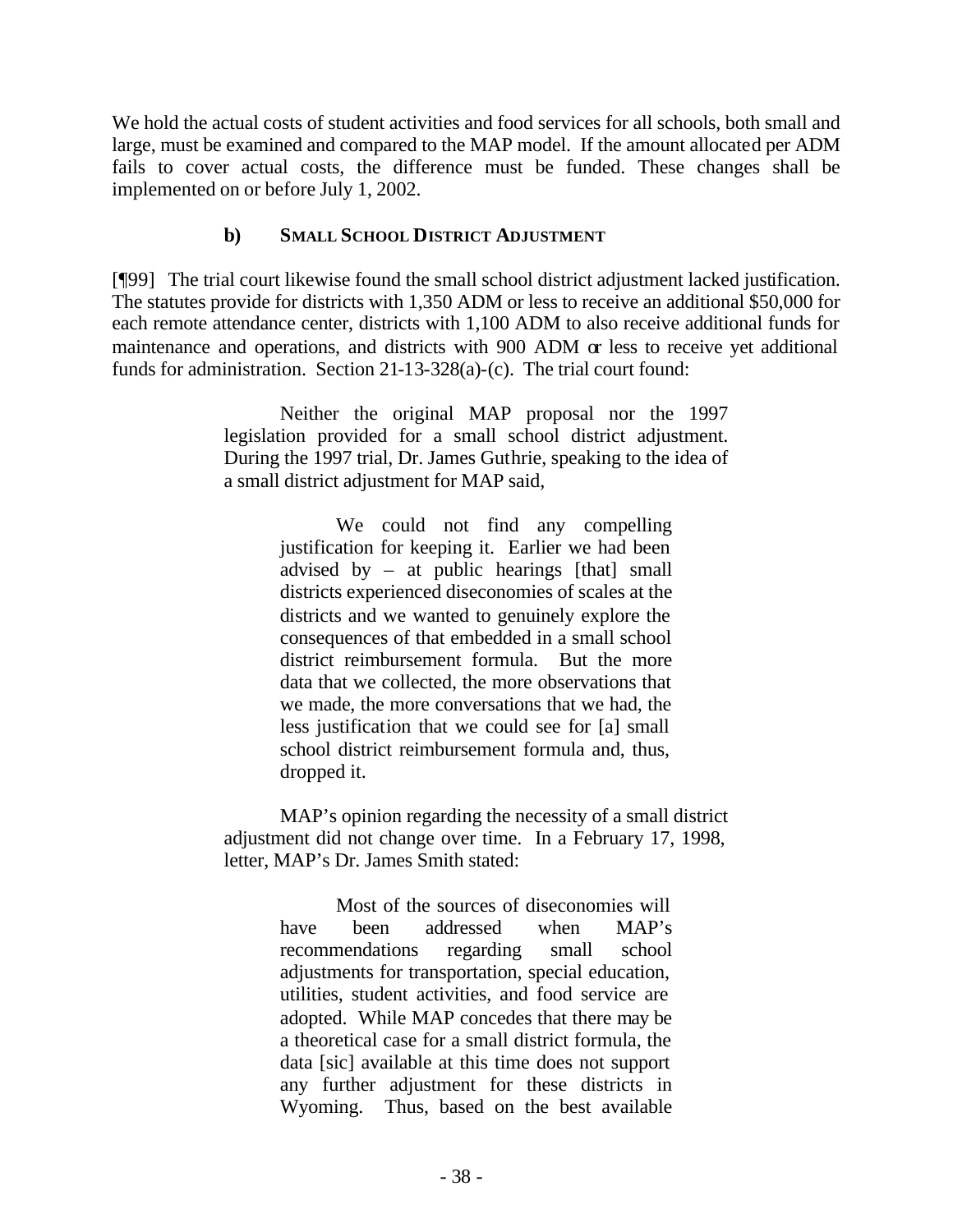We hold the actual costs of student activities and food services for all schools, both small and large, must be examined and compared to the MAP model. If the amount allocated per ADM fails to cover actual costs, the difference must be funded. These changes shall be implemented on or before July 1, 2002.

## **b) SMALL SCHOOL DISTRICT ADJUSTMENT**

[¶99] The trial court likewise found the small school district adjustment lacked justification. The statutes provide for districts with 1,350 ADM or less to receive an additional \$50,000 for each remote attendance center, districts with 1,100 ADM to also receive additional funds for maintenance and operations, and districts with 900 ADM or less to receive yet additional funds for administration. Section 21-13-328(a)-(c). The trial court found:

> Neither the original MAP proposal nor the 1997 legislation provided for a small school district adjustment. During the 1997 trial, Dr. James Guthrie, speaking to the idea of a small district adjustment for MAP said,

> > We could not find any compelling justification for keeping it. Earlier we had been advised by – at public hearings  $[that]$  small districts experienced diseconomies of scales at the districts and we wanted to genuinely explore the consequences of that embedded in a small school district reimbursement formula. But the more data that we collected, the more observations that we made, the more conversations that we had, the less justification that we could see for [a] small school district reimbursement formula and, thus, dropped it.

MAP's opinion regarding the necessity of a small district adjustment did not change over time. In a February 17, 1998, letter, MAP's Dr. James Smith stated:

> Most of the sources of diseconomies will have been addressed when MAP's recommendations regarding small school adjustments for transportation, special education, utilities, student activities, and food service are adopted. While MAP concedes that there may be a theoretical case for a small district formula, the data [sic] available at this time does not support any further adjustment for these districts in Wyoming. Thus, based on the best available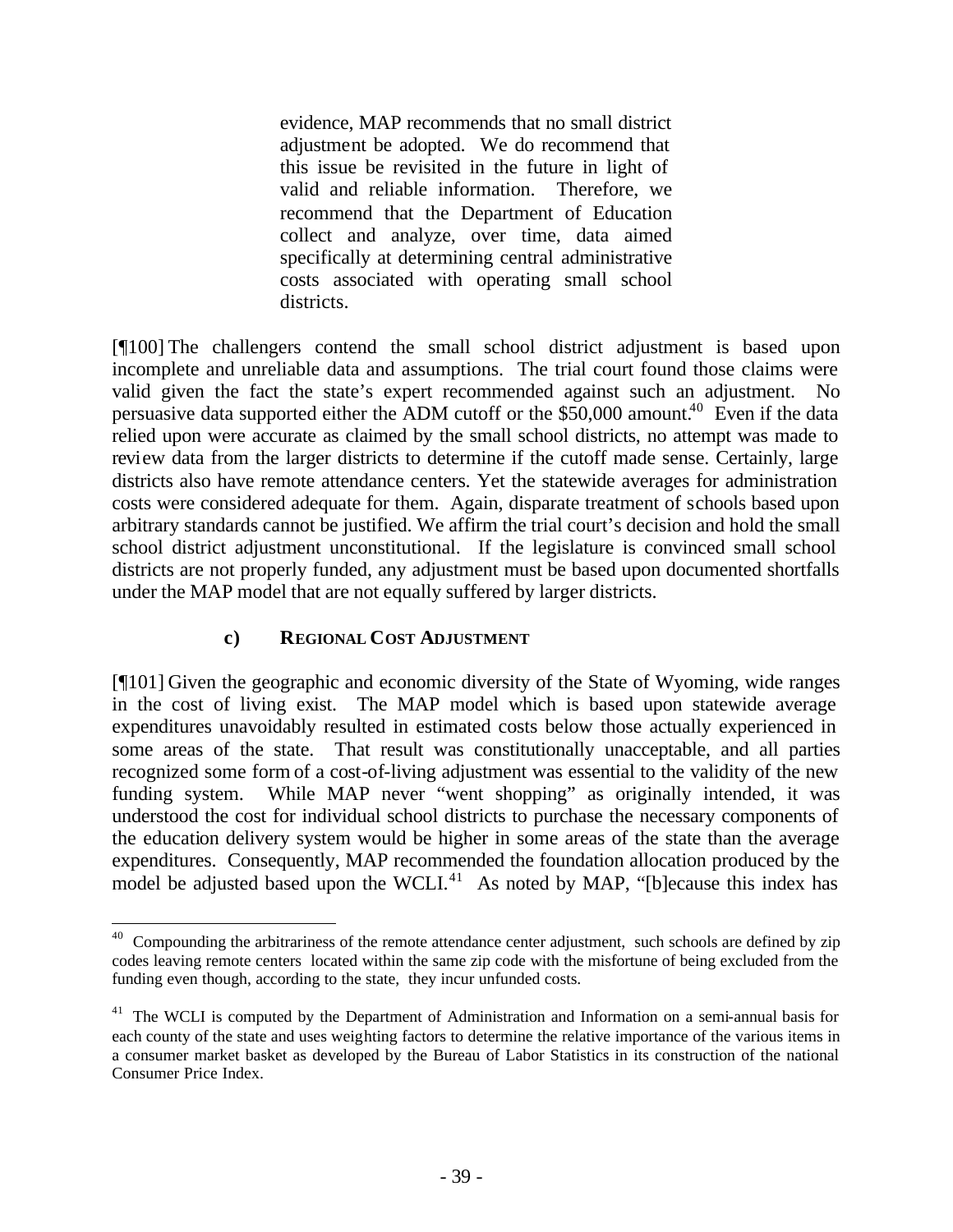evidence, MAP recommends that no small district adjustment be adopted. We do recommend that this issue be revisited in the future in light of valid and reliable information. Therefore, we recommend that the Department of Education collect and analyze, over time, data aimed specifically at determining central administrative costs associated with operating small school districts.

[¶100] The challengers contend the small school district adjustment is based upon incomplete and unreliable data and assumptions. The trial court found those claims were valid given the fact the state's expert recommended against such an adjustment. No persuasive data supported either the ADM cutoff or the  $$50,000$  amount.<sup>40</sup> Even if the data relied upon were accurate as claimed by the small school districts, no attempt was made to review data from the larger districts to determine if the cutoff made sense. Certainly, large districts also have remote attendance centers. Yet the statewide averages for administration costs were considered adequate for them. Again, disparate treatment of schools based upon arbitrary standards cannot be justified. We affirm the trial court's decision and hold the small school district adjustment unconstitutional. If the legislature is convinced small school districts are not properly funded, any adjustment must be based upon documented shortfalls under the MAP model that are not equally suffered by larger districts.

### **c) REGIONAL COST ADJUSTMENT**

[¶101] Given the geographic and economic diversity of the State of Wyoming, wide ranges in the cost of living exist. The MAP model which is based upon statewide average expenditures unavoidably resulted in estimated costs below those actually experienced in some areas of the state. That result was constitutionally unacceptable, and all parties recognized some form of a cost-of-living adjustment was essential to the validity of the new funding system. While MAP never "went shopping" as originally intended, it was understood the cost for individual school districts to purchase the necessary components of the education delivery system would be higher in some areas of the state than the average expenditures. Consequently, MAP recommended the foundation allocation produced by the model be adjusted based upon the WCLI. $41$  As noted by MAP, "[b]ecause this index has

<sup>&</sup>lt;sup>40</sup> Compounding the arbitrariness of the remote attendance center adjustment, such schools are defined by zip codes leaving remote centers located within the same zip code with the misfortune of being excluded from the funding even though, according to the state, they incur unfunded costs.

<sup>&</sup>lt;sup>41</sup> The WCLI is computed by the Department of Administration and Information on a semi-annual basis for each county of the state and uses weighting factors to determine the relative importance of the various items in a consumer market basket as developed by the Bureau of Labor Statistics in its construction of the national Consumer Price Index.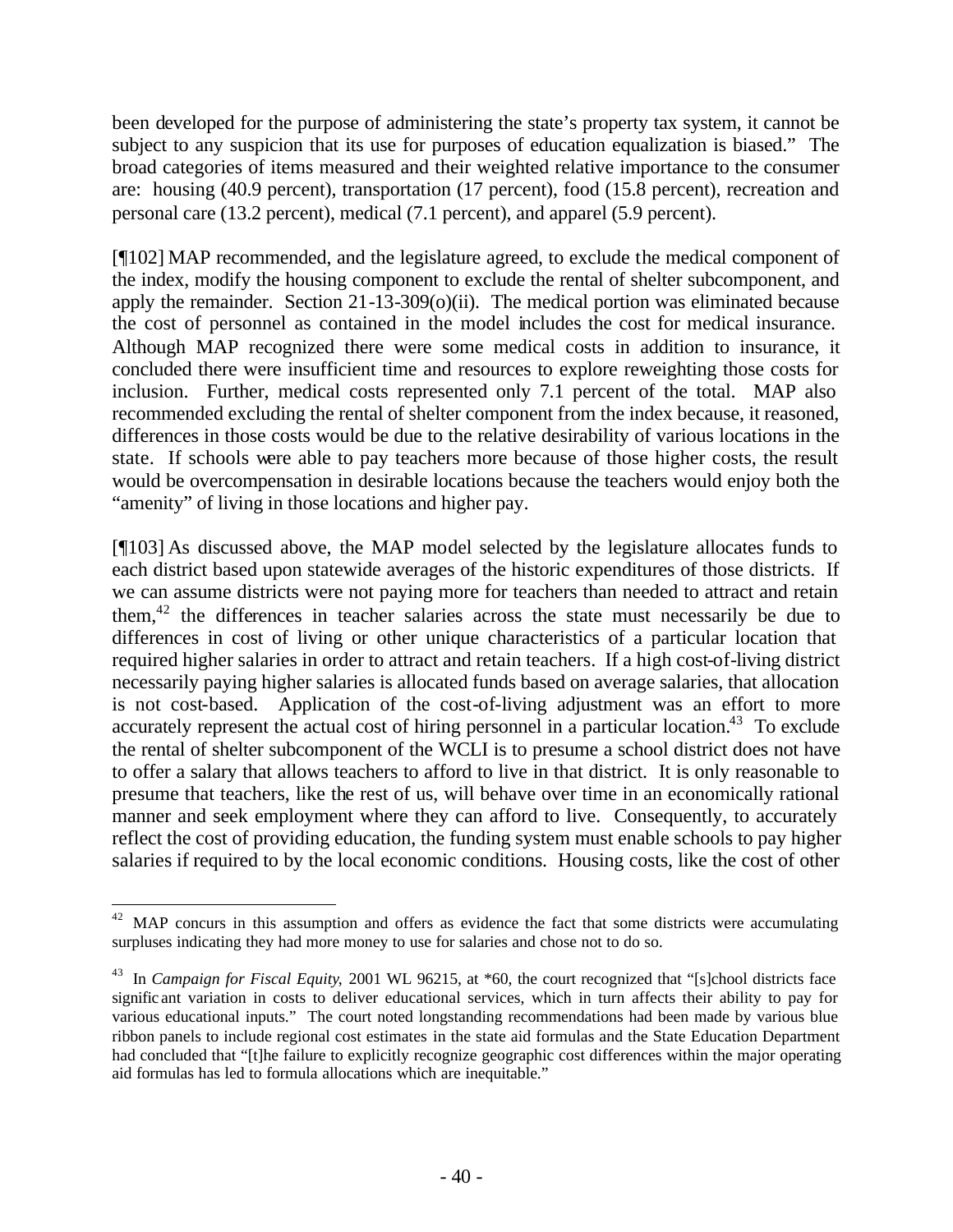been developed for the purpose of administering the state's property tax system, it cannot be subject to any suspicion that its use for purposes of education equalization is biased." The broad categories of items measured and their weighted relative importance to the consumer are: housing (40.9 percent), transportation (17 percent), food (15.8 percent), recreation and personal care (13.2 percent), medical (7.1 percent), and apparel (5.9 percent).

[¶102] MAP recommended, and the legislature agreed, to exclude the medical component of the index, modify the housing component to exclude the rental of shelter subcomponent, and apply the remainder. Section  $21-13-309(0)(ii)$ . The medical portion was eliminated because the cost of personnel as contained in the model includes the cost for medical insurance. Although MAP recognized there were some medical costs in addition to insurance, it concluded there were insufficient time and resources to explore reweighting those costs for inclusion. Further, medical costs represented only 7.1 percent of the total. MAP also recommended excluding the rental of shelter component from the index because, it reasoned, differences in those costs would be due to the relative desirability of various locations in the state. If schools were able to pay teachers more because of those higher costs, the result would be overcompensation in desirable locations because the teachers would enjoy both the "amenity" of living in those locations and higher pay.

[¶103] As discussed above, the MAP model selected by the legislature allocates funds to each district based upon statewide averages of the historic expenditures of those districts. If we can assume districts were not paying more for teachers than needed to attract and retain them, $42$  the differences in teacher salaries across the state must necessarily be due to differences in cost of living or other unique characteristics of a particular location that required higher salaries in order to attract and retain teachers. If a high cost-of-living district necessarily paying higher salaries is allocated funds based on average salaries, that allocation is not cost-based. Application of the cost-of-living adjustment was an effort to more accurately represent the actual cost of hiring personnel in a particular location.<sup>43</sup> To exclude the rental of shelter subcomponent of the WCLI is to presume a school district does not have to offer a salary that allows teachers to afford to live in that district. It is only reasonable to presume that teachers, like the rest of us, will behave over time in an economically rational manner and seek employment where they can afford to live. Consequently, to accurately reflect the cost of providing education, the funding system must enable schools to pay higher salaries if required to by the local economic conditions. Housing costs, like the cost of other

<sup>&</sup>lt;sup>42</sup> MAP concurs in this assumption and offers as evidence the fact that some districts were accumulating surpluses indicating they had more money to use for salaries and chose not to do so.

<sup>&</sup>lt;sup>43</sup> In *Campaign for Fiscal Equity*, 2001 WL 96215, at \*60, the court recognized that "[s]chool districts face signific ant variation in costs to deliver educational services, which in turn affects their ability to pay for various educational inputs." The court noted longstanding recommendations had been made by various blue ribbon panels to include regional cost estimates in the state aid formulas and the State Education Department had concluded that "[t]he failure to explicitly recognize geographic cost differences within the major operating aid formulas has led to formula allocations which are inequitable."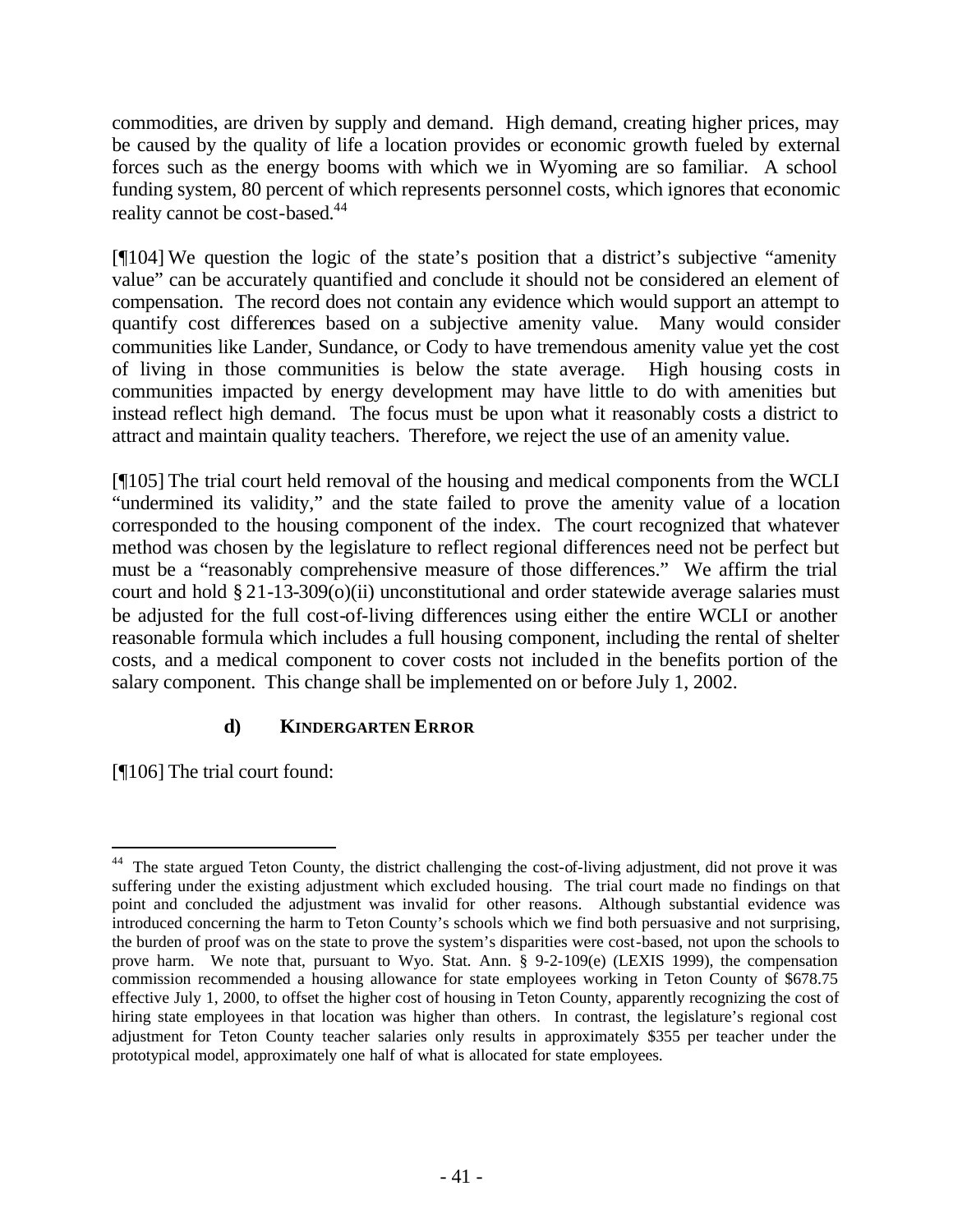commodities, are driven by supply and demand. High demand, creating higher prices, may be caused by the quality of life a location provides or economic growth fueled by external forces such as the energy booms with which we in Wyoming are so familiar. A school funding system, 80 percent of which represents personnel costs, which ignores that economic reality cannot be cost-based.<sup>44</sup>

[¶104] We question the logic of the state's position that a district's subjective "amenity value" can be accurately quantified and conclude it should not be considered an element of compensation. The record does not contain any evidence which would support an attempt to quantify cost differences based on a subjective amenity value. Many would consider communities like Lander, Sundance, or Cody to have tremendous amenity value yet the cost of living in those communities is below the state average. High housing costs in communities impacted by energy development may have little to do with amenities but instead reflect high demand. The focus must be upon what it reasonably costs a district to attract and maintain quality teachers. Therefore, we reject the use of an amenity value.

[¶105] The trial court held removal of the housing and medical components from the WCLI "undermined its validity," and the state failed to prove the amenity value of a location corresponded to the housing component of the index. The court recognized that whatever method was chosen by the legislature to reflect regional differences need not be perfect but must be a "reasonably comprehensive measure of those differences." We affirm the trial court and hold § 21-13-309(o)(ii) unconstitutional and order statewide average salaries must be adjusted for the full cost-of-living differences using either the entire WCLI or another reasonable formula which includes a full housing component, including the rental of shelter costs, and a medical component to cover costs not included in the benefits portion of the salary component. This change shall be implemented on or before July 1, 2002.

### **d) KINDERGARTEN ERROR**

[¶106] The trial court found:

<sup>44</sup> The state argued Teton County, the district challenging the cost-of-living adjustment, did not prove it was suffering under the existing adjustment which excluded housing. The trial court made no findings on that point and concluded the adjustment was invalid for other reasons. Although substantial evidence was introduced concerning the harm to Teton County's schools which we find both persuasive and not surprising, the burden of proof was on the state to prove the system's disparities were cost-based, not upon the schools to prove harm. We note that, pursuant to Wyo. Stat. Ann. § 9-2-109(e) (LEXIS 1999), the compensation commission recommended a housing allowance for state employees working in Teton County of \$678.75 effective July 1, 2000, to offset the higher cost of housing in Teton County, apparently recognizing the cost of hiring state employees in that location was higher than others. In contrast, the legislature's regional cost adjustment for Teton County teacher salaries only results in approximately \$355 per teacher under the prototypical model, approximately one half of what is allocated for state employees.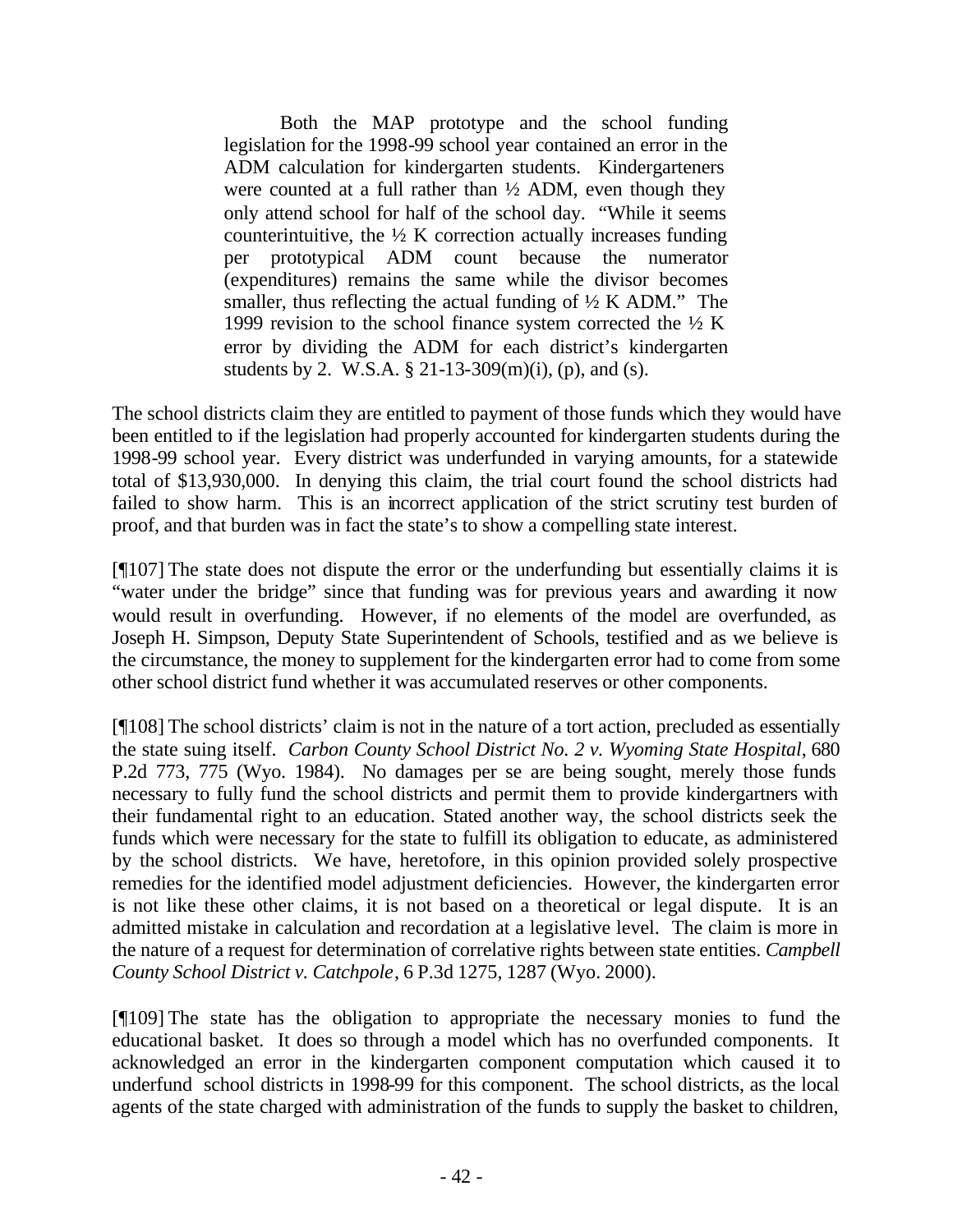Both the MAP prototype and the school funding legislation for the 1998-99 school year contained an error in the ADM calculation for kindergarten students. Kindergarteners were counted at a full rather than  $\frac{1}{2}$  ADM, even though they only attend school for half of the school day. "While it seems counterintuitive, the  $\frac{1}{2}$  K correction actually increases funding per prototypical ADM count because the numerator (expenditures) remains the same while the divisor becomes smaller, thus reflecting the actual funding of  $\frac{1}{2}$  K ADM." The 1999 revision to the school finance system corrected the  $\frac{1}{2}$  K error by dividing the ADM for each district's kindergarten students by 2. W.S.A. § 21-13-309(m)(i), (p), and (s).

The school districts claim they are entitled to payment of those funds which they would have been entitled to if the legislation had properly accounted for kindergarten students during the 1998-99 school year. Every district was underfunded in varying amounts, for a statewide total of \$13,930,000. In denying this claim, the trial court found the school districts had failed to show harm. This is an incorrect application of the strict scrutiny test burden of proof, and that burden was in fact the state's to show a compelling state interest.

[¶107] The state does not dispute the error or the underfunding but essentially claims it is "water under the bridge" since that funding was for previous years and awarding it now would result in overfunding. However, if no elements of the model are overfunded, as Joseph H. Simpson, Deputy State Superintendent of Schools, testified and as we believe is the circumstance, the money to supplement for the kindergarten error had to come from some other school district fund whether it was accumulated reserves or other components.

[¶108] The school districts' claim is not in the nature of a tort action, precluded as essentially the state suing itself. *Carbon County School District No. 2 v. Wyoming State Hospital*, 680 P.2d 773, 775 (Wyo. 1984). No damages per se are being sought, merely those funds necessary to fully fund the school districts and permit them to provide kindergartners with their fundamental right to an education. Stated another way, the school districts seek the funds which were necessary for the state to fulfill its obligation to educate, as administered by the school districts. We have, heretofore, in this opinion provided solely prospective remedies for the identified model adjustment deficiencies. However, the kindergarten error is not like these other claims, it is not based on a theoretical or legal dispute. It is an admitted mistake in calculation and recordation at a legislative level. The claim is more in the nature of a request for determination of correlative rights between state entities. *Campbell County School District v. Catchpole*, 6 P.3d 1275, 1287 (Wyo. 2000).

[¶109] The state has the obligation to appropriate the necessary monies to fund the educational basket. It does so through a model which has no overfunded components. It acknowledged an error in the kindergarten component computation which caused it to underfund school districts in 1998-99 for this component. The school districts, as the local agents of the state charged with administration of the funds to supply the basket to children,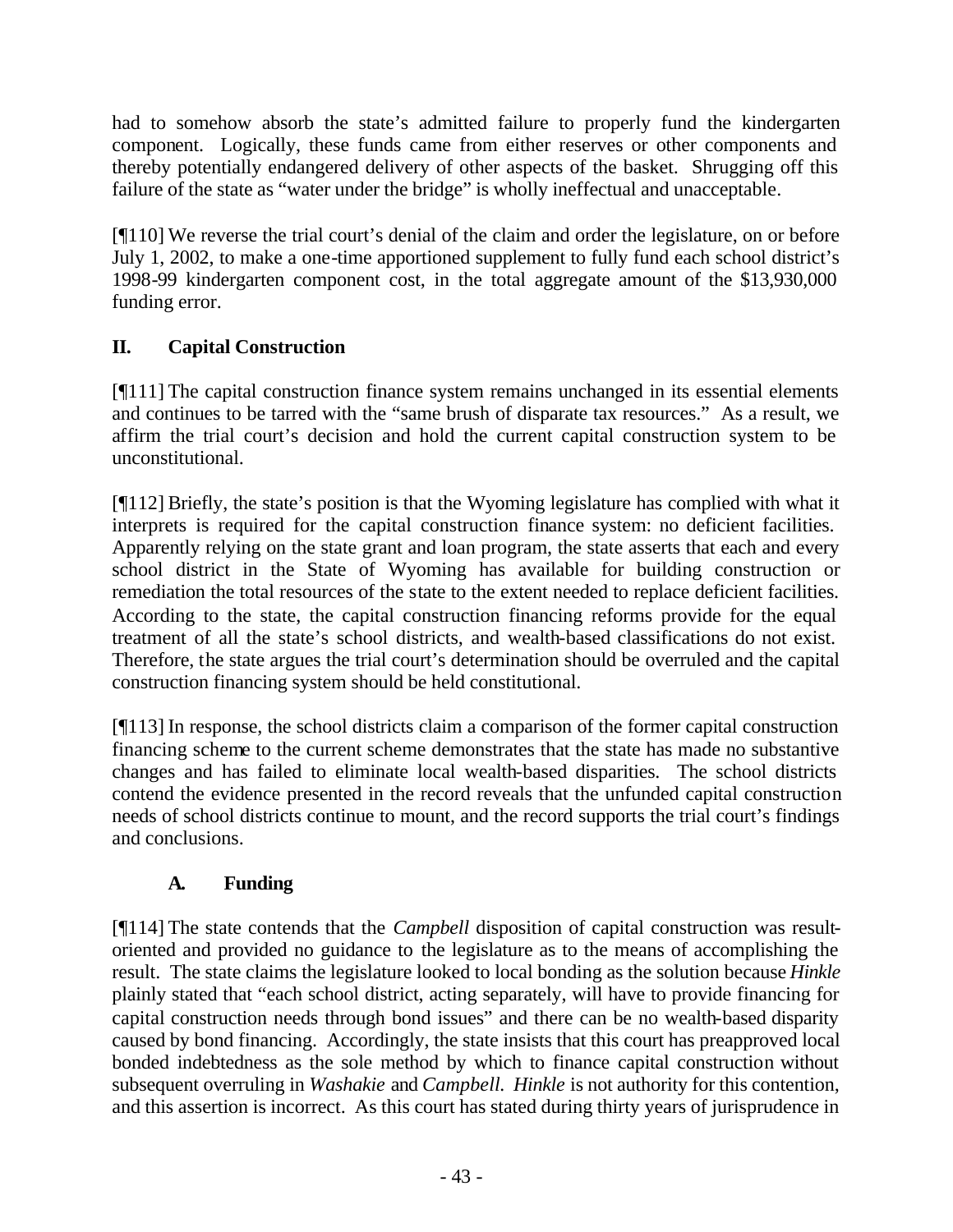had to somehow absorb the state's admitted failure to properly fund the kindergarten component. Logically, these funds came from either reserves or other components and thereby potentially endangered delivery of other aspects of the basket. Shrugging off this failure of the state as "water under the bridge" is wholly ineffectual and unacceptable.

[¶110] We reverse the trial court's denial of the claim and order the legislature, on or before July 1, 2002, to make a one-time apportioned supplement to fully fund each school district's 1998-99 kindergarten component cost, in the total aggregate amount of the \$13,930,000 funding error.

# **II. Capital Construction**

[¶111] The capital construction finance system remains unchanged in its essential elements and continues to be tarred with the "same brush of disparate tax resources." As a result, we affirm the trial court's decision and hold the current capital construction system to be unconstitutional.

[¶112] Briefly, the state's position is that the Wyoming legislature has complied with what it interprets is required for the capital construction finance system: no deficient facilities. Apparently relying on the state grant and loan program, the state asserts that each and every school district in the State of Wyoming has available for building construction or remediation the total resources of the state to the extent needed to replace deficient facilities. According to the state, the capital construction financing reforms provide for the equal treatment of all the state's school districts, and wealth-based classifications do not exist. Therefore, the state argues the trial court's determination should be overruled and the capital construction financing system should be held constitutional.

[¶113] In response, the school districts claim a comparison of the former capital construction financing scheme to the current scheme demonstrates that the state has made no substantive changes and has failed to eliminate local wealth-based disparities. The school districts contend the evidence presented in the record reveals that the unfunded capital construction needs of school districts continue to mount, and the record supports the trial court's findings and conclusions.

# **A. Funding**

[¶114] The state contends that the *Campbell* disposition of capital construction was resultoriented and provided no guidance to the legislature as to the means of accomplishing the result. The state claims the legislature looked to local bonding as the solution because *Hinkle* plainly stated that "each school district, acting separately, will have to provide financing for capital construction needs through bond issues" and there can be no wealth-based disparity caused by bond financing. Accordingly, the state insists that this court has preapproved local bonded indebtedness as the sole method by which to finance capital construction without subsequent overruling in *Washakie* and *Campbell. Hinkle* is not authority for this contention, and this assertion is incorrect. As this court has stated during thirty years of jurisprudence in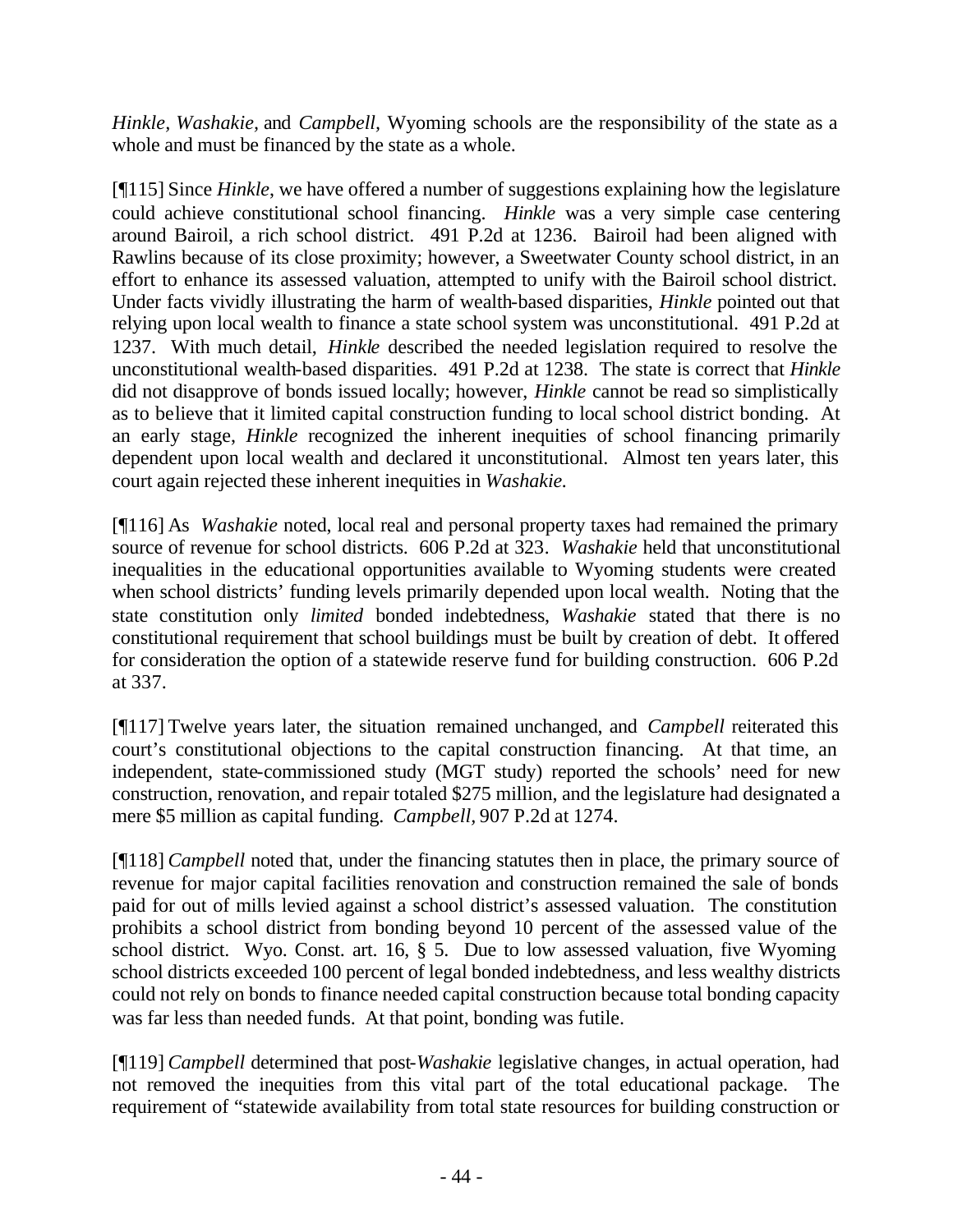*Hinkle, Washakie,* and *Campbell,* Wyoming schools are the responsibility of the state as a whole and must be financed by the state as a whole.

[¶115] Since *Hinkle*, we have offered a number of suggestions explaining how the legislature could achieve constitutional school financing. *Hinkle* was a very simple case centering around Bairoil, a rich school district. 491 P.2d at 1236. Bairoil had been aligned with Rawlins because of its close proximity; however, a Sweetwater County school district, in an effort to enhance its assessed valuation, attempted to unify with the Bairoil school district. Under facts vividly illustrating the harm of wealth-based disparities, *Hinkle* pointed out that relying upon local wealth to finance a state school system was unconstitutional. 491 P.2d at 1237. With much detail, *Hinkle* described the needed legislation required to resolve the unconstitutional wealth-based disparities. 491 P.2d at 1238. The state is correct that *Hinkle* did not disapprove of bonds issued locally; however, *Hinkle* cannot be read so simplistically as to believe that it limited capital construction funding to local school district bonding. At an early stage, *Hinkle* recognized the inherent inequities of school financing primarily dependent upon local wealth and declared it unconstitutional. Almost ten years later, this court again rejected these inherent inequities in *Washakie.*

[¶116] As *Washakie* noted, local real and personal property taxes had remained the primary source of revenue for school districts. 606 P.2d at 323*. Washakie* held that unconstitutional inequalities in the educational opportunities available to Wyoming students were created when school districts' funding levels primarily depended upon local wealth. Noting that the state constitution only *limited* bonded indebtedness, *Washakie* stated that there is no constitutional requirement that school buildings must be built by creation of debt.It offered for consideration the option of a statewide reserve fund for building construction. 606 P.2d at 337.

[¶117] Twelve years later, the situation remained unchanged, and *Campbell* reiterated this court's constitutional objections to the capital construction financing. At that time, an independent, state-commissioned study (MGT study) reported the schools' need for new construction, renovation, and repair totaled \$275 million, and the legislature had designated a mere \$5 million as capital funding. *Campbell,* 907 P.2d at 1274.

[¶118] *Campbell* noted that, under the financing statutes then in place, the primary source of revenue for major capital facilities renovation and construction remained the sale of bonds paid for out of mills levied against a school district's assessed valuation. The constitution prohibits a school district from bonding beyond 10 percent of the assessed value of the school district. Wyo. Const. art. 16, § 5. Due to low assessed valuation, five Wyoming school districts exceeded 100 percent of legal bonded indebtedness, and less wealthy districts could not rely on bonds to finance needed capital construction because total bonding capacity was far less than needed funds. At that point, bonding was futile.

[¶119] *Campbell* determined that post-*Washakie* legislative changes, in actual operation, had not removed the inequities from this vital part of the total educational package. The requirement of "statewide availability from total state resources for building construction or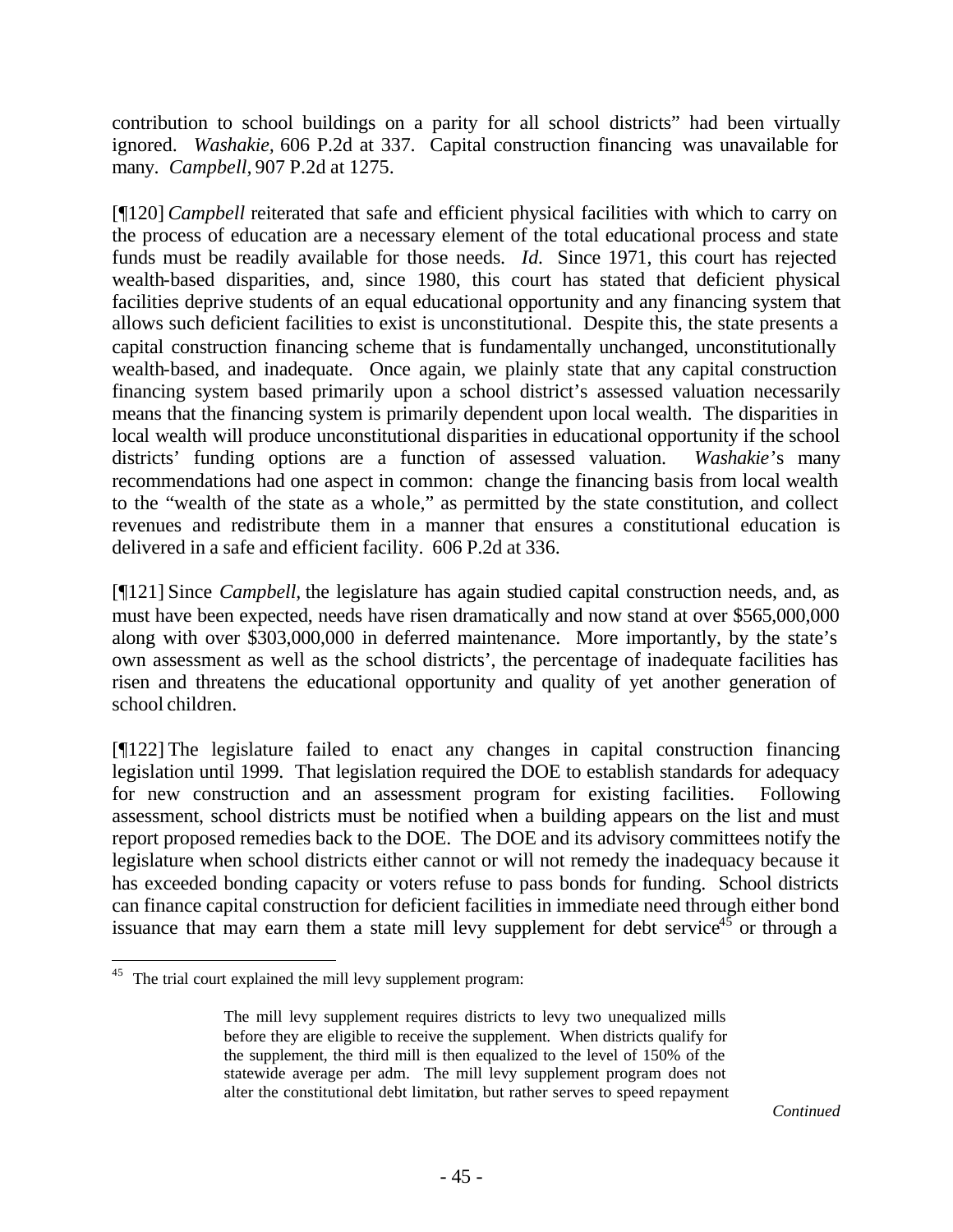contribution to school buildings on a parity for all school districts" had been virtually ignored. *Washakie,* 606 P.2d at 337. Capital construction financing was unavailable for many. *Campbell,* 907 P.2d at 1275.

[¶120] *Campbell* reiterated that safe and efficient physical facilities with which to carry on the process of education are a necessary element of the total educational process and state funds must be readily available for those needs. *Id.* Since 1971, this court has rejected wealth-based disparities, and, since 1980, this court has stated that deficient physical facilities deprive students of an equal educational opportunity and any financing system that allows such deficient facilities to exist is unconstitutional. Despite this, the state presents a capital construction financing scheme that is fundamentally unchanged, unconstitutionally wealth-based, and inadequate. Once again, we plainly state that any capital construction financing system based primarily upon a school district's assessed valuation necessarily means that the financing system is primarily dependent upon local wealth. The disparities in local wealth will produce unconstitutional disparities in educational opportunity if the school districts' funding options are a function of assessed valuation. *Washakie*'s many recommendations had one aspect in common: change the financing basis from local wealth to the "wealth of the state as a whole," as permitted by the state constitution, and collect revenues and redistribute them in a manner that ensures a constitutional education is delivered in a safe and efficient facility. 606 P.2d at 336.

[¶121] Since *Campbell,* the legislature has again studied capital construction needs, and, as must have been expected, needs have risen dramatically and now stand at over \$565,000,000 along with over \$303,000,000 in deferred maintenance. More importantly, by the state's own assessment as well as the school districts', the percentage of inadequate facilities has risen and threatens the educational opportunity and quality of yet another generation of school children.

[¶122] The legislature failed to enact any changes in capital construction financing legislation until 1999. That legislation required the DOE to establish standards for adequacy for new construction and an assessment program for existing facilities. Following assessment, school districts must be notified when a building appears on the list and must report proposed remedies back to the DOE. The DOE and its advisory committees notify the legislature when school districts either cannot or will not remedy the inadequacy because it has exceeded bonding capacity or voters refuse to pass bonds for funding. School districts can finance capital construction for deficient facilities in immediate need through either bond issuance that may earn them a state mill levy supplement for debt service<sup>45</sup> or through a

<sup>&</sup>lt;sup>45</sup> The trial court explained the mill levy supplement program:

The mill levy supplement requires districts to levy two unequalized mills before they are eligible to receive the supplement. When districts qualify for the supplement, the third mill is then equalized to the level of 150% of the statewide average per adm. The mill levy supplement program does not alter the constitutional debt limitation, but rather serves to speed repayment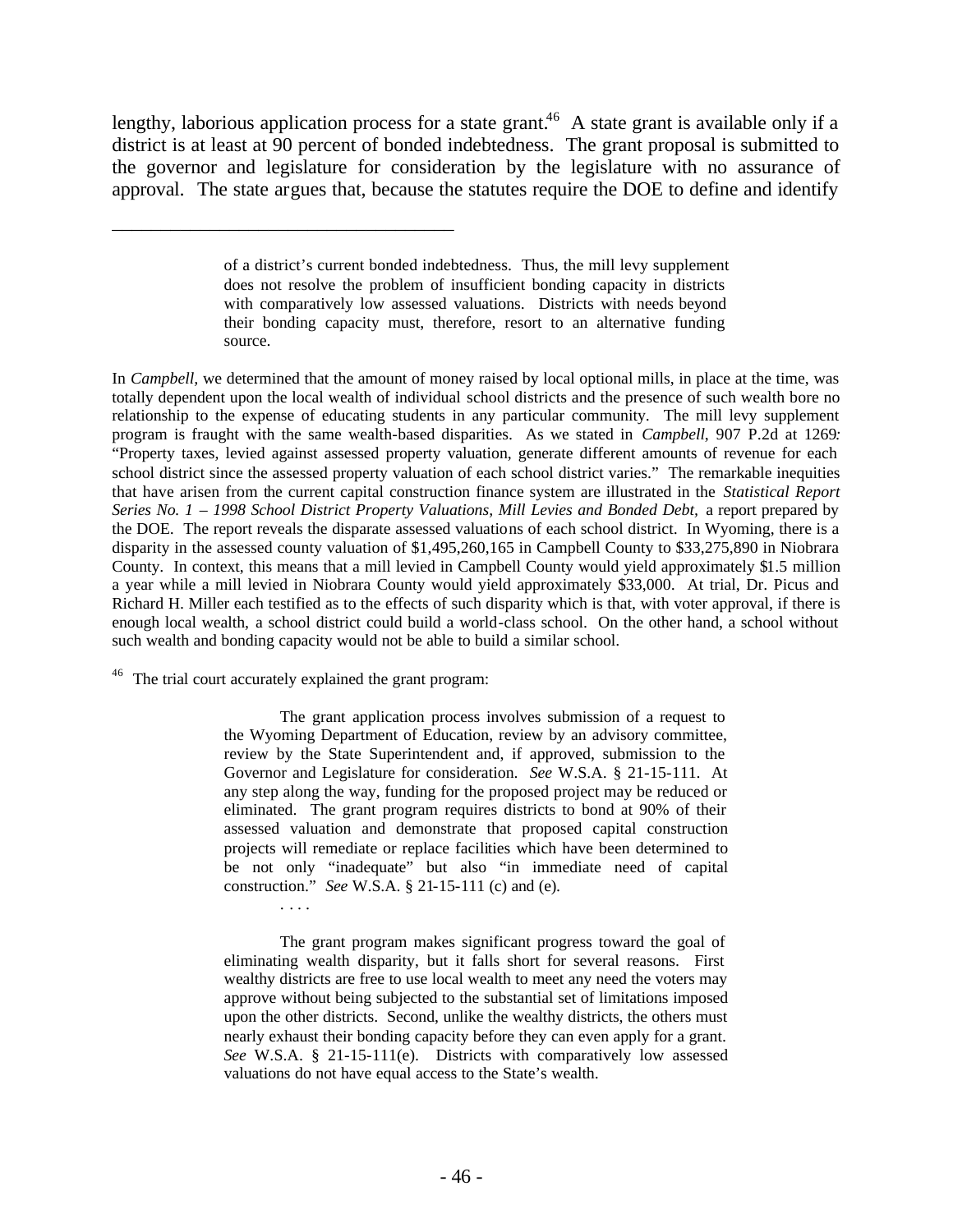lengthy, laborious application process for a state grant.<sup>46</sup> A state grant is available only if a district is at least at 90 percent of bonded indebtedness. The grant proposal is submitted to the governor and legislature for consideration by the legislature with no assurance of approval. The state argues that, because the statutes require the DOE to define and identify

In *Campbell,* we determined that the amount of money raised by local optional mills, in place at the time, was totally dependent upon the local wealth of individual school districts and the presence of such wealth bore no relationship to the expense of educating students in any particular community. The mill levy supplement program is fraught with the same wealth-based disparities. As we stated in *Campbell*, 907 P.2d at 1269*:*  "Property taxes, levied against assessed property valuation, generate different amounts of revenue for each school district since the assessed property valuation of each school district varies." The remarkable inequities that have arisen from the current capital construction finance system are illustrated in the *Statistical Report*  Series No. 1 – 1998 School District Property Valuations, Mill Levies and Bonded Debt, a report prepared by the DOE. The report reveals the disparate assessed valuations of each school district. In Wyoming, there is a disparity in the assessed county valuation of \$1,495,260,165 in Campbell County to \$33,275,890 in Niobrara County. In context, this means that a mill levied in Campbell County would yield approximately \$1.5 million a year while a mill levied in Niobrara County would yield approximately \$33,000. At trial, Dr. Picus and Richard H. Miller each testified as to the effects of such disparity which is that, with voter approval, if there is enough local wealth, a school district could build a world-class school. On the other hand, a school without such wealth and bonding capacity would not be able to build a similar school.

<sup>46</sup> The trial court accurately explained the grant program:

. . . .

\_\_\_\_\_\_\_\_\_\_\_\_\_\_\_\_\_\_\_\_\_\_\_\_\_\_\_\_\_\_\_\_\_\_\_

The grant application process involves submission of a request to the Wyoming Department of Education, review by an advisory committee, review by the State Superintendent and, if approved, submission to the Governor and Legislature for consideration. *See* W.S.A. § 21-15-111. At any step along the way, funding for the proposed project may be reduced or eliminated. The grant program requires districts to bond at 90% of their assessed valuation and demonstrate that proposed capital construction projects will remediate or replace facilities which have been determined to be not only "inadequate" but also "in immediate need of capital construction." *See* W.S.A. § 21-15-111 (c) and (e).

The grant program makes significant progress toward the goal of eliminating wealth disparity, but it falls short for several reasons. First wealthy districts are free to use local wealth to meet any need the voters may approve without being subjected to the substantial set of limitations imposed upon the other districts. Second, unlike the wealthy districts, the others must nearly exhaust their bonding capacity before they can even apply for a grant. *See* W.S.A. § 21-15-111(e). Districts with comparatively low assessed valuations do not have equal access to the State's wealth.

of a district's current bonded indebtedness. Thus, the mill levy supplement does not resolve the problem of insufficient bonding capacity in districts with comparatively low assessed valuations. Districts with needs beyond their bonding capacity must, therefore, resort to an alternative funding source.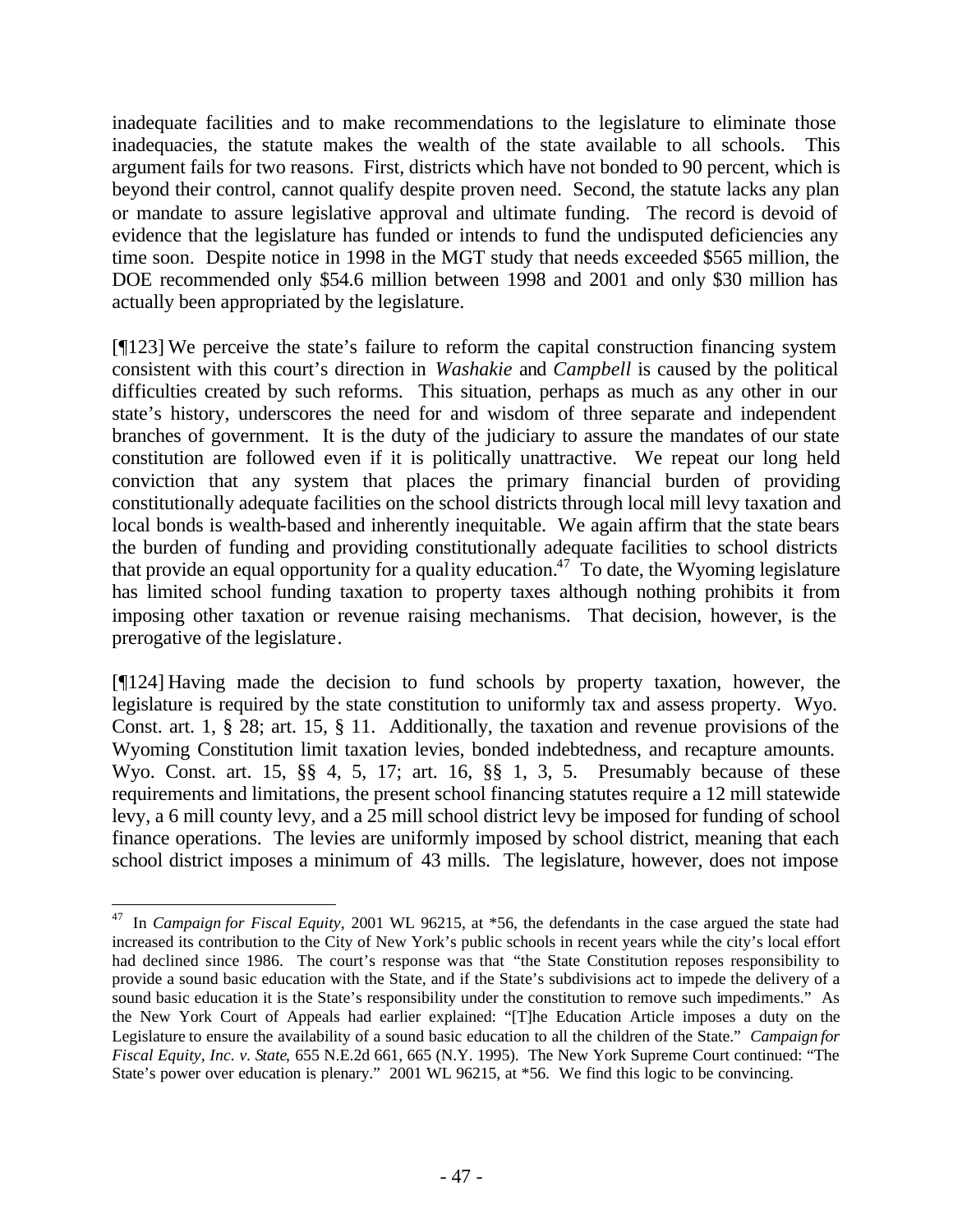inadequate facilities and to make recommendations to the legislature to eliminate those inadequacies, the statute makes the wealth of the state available to all schools. This argument fails for two reasons. First, districts which have not bonded to 90 percent, which is beyond their control, cannot qualify despite proven need. Second, the statute lacks any plan or mandate to assure legislative approval and ultimate funding. The record is devoid of evidence that the legislature has funded or intends to fund the undisputed deficiencies any time soon. Despite notice in 1998 in the MGT study that needs exceeded \$565 million, the DOE recommended only \$54.6 million between 1998 and 2001 and only \$30 million has actually been appropriated by the legislature.

[¶123] We perceive the state's failure to reform the capital construction financing system consistent with this court's direction in *Washakie* and *Campbell* is caused by the political difficulties created by such reforms. This situation, perhaps as much as any other in our state's history, underscores the need for and wisdom of three separate and independent branches of government. It is the duty of the judiciary to assure the mandates of our state constitution are followed even if it is politically unattractive. We repeat our long held conviction that any system that places the primary financial burden of providing constitutionally adequate facilities on the school districts through local mill levy taxation and local bonds is wealth-based and inherently inequitable. We again affirm that the state bears the burden of funding and providing constitutionally adequate facilities to school districts that provide an equal opportunity for a quality education.<sup>47</sup> To date, the Wyoming legislature has limited school funding taxation to property taxes although nothing prohibits it from imposing other taxation or revenue raising mechanisms. That decision, however, is the prerogative of the legislature.

[¶124] Having made the decision to fund schools by property taxation, however, the legislature is required by the state constitution to uniformly tax and assess property. Wyo. Const. art. 1, § 28; art. 15, § 11. Additionally, the taxation and revenue provisions of the Wyoming Constitution limit taxation levies, bonded indebtedness, and recapture amounts. Wyo. Const. art. 15, §§ 4, 5, 17; art. 16, §§ 1, 3, 5. Presumably because of these requirements and limitations, the present school financing statutes require a 12 mill statewide levy, a 6 mill county levy, and a 25 mill school district levy be imposed for funding of school finance operations. The levies are uniformly imposed by school district, meaning that each school district imposes a minimum of 43 mills. The legislature, however, does not impose

<sup>&</sup>lt;sup>47</sup> In *Campaign for Fiscal Equity*, 2001 WL 96215, at \*56, the defendants in the case argued the state had increased its contribution to the City of New York's public schools in recent years while the city's local effort had declined since 1986. The court's response was that "the State Constitution reposes responsibility to provide a sound basic education with the State, and if the State's subdivisions act to impede the delivery of a sound basic education it is the State's responsibility under the constitution to remove such impediments." As the New York Court of Appeals had earlier explained: "[T]he Education Article imposes a duty on the Legislature to ensure the availability of a sound basic education to all the children of the State." *Campaign for Fiscal Equity, Inc. v. State*, 655 N.E.2d 661, 665 (N.Y. 1995). The New York Supreme Court continued: "The State's power over education is plenary." 2001 WL 96215, at \*56. We find this logic to be convincing.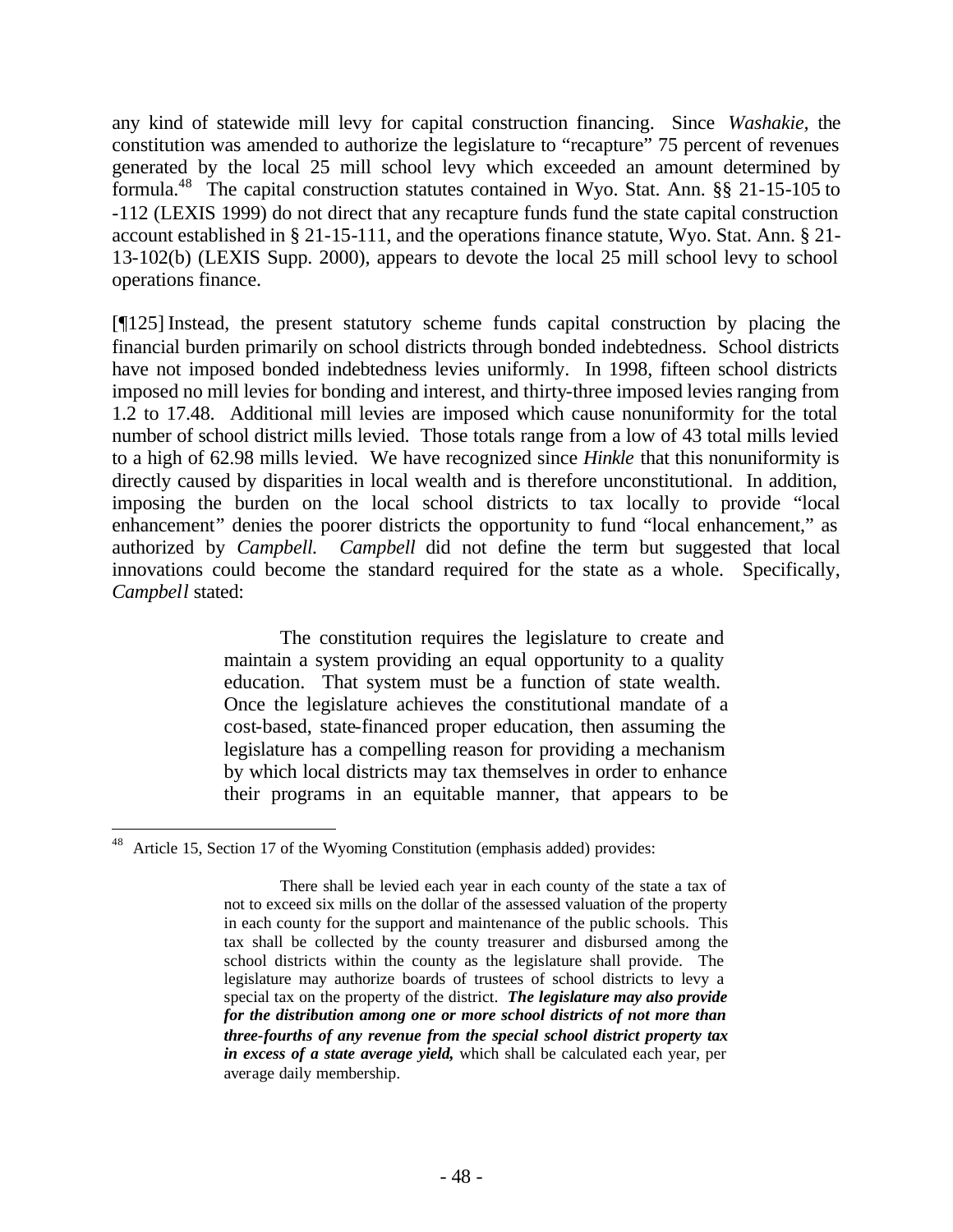any kind of statewide mill levy for capital construction financing. Since *Washakie,* the constitution was amended to authorize the legislature to "recapture" 75 percent of revenues generated by the local 25 mill school levy which exceeded an amount determined by formula.<sup>48</sup> The capital construction statutes contained in Wyo. Stat. Ann. §§ 21-15-105 to -112 (LEXIS 1999) do not direct that any recapture funds fund the state capital construction account established in § 21-15-111, and the operations finance statute, Wyo. Stat. Ann. § 21- 13-102(b) (LEXIS Supp. 2000), appears to devote the local 25 mill school levy to school operations finance.

[¶125] Instead, the present statutory scheme funds capital construction by placing the financial burden primarily on school districts through bonded indebtedness. School districts have not imposed bonded indebtedness levies uniformly. In 1998, fifteen school districts imposed no mill levies for bonding and interest, and thirty-three imposed levies ranging from 1.2 to 17.48. Additional mill levies are imposed which cause nonuniformity for the total number of school district mills levied. Those totals range from a low of 43 total mills levied to a high of 62.98 mills levied. We have recognized since *Hinkle* that this nonuniformity is directly caused by disparities in local wealth and is therefore unconstitutional. In addition, imposing the burden on the local school districts to tax locally to provide "local enhancement" denies the poorer districts the opportunity to fund "local enhancement," as authorized by *Campbell. Campbell* did not define the term but suggested that local innovations could become the standard required for the state as a whole. Specifically, *Campbell* stated:

> The constitution requires the legislature to create and maintain a system providing an equal opportunity to a quality education. That system must be a function of state wealth. Once the legislature achieves the constitutional mandate of a cost-based, state-financed proper education, then assuming the legislature has a compelling reason for providing a mechanism by which local districts may tax themselves in order to enhance their programs in an equitable manner, that appears to be

<sup>48</sup> Article 15, Section 17 of the Wyoming Constitution (emphasis added) provides:

There shall be levied each year in each county of the state a tax of not to exceed six mills on the dollar of the assessed valuation of the property in each county for the support and maintenance of the public schools. This tax shall be collected by the county treasurer and disbursed among the school districts within the county as the legislature shall provide. The legislature may authorize boards of trustees of school districts to levy a special tax on the property of the district. *The legislature may also provide for the distribution among one or more school districts of not more than three-fourths of any revenue from the special school district property tax in excess of a state average yield,* which shall be calculated each year, per average daily membership.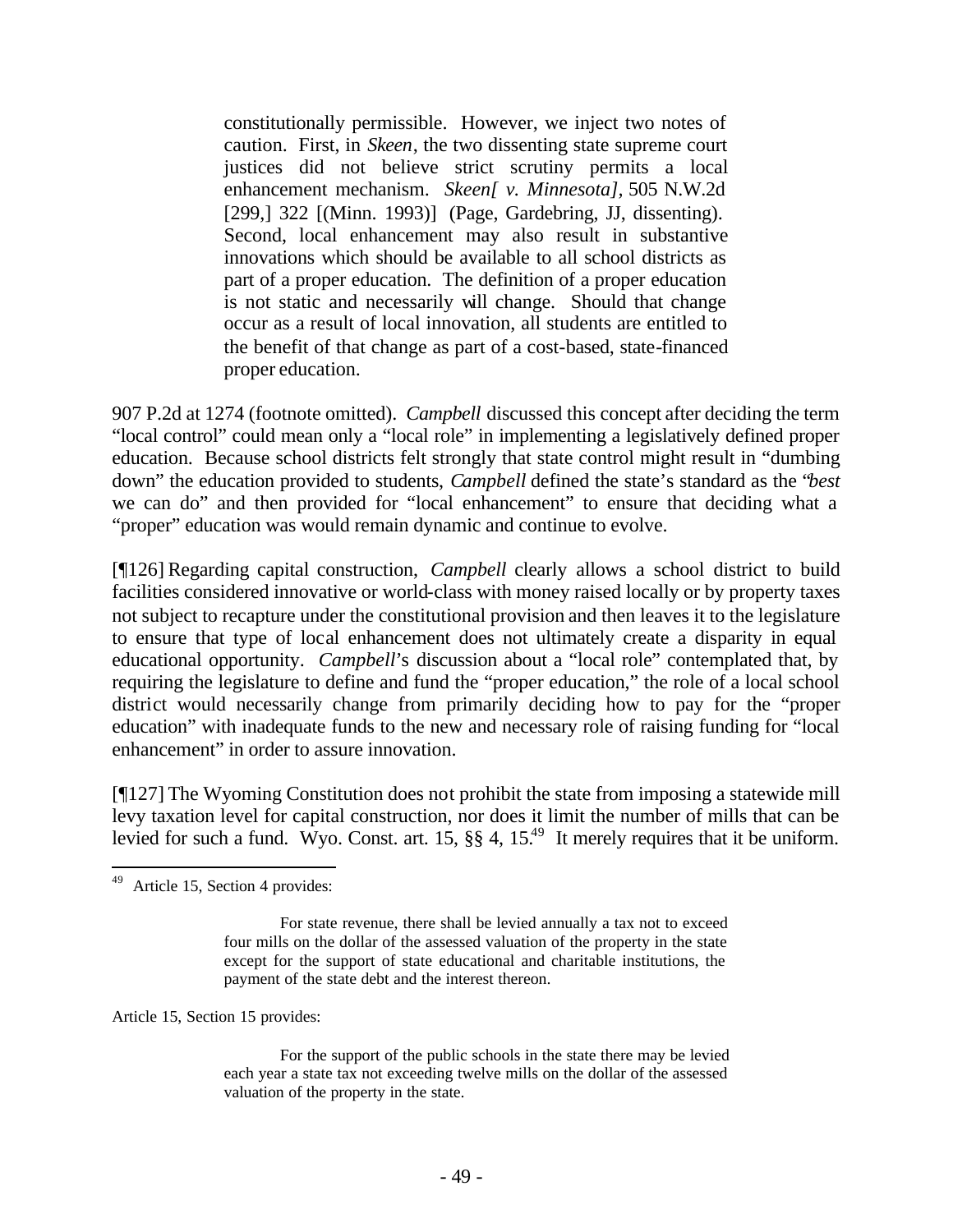constitutionally permissible. However, we inject two notes of caution. First, in *Skeen*, the two dissenting state supreme court justices did not believe strict scrutiny permits a local enhancement mechanism. *Skeen[ v. Minnesota],* 505 N.W.2d [299,] 322 [(Minn. 1993)] (Page, Gardebring, JJ, dissenting). Second, local enhancement may also result in substantive innovations which should be available to all school districts as part of a proper education. The definition of a proper education is not static and necessarily will change. Should that change occur as a result of local innovation, all students are entitled to the benefit of that change as part of a cost-based, state-financed proper education.

907 P.2d at 1274 (footnote omitted). *Campbell* discussed this concept after deciding the term "local control" could mean only a "local role" in implementing a legislatively defined proper education. Because school districts felt strongly that state control might result in "dumbing down" the education provided to students, *Campbell* defined the state's standard as the "*best* we can do" and then provided for "local enhancement" to ensure that deciding what a "proper" education was would remain dynamic and continue to evolve.

[¶126] Regarding capital construction, *Campbell* clearly allows a school district to build facilities considered innovative or world-class with money raised locally or by property taxes not subject to recapture under the constitutional provision and then leaves it to the legislature to ensure that type of local enhancement does not ultimately create a disparity in equal educational opportunity. *Campbell*'s discussion about a "local role" contemplated that, by requiring the legislature to define and fund the "proper education," the role of a local school district would necessarily change from primarily deciding how to pay for the "proper education" with inadequate funds to the new and necessary role of raising funding for "local enhancement" in order to assure innovation.

[¶127] The Wyoming Constitution does not prohibit the state from imposing a statewide mill levy taxation level for capital construction, nor does it limit the number of mills that can be levied for such a fund. Wyo. Const. art.  $15,$  §§ 4,  $15^{49}$  It merely requires that it be uniform.

Article 15, Section 15 provides:

 49 Article 15, Section 4 provides:

For state revenue, there shall be levied annually a tax not to exceed four mills on the dollar of the assessed valuation of the property in the state except for the support of state educational and charitable institutions, the payment of the state debt and the interest thereon.

For the support of the public schools in the state there may be levied each year a state tax not exceeding twelve mills on the dollar of the assessed valuation of the property in the state.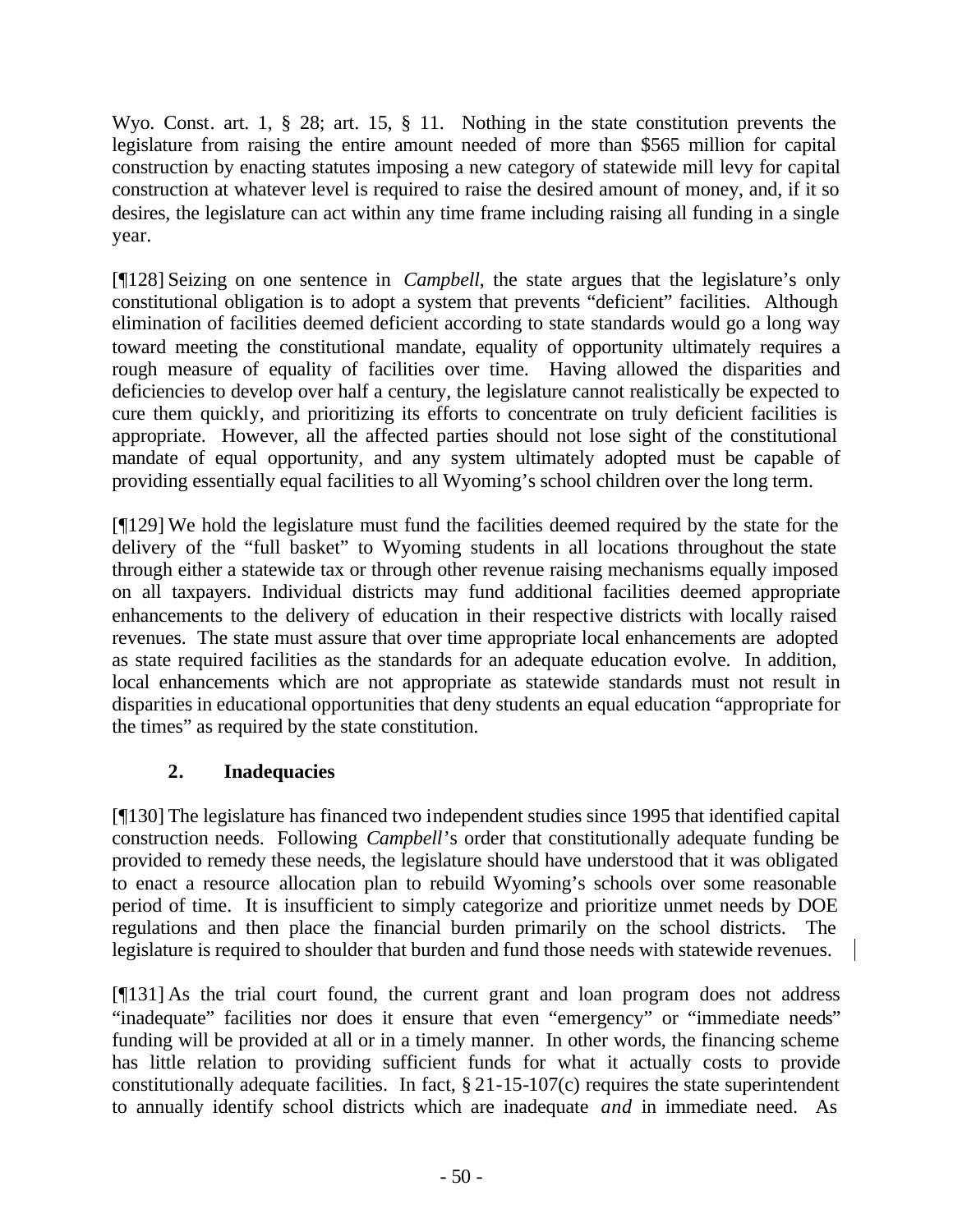Wyo. Const. art. 1, § 28; art. 15, § 11. Nothing in the state constitution prevents the legislature from raising the entire amount needed of more than \$565 million for capital construction by enacting statutes imposing a new category of statewide mill levy for capital construction at whatever level is required to raise the desired amount of money, and, if it so desires, the legislature can act within any time frame including raising all funding in a single year.

[¶128] Seizing on one sentence in *Campbell*, the state argues that the legislature's only constitutional obligation is to adopt a system that prevents "deficient" facilities. Although elimination of facilities deemed deficient according to state standards would go a long way toward meeting the constitutional mandate, equality of opportunity ultimately requires a rough measure of equality of facilities over time. Having allowed the disparities and deficiencies to develop over half a century, the legislature cannot realistically be expected to cure them quickly, and prioritizing its efforts to concentrate on truly deficient facilities is appropriate. However, all the affected parties should not lose sight of the constitutional mandate of equal opportunity, and any system ultimately adopted must be capable of providing essentially equal facilities to all Wyoming's school children over the long term.

[¶129] We hold the legislature must fund the facilities deemed required by the state for the delivery of the "full basket" to Wyoming students in all locations throughout the state through either a statewide tax or through other revenue raising mechanisms equally imposed on all taxpayers. Individual districts may fund additional facilities deemed appropriate enhancements to the delivery of education in their respective districts with locally raised revenues. The state must assure that over time appropriate local enhancements are adopted as state required facilities as the standards for an adequate education evolve. In addition, local enhancements which are not appropriate as statewide standards must not result in disparities in educational opportunities that deny students an equal education "appropriate for the times" as required by the state constitution.

# **2. Inadequacies**

[¶130] The legislature has financed two independent studies since 1995 that identified capital construction needs. Following *Campbell*'s order that constitutionally adequate funding be provided to remedy these needs, the legislature should have understood that it was obligated to enact a resource allocation plan to rebuild Wyoming's schools over some reasonable period of time. It is insufficient to simply categorize and prioritize unmet needs by DOE regulations and then place the financial burden primarily on the school districts. The legislature is required to shoulder that burden and fund those needs with statewide revenues.

[¶131] As the trial court found, the current grant and loan program does not address "inadequate" facilities nor does it ensure that even "emergency" or "immediate needs" funding will be provided at all or in a timely manner. In other words, the financing scheme has little relation to providing sufficient funds for what it actually costs to provide constitutionally adequate facilities. In fact,  $\S 21-15-107(c)$  requires the state superintendent to annually identify school districts which are inadequate *and* in immediate need. As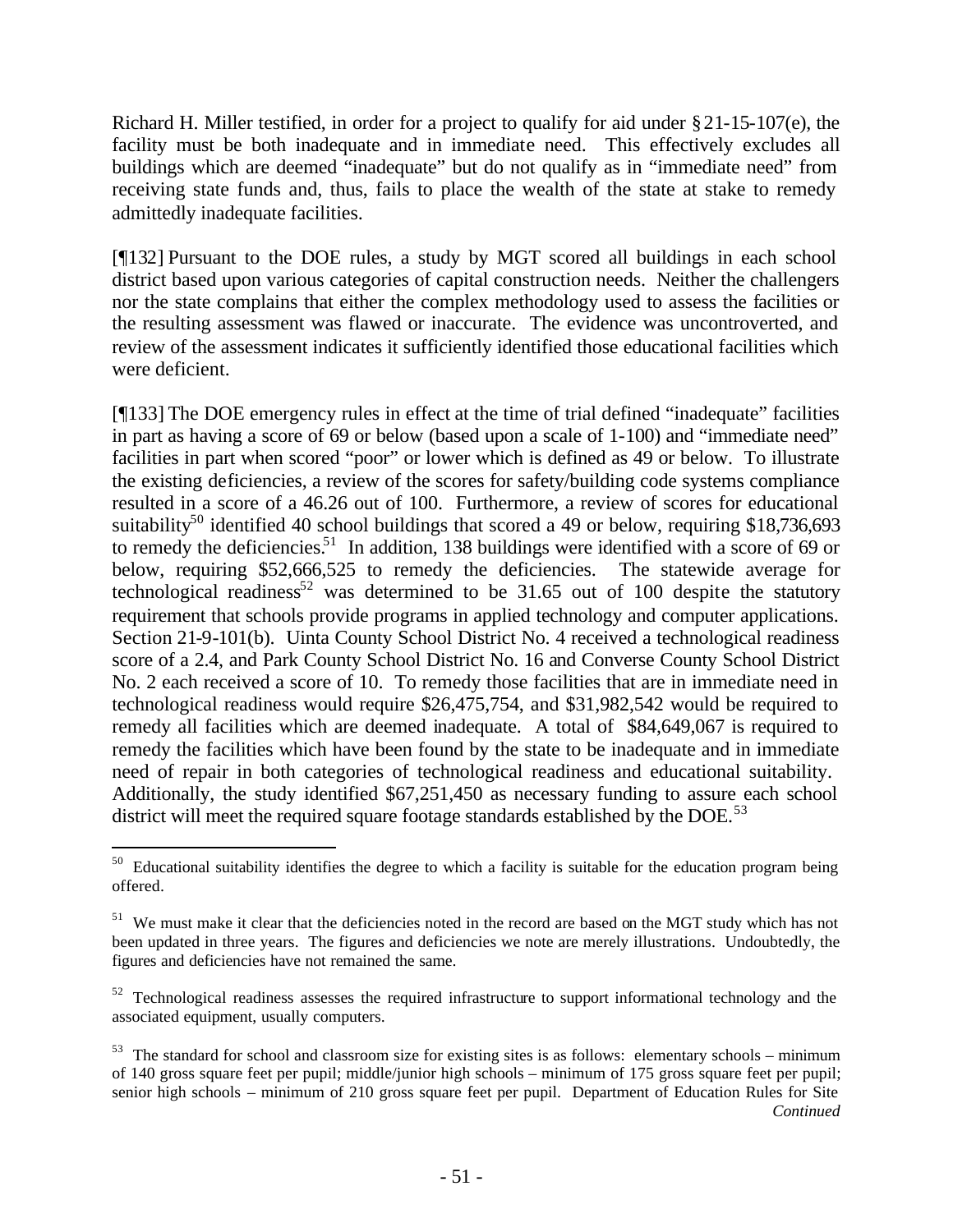Richard H. Miller testified, in order for a project to qualify for aid under §21-15-107(e), the facility must be both inadequate and in immediate need. This effectively excludes all buildings which are deemed "inadequate" but do not qualify as in "immediate need" from receiving state funds and, thus, fails to place the wealth of the state at stake to remedy admittedly inadequate facilities.

[¶132] Pursuant to the DOE rules, a study by MGT scored all buildings in each school district based upon various categories of capital construction needs. Neither the challengers nor the state complains that either the complex methodology used to assess the facilities or the resulting assessment was flawed or inaccurate. The evidence was uncontroverted, and review of the assessment indicates it sufficiently identified those educational facilities which were deficient.

[¶133] The DOE emergency rules in effect at the time of trial defined "inadequate" facilities in part as having a score of 69 or below (based upon a scale of 1-100) and "immediate need" facilities in part when scored "poor" or lower which is defined as 49 or below. To illustrate the existing deficiencies, a review of the scores for safety/building code systems compliance resulted in a score of a 46.26 out of 100. Furthermore, a review of scores for educational suitability<sup>50</sup> identified 40 school buildings that scored a 49 or below, requiring \$18,736,693 to remedy the deficiencies.<sup>51</sup> In addition, 138 buildings were identified with a score of 69 or below, requiring \$52,666,525 to remedy the deficiencies. The statewide average for technological readiness<sup>52</sup> was determined to be  $31.65$  out of 100 despite the statutory requirement that schools provide programs in applied technology and computer applications. Section 21-9-101(b). Uinta County School District No. 4 received a technological readiness score of a 2.4, and Park County School District No. 16 and Converse County School District No. 2 each received a score of 10. To remedy those facilities that are in immediate need in technological readiness would require \$26,475,754, and \$31,982,542 would be required to remedy all facilities which are deemed inadequate. A total of \$84,649,067 is required to remedy the facilities which have been found by the state to be inadequate and in immediate need of repair in both categories of technological readiness and educational suitability. Additionally, the study identified \$67,251,450 as necessary funding to assure each school district will meet the required square footage standards established by the DOE.<sup>53</sup>

<sup>&</sup>lt;sup>50</sup> Educational suitability identifies the degree to which a facility is suitable for the education program being offered.

<sup>&</sup>lt;sup>51</sup> We must make it clear that the deficiencies noted in the record are based on the MGT study which has not been updated in three years. The figures and deficiencies we note are merely illustrations. Undoubtedly, the figures and deficiencies have not remained the same.

 $52$  Technological readiness assesses the required infrastructure to support informational technology and the associated equipment, usually computers.

 $53$  The standard for school and classroom size for existing sites is as follows: elementary schools – minimum of 140 gross square feet per pupil; middle/junior high schools – minimum of 175 gross square feet per pupil; senior high schools – minimum of 210 gross square feet per pupil. Department of Education Rules for Site *Continued*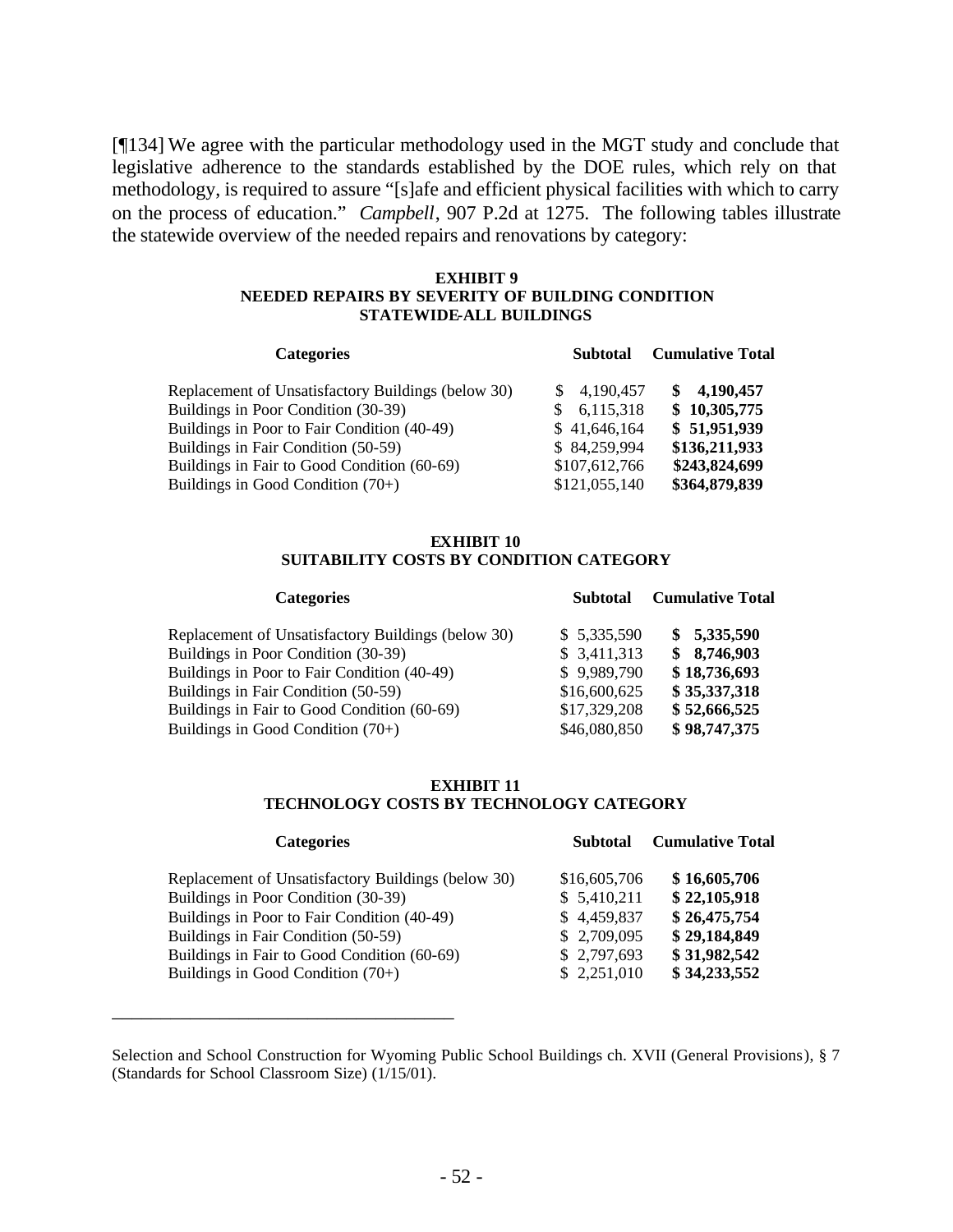[¶134] We agree with the particular methodology used in the MGT study and conclude that legislative adherence to the standards established by the DOE rules, which rely on that methodology, is required to assure "[s]afe and efficient physical facilities with which to carry on the process of education." *Campbell*, 907 P.2d at 1275. The following tables illustrate the statewide overview of the needed repairs and renovations by category:

#### **EXHIBIT 9 NEEDED REPAIRS BY SEVERITY OF BUILDING CONDITION STATEWIDE-ALL BUILDINGS**

| <b>Categories</b>                                         | <b>Subtotal</b> | <b>Cumulative Total</b> |
|-----------------------------------------------------------|-----------------|-------------------------|
| Replacement of Unsatisfactory Buildings (below 30)<br>SS. | 4,190,457       | \$4,190,457             |
| Buildings in Poor Condition (30-39)<br>S.                 | 6,115,318       | \$10,305,775            |
| Buildings in Poor to Fair Condition (40-49)               | \$41,646,164    | \$51,951,939            |
| Buildings in Fair Condition (50-59)                       | \$84,259,994    | \$136,211,933           |
| Buildings in Fair to Good Condition (60-69)               | \$107,612,766   | \$243,824,699           |
| Buildings in Good Condition $(70+)$                       | \$121,055,140   | \$364,879,839           |

#### **EXHIBIT 10 SUITABILITY COSTS BY CONDITION CATEGORY**

| <b>Categories</b>                                  | <b>Subtotal</b> | <b>Cumulative Total</b> |  |
|----------------------------------------------------|-----------------|-------------------------|--|
| Replacement of Unsatisfactory Buildings (below 30) | \$5,335,590     | \$5,335,590             |  |
| Buildings in Poor Condition (30-39)                | \$3,411,313     | \$8,746,903             |  |
| Buildings in Poor to Fair Condition (40-49)        | \$9,989,790     | \$18,736,693            |  |
| Buildings in Fair Condition (50-59)                | \$16,600,625    | \$35,337,318            |  |
| Buildings in Fair to Good Condition (60-69)        | \$17,329,208    | \$52,666,525            |  |
| Buildings in Good Condition $(70+)$                | \$46,080,850    | \$98,747,375            |  |

#### **EXHIBIT 11 TECHNOLOGY COSTS BY TECHNOLOGY CATEGORY**

| <b>Categories</b>                                  | <b>Subtotal</b> | <b>Cumulative Total</b> |
|----------------------------------------------------|-----------------|-------------------------|
| Replacement of Unsatisfactory Buildings (below 30) | \$16,605,706    | \$16,605,706            |
| Buildings in Poor Condition (30-39)                | \$5,410,211     | \$22,105,918            |
| Buildings in Poor to Fair Condition (40-49)        | \$4,459,837     | \$26,475,754            |
| Buildings in Fair Condition (50-59)                | \$2,709,095     | \$29,184,849            |
| Buildings in Fair to Good Condition (60-69)        | \$2,797,693     | \$31,982,542            |
| Buildings in Good Condition $(70+)$                | \$2,251,010     | \$34,233,552            |

Selection and School Construction for Wyoming Public School Buildings ch. XVII (General Provisions), § 7 (Standards for School Classroom Size) (1/15/01).

\_\_\_\_\_\_\_\_\_\_\_\_\_\_\_\_\_\_\_\_\_\_\_\_\_\_\_\_\_\_\_\_\_\_\_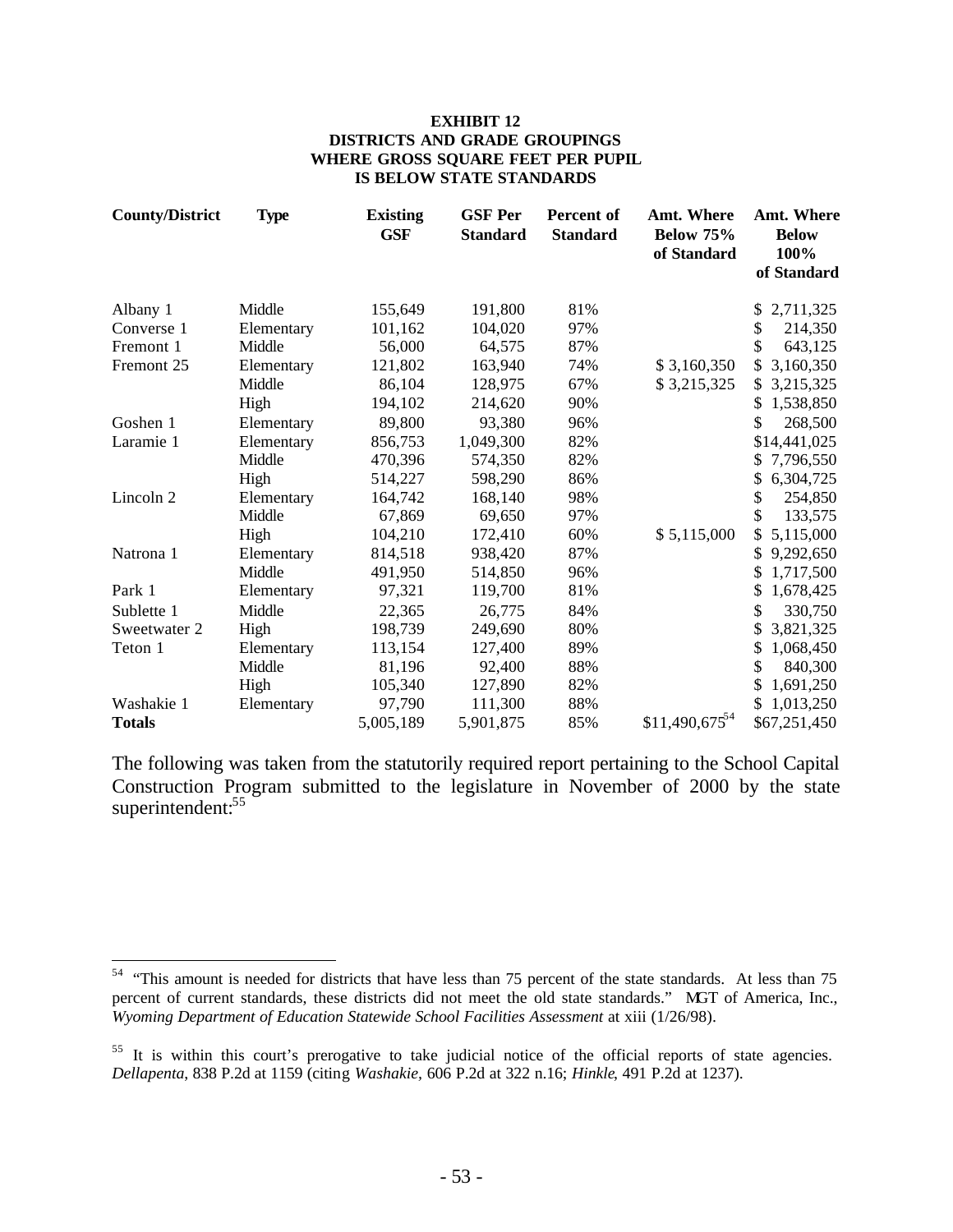#### **EXHIBIT 12 DISTRICTS AND GRADE GROUPINGS WHERE GROSS SQUARE FEET PER PUPIL IS BELOW STATE STANDARDS**

| <b>County/District</b> | <b>Type</b> | <b>Existing</b><br><b>GSF</b> | <b>GSF Per</b><br><b>Standard</b> | <b>Percent of</b><br><b>Standard</b> | <b>Amt. Where</b><br><b>Below 75%</b><br>of Standard | Amt. Where<br><b>Below</b><br>100%<br>of Standard |
|------------------------|-------------|-------------------------------|-----------------------------------|--------------------------------------|------------------------------------------------------|---------------------------------------------------|
| Albany 1               | Middle      | 155,649                       | 191,800                           | 81%                                  |                                                      | 2,711,325                                         |
| Converse 1             | Elementary  | 101,162                       | 104,020                           | 97%                                  |                                                      | \$<br>214,350                                     |
| Fremont 1              | Middle      | 56,000                        | 64,575                            | 87%                                  |                                                      | \$<br>643,125                                     |
| Fremont 25             | Elementary  | 121,802                       | 163,940                           | 74%                                  | \$3,160,350                                          | \$<br>3,160,350                                   |
|                        | Middle      | 86,104                        | 128,975                           | 67%                                  | \$3,215,325                                          | \$<br>3,215,325                                   |
|                        | High        | 194,102                       | 214,620                           | 90%                                  |                                                      | \$<br>1,538,850                                   |
| Goshen 1               | Elementary  | 89,800                        | 93,380                            | 96%                                  |                                                      | \$<br>268,500                                     |
| Laramie 1              | Elementary  | 856,753                       | 1,049,300                         | 82%                                  |                                                      | \$14,441,025                                      |
|                        | Middle      | 470,396                       | 574,350                           | 82%                                  |                                                      | 7,796,550<br>S                                    |
|                        | High        | 514,227                       | 598,290                           | 86%                                  |                                                      | 6,304,725<br>S                                    |
| Lincoln 2              | Elementary  | 164,742                       | 168,140                           | 98%                                  |                                                      | \$<br>254,850                                     |
|                        | Middle      | 67,869                        | 69,650                            | 97%                                  |                                                      | \$<br>133,575                                     |
|                        | High        | 104,210                       | 172,410                           | 60%                                  | \$5,115,000                                          | \$<br>5,115,000                                   |
| Natrona 1              | Elementary  | 814,518                       | 938,420                           | 87%                                  |                                                      | \$<br>9,292,650                                   |
|                        | Middle      | 491,950                       | 514,850                           | 96%                                  |                                                      | \$<br>1,717,500                                   |
| Park 1                 | Elementary  | 97,321                        | 119,700                           | 81%                                  |                                                      | \$<br>1,678,425                                   |
| Sublette 1             | Middle      | 22,365                        | 26,775                            | 84%                                  |                                                      | \$<br>330,750                                     |
| Sweetwater 2           | High        | 198,739                       | 249,690                           | 80%                                  |                                                      | \$<br>3,821,325                                   |
| Teton 1                | Elementary  | 113,154                       | 127,400                           | 89%                                  |                                                      | \$<br>1,068,450                                   |
|                        | Middle      | 81,196                        | 92,400                            | 88%                                  |                                                      | \$<br>840,300                                     |
|                        | High        | 105,340                       | 127,890                           | 82%                                  |                                                      | \$<br>1,691,250                                   |
| Washakie 1             | Elementary  | 97.790                        | 111,300                           | 88%                                  |                                                      | \$<br>1,013,250                                   |
| <b>Totals</b>          |             | 5,005,189                     | 5,901,875                         | 85%                                  | $$11,490,675^{54}$                                   | \$67,251,450                                      |

The following was taken from the statutorily required report pertaining to the School Capital Construction Program submitted to the legislature in November of 2000 by the state superintendent:<sup>55</sup>

<sup>&</sup>lt;sup>54</sup> "This amount is needed for districts that have less than 75 percent of the state standards. At less than 75 percent of current standards, these districts did not meet the old state standards." MGT of America, Inc., *Wyoming Department of Education Statewide School Facilities Assessment* at xiii (1/26/98).

<sup>&</sup>lt;sup>55</sup> It is within this court's prerogative to take judicial notice of the official reports of state agencies. *Dellapenta*, 838 P.2d at 1159 (citing *Washakie,* 606 P.2d at 322 n.16; *Hinkle*, 491 P.2d at 1237).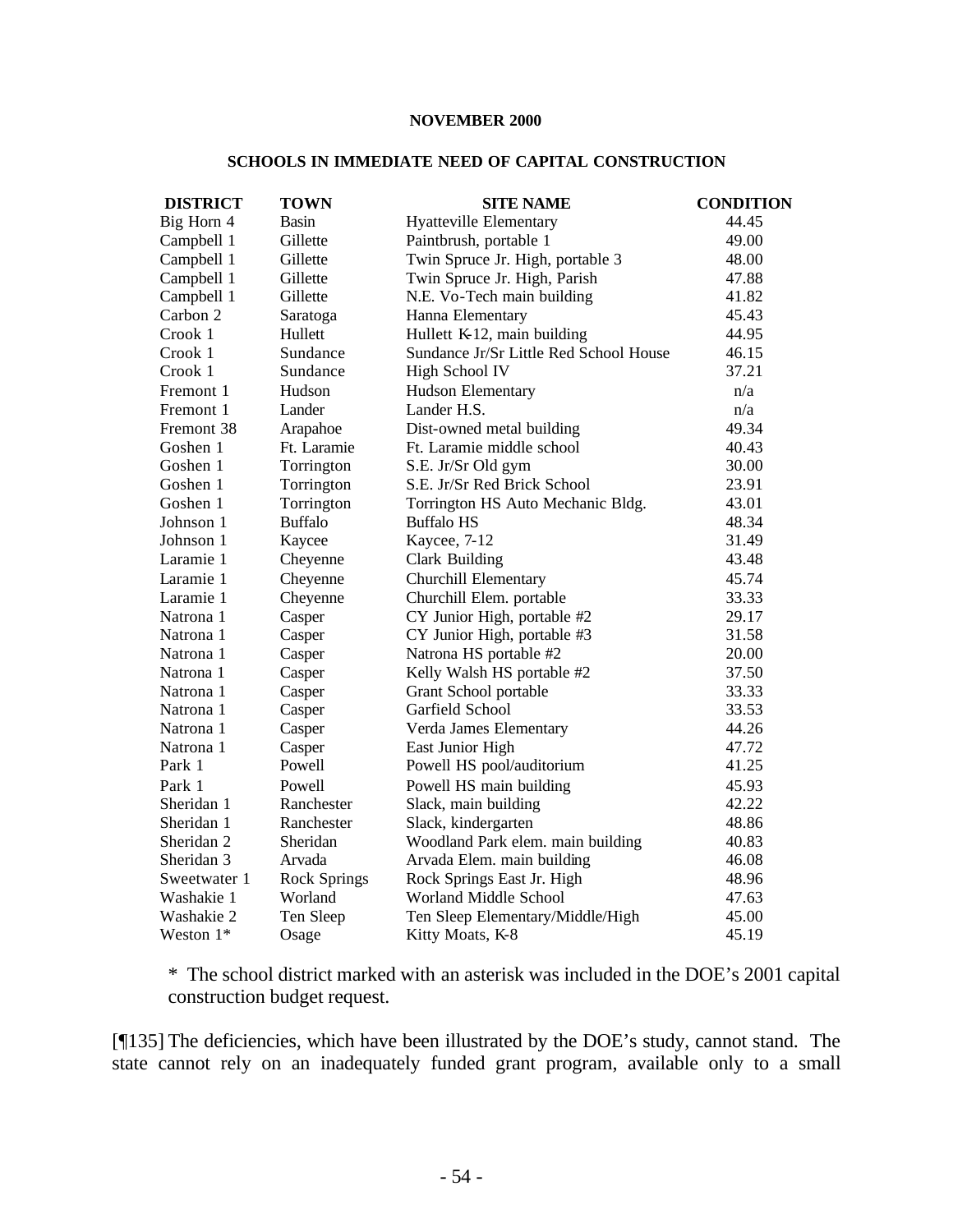#### **NOVEMBER 2000**

#### **SCHOOLS IN IMMEDIATE NEED OF CAPITAL CONSTRUCTION**

| <b>DISTRICT</b> | <b>TOWN</b>         | <b>SITE NAME</b>                       | <b>CONDITION</b> |
|-----------------|---------------------|----------------------------------------|------------------|
| Big Horn 4      | <b>Basin</b>        | <b>Hyatteville Elementary</b>          | 44.45            |
| Campbell 1      | Gillette            | Paintbrush, portable 1                 | 49.00            |
| Campbell 1      | Gillette            | Twin Spruce Jr. High, portable 3       | 48.00            |
| Campbell 1      | Gillette            | Twin Spruce Jr. High, Parish           | 47.88            |
| Campbell 1      | Gillette            | N.E. Vo-Tech main building             | 41.82            |
| Carbon 2        | Saratoga            | Hanna Elementary                       | 45.43            |
| Crook 1         | Hullett             | Hullett K-12, main building            | 44.95            |
| Crook 1         | Sundance            | Sundance Jr/Sr Little Red School House | 46.15            |
| Crook 1         | Sundance            | High School IV                         | 37.21            |
| Fremont 1       | Hudson              | <b>Hudson Elementary</b>               | n/a              |
| Fremont 1       | Lander              | Lander H.S.                            | n/a              |
| Fremont 38      | Arapahoe            | Dist-owned metal building              | 49.34            |
| Goshen 1        | Ft. Laramie         | Ft. Laramie middle school              | 40.43            |
| Goshen 1        | Torrington          | S.E. Jr/Sr Old gym                     | 30.00            |
| Goshen 1        | Torrington          | S.E. Jr/Sr Red Brick School            | 23.91            |
| Goshen 1        | Torrington          | Torrington HS Auto Mechanic Bldg.      | 43.01            |
| Johnson 1       | <b>Buffalo</b>      | <b>Buffalo HS</b>                      | 48.34            |
| Johnson 1       | Kaycee              | Kaycee, 7-12                           | 31.49            |
| Laramie 1       | Cheyenne            | <b>Clark Building</b>                  | 43.48            |
| Laramie 1       | Cheyenne            | <b>Churchill Elementary</b>            | 45.74            |
| Laramie 1       | Cheyenne            | Churchill Elem. portable               | 33.33            |
| Natrona 1       | Casper              | CY Junior High, portable #2            | 29.17            |
| Natrona 1       | Casper              | CY Junior High, portable #3            | 31.58            |
| Natrona 1       | Casper              | Natrona HS portable #2                 | 20.00            |
| Natrona 1       | Casper              | Kelly Walsh HS portable #2             | 37.50            |
| Natrona 1       | Casper              | Grant School portable                  | 33.33            |
| Natrona 1       | Casper              | Garfield School                        | 33.53            |
| Natrona 1       | Casper              | Verda James Elementary                 | 44.26            |
| Natrona 1       | Casper              | East Junior High                       | 47.72            |
| Park 1          | Powell              | Powell HS pool/auditorium              | 41.25            |
| Park 1          | Powell              | Powell HS main building                | 45.93            |
| Sheridan 1      | Ranchester          | Slack, main building                   | 42.22            |
| Sheridan 1      | Ranchester          | Slack, kindergarten                    | 48.86            |
| Sheridan 2      | Sheridan            | Woodland Park elem. main building      | 40.83            |
| Sheridan 3      | Arvada              | Arvada Elem. main building             | 46.08            |
| Sweetwater 1    | <b>Rock Springs</b> | Rock Springs East Jr. High             | 48.96            |
| Washakie 1      | Worland             | Worland Middle School                  | 47.63            |
| Washakie 2      | Ten Sleep           | Ten Sleep Elementary/Middle/High       | 45.00            |
| Weston $1*$     | Osage               | Kitty Moats, K-8                       | 45.19            |

\* The school district marked with an asterisk was included in the DOE's 2001 capital construction budget request.

[¶135] The deficiencies, which have been illustrated by the DOE's study, cannot stand. The state cannot rely on an inadequately funded grant program, available only to a small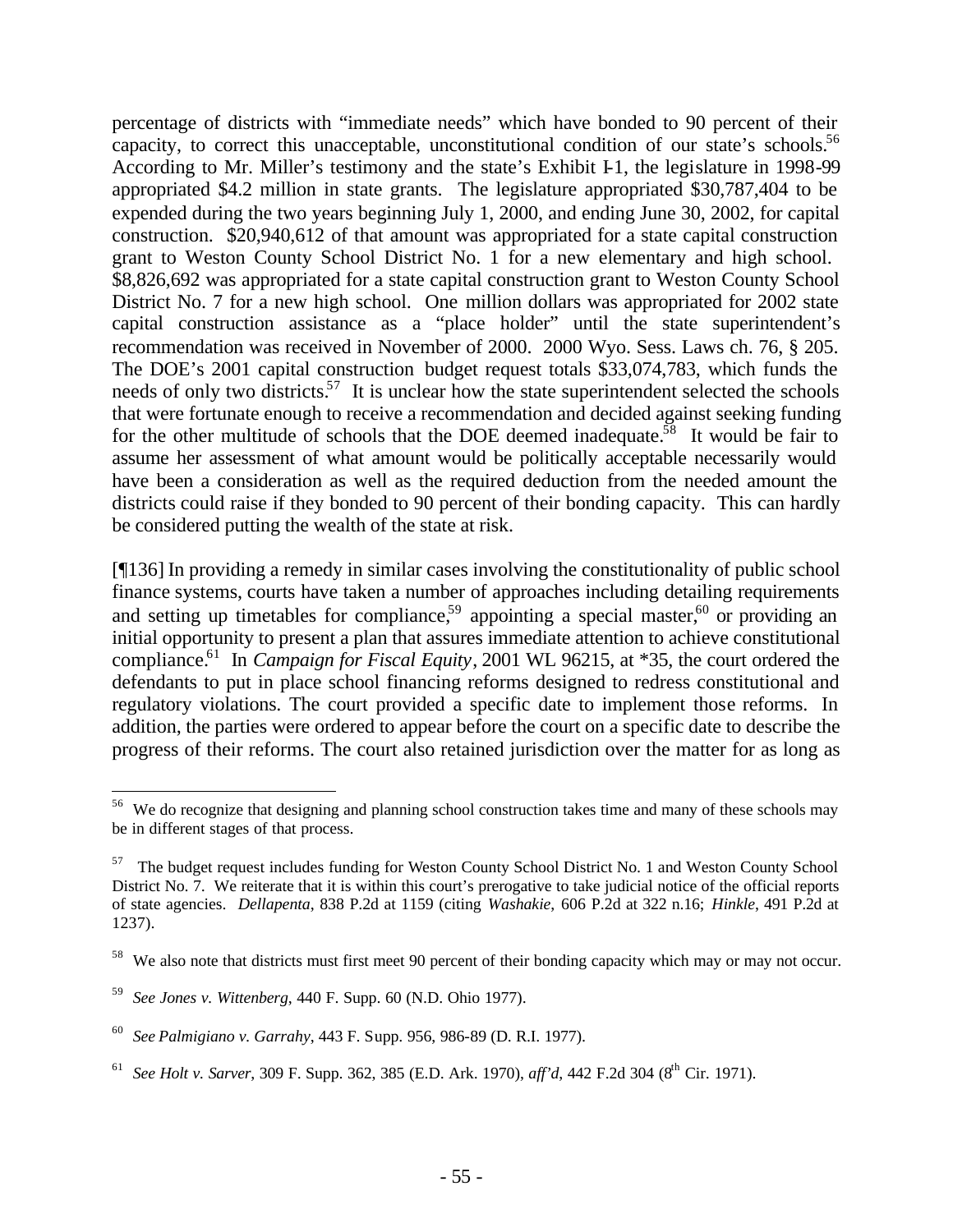percentage of districts with "immediate needs" which have bonded to 90 percent of their capacity, to correct this unacceptable, unconstitutional condition of our state's schools.<sup>56</sup> According to Mr. Miller's testimony and the state's Exhibit I-1, the legislature in 1998-99 appropriated \$4.2 million in state grants. The legislature appropriated \$30,787,404 to be expended during the two years beginning July 1, 2000, and ending June 30, 2002, for capital construction. \$20,940,612 of that amount was appropriated for a state capital construction grant to Weston County School District No. 1 for a new elementary and high school. \$8,826,692 was appropriated for a state capital construction grant to Weston County School District No. 7 for a new high school. One million dollars was appropriated for 2002 state capital construction assistance as a "place holder" until the state superintendent's recommendation was received in November of 2000. 2000 Wyo. Sess. Laws ch. 76, § 205. The DOE's 2001 capital construction budget request totals \$33,074,783, which funds the needs of only two districts.<sup>57</sup> It is unclear how the state superintendent selected the schools that were fortunate enough to receive a recommendation and decided against seeking funding for the other multitude of schools that the DOE deemed inadequate.<sup>58</sup> It would be fair to assume her assessment of what amount would be politically acceptable necessarily would have been a consideration as well as the required deduction from the needed amount the districts could raise if they bonded to 90 percent of their bonding capacity. This can hardly be considered putting the wealth of the state at risk.

[¶136] In providing a remedy in similar cases involving the constitutionality of public school finance systems, courts have taken a number of approaches including detailing requirements and setting up timetables for compliance,<sup>59</sup> appointing a special master,<sup>60</sup> or providing an initial opportunity to present a plan that assures immediate attention to achieve constitutional compliance.<sup>61</sup> In *Campaign for Fiscal Equity*, 2001 WL 96215, at \*35, the court ordered the defendants to put in place school financing reforms designed to redress constitutional and regulatory violations. The court provided a specific date to implement those reforms. In addition, the parties were ordered to appear before the court on a specific date to describe the progress of their reforms. The court also retained jurisdiction over the matter for as long as

<sup>&</sup>lt;sup>56</sup> We do recognize that designing and planning school construction takes time and many of these schools may be in different stages of that process.

<sup>57</sup> The budget request includes funding for Weston County School District No. 1 and Weston County School District No. 7. We reiterate that it is within this court's prerogative to take judicial notice of the official reports of state agencies. *Dellapenta*, 838 P.2d at 1159 (citing *Washakie*, 606 P.2d at 322 n.16; *Hinkle*, 491 P.2d at 1237).

<sup>&</sup>lt;sup>58</sup> We also note that districts must first meet 90 percent of their bonding capacity which may or may not occur.

<sup>59</sup> *See Jones v. Wittenberg*, 440 F. Supp. 60 (N.D. Ohio 1977).

<sup>60</sup> *See Palmigiano v. Garrahy*, 443 F. Supp. 956, 986-89 (D. R.I. 1977).

<sup>&</sup>lt;sup>61</sup> See Holt v. Sarver, 309 F. Supp. 362, 385 (E.D. Ark. 1970), aff'd, 442 F.2d 304 (8<sup>th</sup> Cir. 1971).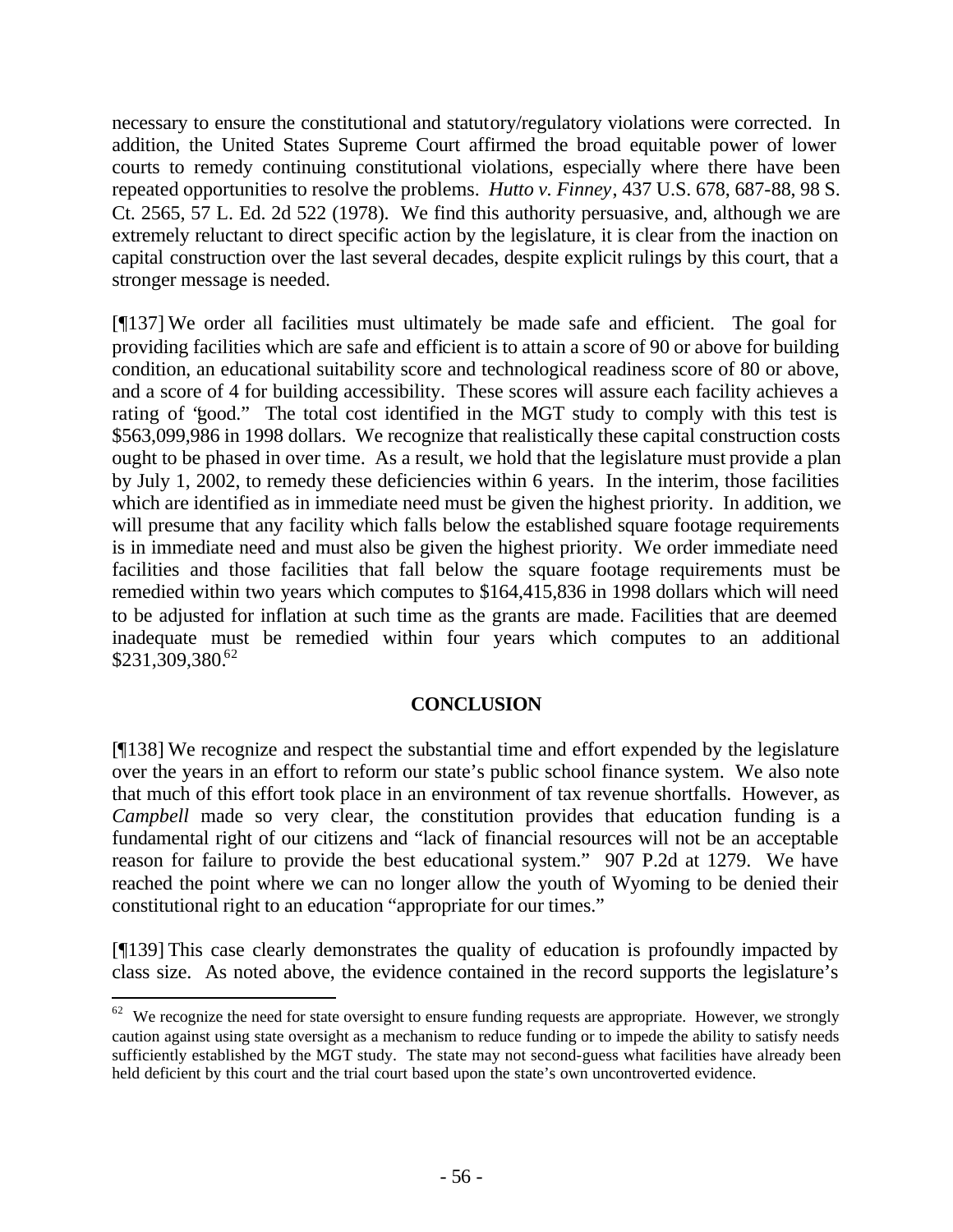necessary to ensure the constitutional and statutory/regulatory violations were corrected. In addition, the United States Supreme Court affirmed the broad equitable power of lower courts to remedy continuing constitutional violations, especially where there have been repeated opportunities to resolve the problems. *Hutto v. Finney*, 437 U.S. 678, 687-88, 98 S. Ct. 2565, 57 L. Ed. 2d 522 (1978). We find this authority persuasive, and, although we are extremely reluctant to direct specific action by the legislature, it is clear from the inaction on capital construction over the last several decades, despite explicit rulings by this court, that a stronger message is needed.

[¶137] We order all facilities must ultimately be made safe and efficient. The goal for providing facilities which are safe and efficient is to attain a score of 90 or above for building condition, an educational suitability score and technological readiness score of 80 or above, and a score of 4 for building accessibility. These scores will assure each facility achieves a rating of "good." The total cost identified in the MGT study to comply with this test is \$563,099,986 in 1998 dollars. We recognize that realistically these capital construction costs ought to be phased in over time. As a result, we hold that the legislature must provide a plan by July 1, 2002, to remedy these deficiencies within 6 years. In the interim, those facilities which are identified as in immediate need must be given the highest priority. In addition, we will presume that any facility which falls below the established square footage requirements is in immediate need and must also be given the highest priority. We order immediate need facilities and those facilities that fall below the square footage requirements must be remedied within two years which computes to \$164,415,836 in 1998 dollars which will need to be adjusted for inflation at such time as the grants are made. Facilities that are deemed inadequate must be remedied within four years which computes to an additional  $$231,309,380<sup>62</sup>$ 

### **CONCLUSION**

[¶138] We recognize and respect the substantial time and effort expended by the legislature over the years in an effort to reform our state's public school finance system. We also note that much of this effort took place in an environment of tax revenue shortfalls. However, as *Campbell* made so very clear, the constitution provides that education funding is a fundamental right of our citizens and "lack of financial resources will not be an acceptable reason for failure to provide the best educational system." 907 P.2d at 1279. We have reached the point where we can no longer allow the youth of Wyoming to be denied their constitutional right to an education "appropriate for our times."

[¶139] This case clearly demonstrates the quality of education is profoundly impacted by class size. As noted above, the evidence contained in the record supports the legislature's

 $62$  We recognize the need for state oversight to ensure funding requests are appropriate. However, we strongly caution against using state oversight as a mechanism to reduce funding or to impede the ability to satisfy needs sufficiently established by the MGT study. The state may not second-guess what facilities have already been held deficient by this court and the trial court based upon the state's own uncontroverted evidence.